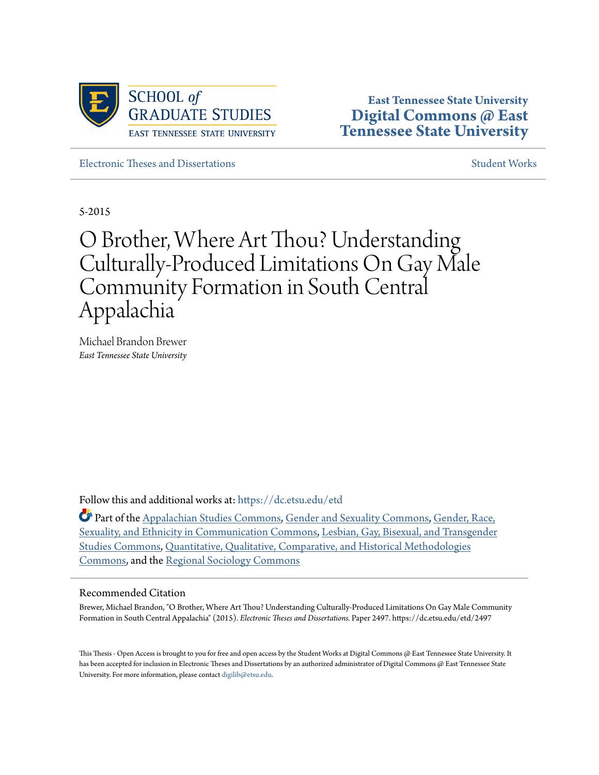

**East Tennessee State University [Digital Commons @ East](https://dc.etsu.edu?utm_source=dc.etsu.edu%2Fetd%2F2497&utm_medium=PDF&utm_campaign=PDFCoverPages) [Tennessee State University](https://dc.etsu.edu?utm_source=dc.etsu.edu%2Fetd%2F2497&utm_medium=PDF&utm_campaign=PDFCoverPages)**

[Electronic Theses and Dissertations](https://dc.etsu.edu/etd?utm_source=dc.etsu.edu%2Fetd%2F2497&utm_medium=PDF&utm_campaign=PDFCoverPages) [Student Works](https://dc.etsu.edu/student-works?utm_source=dc.etsu.edu%2Fetd%2F2497&utm_medium=PDF&utm_campaign=PDFCoverPages) Student Works

5-2015

# O Brother, Where Art Thou? Understanding Culturally-Produced Limitations On Gay Male Community Formation in South Central Appalachia

Michael Brandon Brewer *East Tennessee State University*

Follow this and additional works at: [https://dc.etsu.edu/etd](https://dc.etsu.edu/etd?utm_source=dc.etsu.edu%2Fetd%2F2497&utm_medium=PDF&utm_campaign=PDFCoverPages)

Part of the [Appalachian Studies Commons](http://network.bepress.com/hgg/discipline/1253?utm_source=dc.etsu.edu%2Fetd%2F2497&utm_medium=PDF&utm_campaign=PDFCoverPages), [Gender and Sexuality Commons,](http://network.bepress.com/hgg/discipline/420?utm_source=dc.etsu.edu%2Fetd%2F2497&utm_medium=PDF&utm_campaign=PDFCoverPages) [Gender, Race,](http://network.bepress.com/hgg/discipline/329?utm_source=dc.etsu.edu%2Fetd%2F2497&utm_medium=PDF&utm_campaign=PDFCoverPages) [Sexuality, and Ethnicity in Communication Commons](http://network.bepress.com/hgg/discipline/329?utm_source=dc.etsu.edu%2Fetd%2F2497&utm_medium=PDF&utm_campaign=PDFCoverPages), [Lesbian, Gay, Bisexual, and Transgender](http://network.bepress.com/hgg/discipline/560?utm_source=dc.etsu.edu%2Fetd%2F2497&utm_medium=PDF&utm_campaign=PDFCoverPages) [Studies Commons](http://network.bepress.com/hgg/discipline/560?utm_source=dc.etsu.edu%2Fetd%2F2497&utm_medium=PDF&utm_campaign=PDFCoverPages), [Quantitative, Qualitative, Comparative, and Historical Methodologies](http://network.bepress.com/hgg/discipline/423?utm_source=dc.etsu.edu%2Fetd%2F2497&utm_medium=PDF&utm_campaign=PDFCoverPages) [Commons,](http://network.bepress.com/hgg/discipline/423?utm_source=dc.etsu.edu%2Fetd%2F2497&utm_medium=PDF&utm_campaign=PDFCoverPages) and the [Regional Sociology Commons](http://network.bepress.com/hgg/discipline/427?utm_source=dc.etsu.edu%2Fetd%2F2497&utm_medium=PDF&utm_campaign=PDFCoverPages)

#### Recommended Citation

Brewer, Michael Brandon, "O Brother, Where Art Thou? Understanding Culturally-Produced Limitations On Gay Male Community Formation in South Central Appalachia" (2015). *Electronic Theses and Dissertations.* Paper 2497. https://dc.etsu.edu/etd/2497

This Thesis - Open Access is brought to you for free and open access by the Student Works at Digital Commons @ East Tennessee State University. It has been accepted for inclusion in Electronic Theses and Dissertations by an authorized administrator of Digital Commons @ East Tennessee State University. For more information, please contact [digilib@etsu.edu.](mailto:digilib@etsu.edu)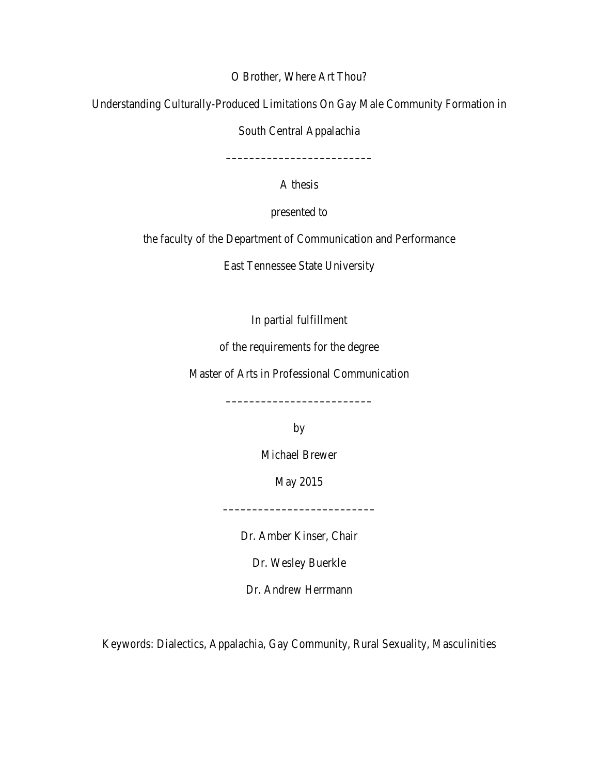O Brother, Where Art Thou?

Understanding Culturally-Produced Limitations On Gay Male Community Formation in

South Central Appalachia

A thesis

–––––––––––––––––––––––––

presented to

the faculty of the Department of Communication and Performance

East Tennessee State University

In partial fulfillment

of the requirements for the degree

Master of Arts in Professional Communication

by

–––––––––––––––––––––––––

Michael Brewer

May 2015

Dr. Amber Kinser, Chair

––––––––––––––––––––––––––

Dr. Wesley Buerkle

Dr. Andrew Herrmann

Keywords: Dialectics, Appalachia, Gay Community, Rural Sexuality, Masculinities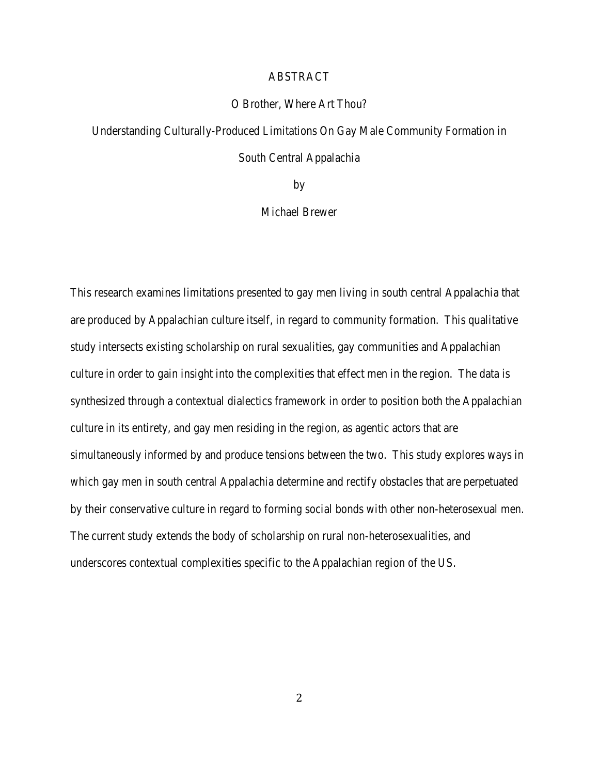# ABSTRACT

#### O Brother, Where Art Thou?

Understanding Culturally-Produced Limitations On Gay Male Community Formation in South Central Appalachia

by

# Michael Brewer

This research examines limitations presented to gay men living in south central Appalachia that are produced by Appalachian culture itself, in regard to community formation. This qualitative study intersects existing scholarship on rural sexualities, gay communities and Appalachian culture in order to gain insight into the complexities that effect men in the region. The data is synthesized through a contextual dialectics framework in order to position both the Appalachian culture in its entirety, and gay men residing in the region, as agentic actors that are simultaneously informed by and produce tensions between the two. This study explores ways in which gay men in south central Appalachia determine and rectify obstacles that are perpetuated by their conservative culture in regard to forming social bonds with other non-heterosexual men. The current study extends the body of scholarship on rural non-heterosexualities, and underscores contextual complexities specific to the Appalachian region of the US.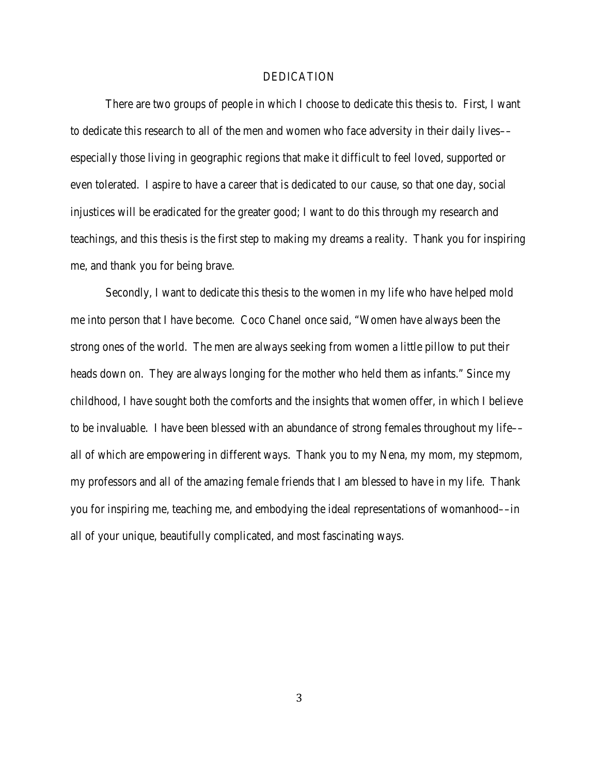#### DEDICATION

There are two groups of people in which I choose to dedicate this thesis to. First, I want to dedicate this research to all of the men and women who face adversity in their daily lives–– especially those living in geographic regions that make it difficult to feel loved, supported or even tolerated. I aspire to have a career that is dedicated to *our* cause, so that one day, social injustices will be eradicated for the greater good; I want to do this through my research and teachings, and this thesis is the first step to making my dreams a reality. Thank you for inspiring me, and thank you for being brave.

Secondly, I want to dedicate this thesis to the women in my life who have helped mold me into person that I have become. Coco Chanel once said, "Women have always been the strong ones of the world. The men are always seeking from women a little pillow to put their heads down on. They are always longing for the mother who held them as infants." Since my childhood, I have sought both the comforts and the insights that women offer, in which I believe to be invaluable. I have been blessed with an abundance of strong females throughout my life–– all of which are empowering in different ways. Thank you to my Nena, my mom, my stepmom, my professors and all of the amazing female friends that I am blessed to have in my life. Thank you for inspiring me, teaching me, and embodying the ideal representations of womanhood––in all of your unique, beautifully complicated, and most fascinating ways.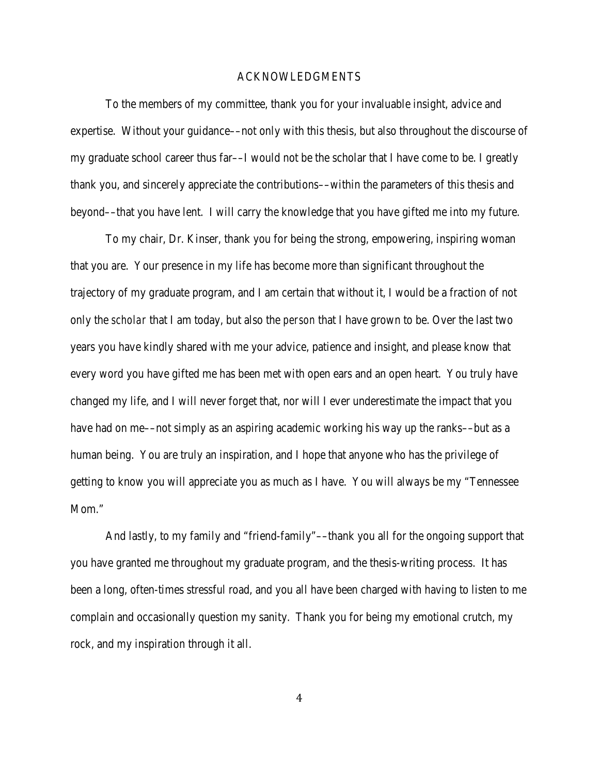#### ACKNOWLEDGMENTS

To the members of my committee, thank you for your invaluable insight, advice and expertise. Without your guidance––not only with this thesis, but also throughout the discourse of my graduate school career thus far––I would not be the scholar that I have come to be. I greatly thank you, and sincerely appreciate the contributions––within the parameters of this thesis and beyond––that you have lent. I will carry the knowledge that you have gifted me into my future.

To my chair, Dr. Kinser, thank you for being the strong, empowering, inspiring woman that you are. Your presence in my life has become more than significant throughout the trajectory of my graduate program, and I am certain that without it, I would be a fraction of not only the *scholar* that I am today, but also the *person* that I have grown to be. Over the last two years you have kindly shared with me your advice, patience and insight, and please know that every word you have gifted me has been met with open ears and an open heart. You truly have changed my life, and I will never forget that, nor will I ever underestimate the impact that you have had on me—not simply as an aspiring academic working his way up the ranks—but as a human being. You are truly an inspiration, and I hope that anyone who has the privilege of getting to know you will appreciate you as much as I have. You will always be my "Tennessee Mom."

And lastly, to my family and "friend-family"––thank you all for the ongoing support that you have granted me throughout my graduate program, and the thesis-writing process. It has been a long, often-times stressful road, and you all have been charged with having to listen to me complain and occasionally question my sanity. Thank you for being my emotional crutch, my rock, and my inspiration through it all.

4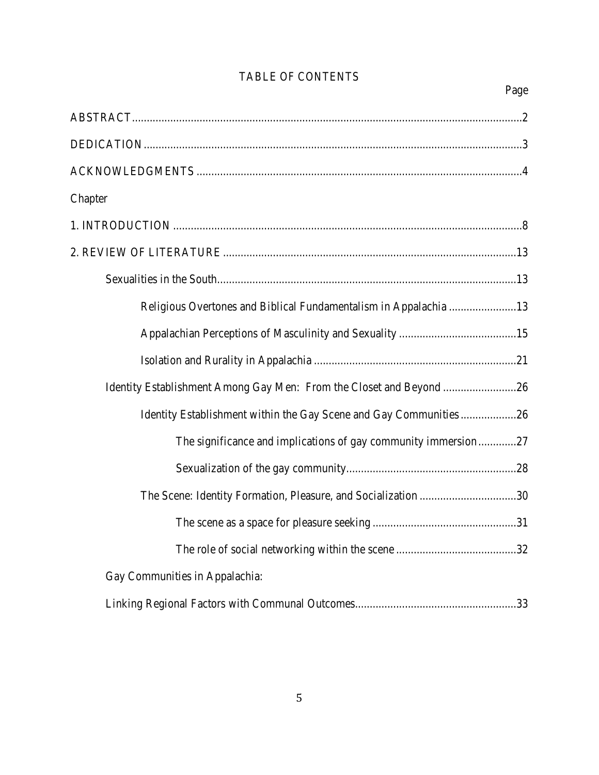| Page                                                                |
|---------------------------------------------------------------------|
|                                                                     |
|                                                                     |
|                                                                     |
| Chapter                                                             |
|                                                                     |
|                                                                     |
|                                                                     |
| Religious Overtones and Biblical Fundamentalism in Appalachia 13    |
|                                                                     |
|                                                                     |
| Identity Establishment Among Gay Men: From the Closet and Beyond 26 |
| Identity Establishment within the Gay Scene and Gay Communities 26  |
| The significance and implications of gay community immersion27      |
|                                                                     |
| The Scene: Identity Formation, Pleasure, and Socialization 30       |
|                                                                     |
|                                                                     |
| Gay Communities in Appalachia:                                      |
|                                                                     |

# TABLE OF CONTENTS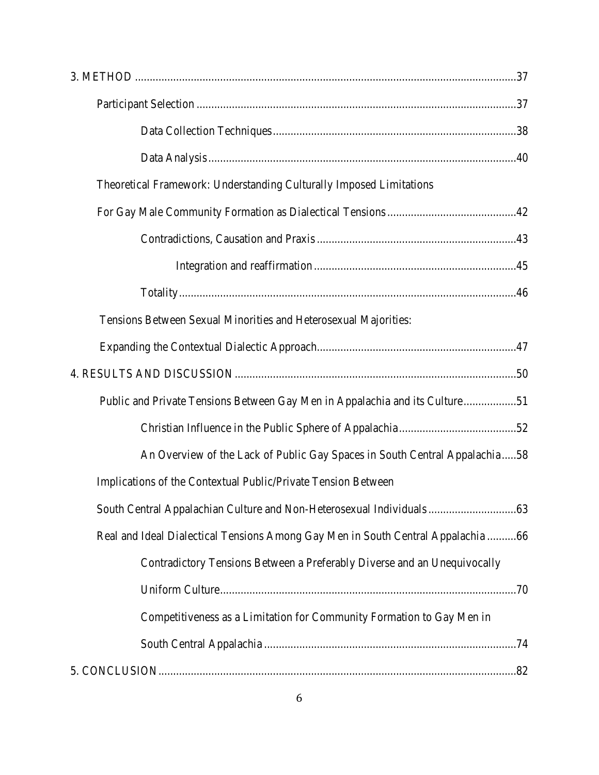| Theoretical Framework: Understanding Culturally Imposed Limitations              |
|----------------------------------------------------------------------------------|
|                                                                                  |
|                                                                                  |
|                                                                                  |
|                                                                                  |
| Tensions Between Sexual Minorities and Heterosexual Majorities:                  |
|                                                                                  |
|                                                                                  |
| Public and Private Tensions Between Gay Men in Appalachia and its Culture51      |
|                                                                                  |
| An Overview of the Lack of Public Gay Spaces in South Central Appalachia58       |
| Implications of the Contextual Public/Private Tension Between                    |
|                                                                                  |
| Real and Ideal Dialectical Tensions Among Gay Men in South Central Appalachia 66 |
| Contradictory Tensions Between a Preferably Diverse and an Unequivocally         |
|                                                                                  |
| Competitiveness as a Limitation for Community Formation to Gay Men in            |
|                                                                                  |
|                                                                                  |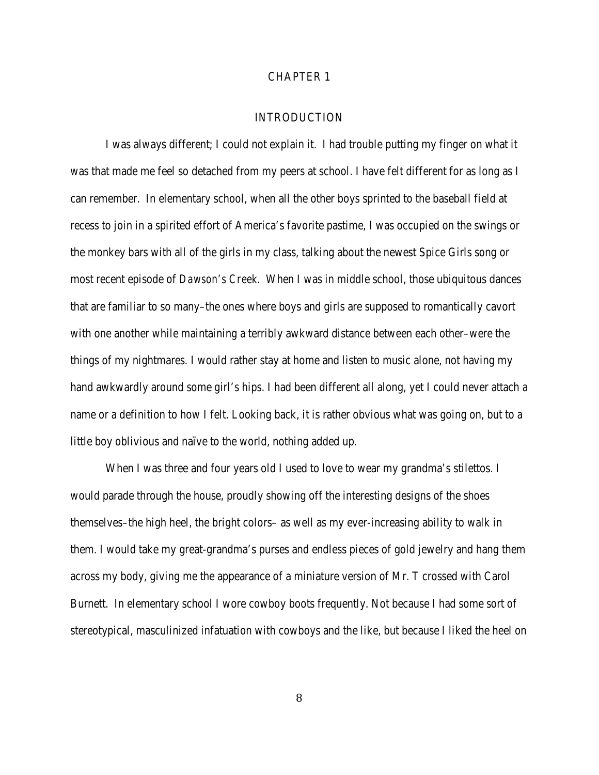# CHAPTER 1

# **INTRODUCTION**

I was always different; I could not explain it. I had trouble putting my finger on what it was that made me feel so detached from my peers at school. I have felt different for as long as I can remember. In elementary school, when all the other boys sprinted to the baseball field at recess to join in a spirited effort of America's favorite pastime, I was occupied on the swings or the monkey bars with all of the girls in my class, talking about the newest Spice Girls song or most recent episode of *Dawson's Creek*. When I was in middle school, those ubiquitous dances that are familiar to so many–the ones where boys and girls are supposed to romantically cavort with one another while maintaining a terribly awkward distance between each other–were the things of my nightmares. I would rather stay at home and listen to music alone, not having my hand awkwardly around some girl's hips. I had been different all along, yet I could never attach a name or a definition to how I felt. Looking back, it is rather obvious what was going on, but to a little boy oblivious and naïve to the world, nothing added up.

When I was three and four years old I used to love to wear my grandma's stilettos. I would parade through the house, proudly showing off the interesting designs of the shoes themselves–the high heel, the bright colors– as well as my ever-increasing ability to walk in them. I would take my great-grandma's purses and endless pieces of gold jewelry and hang them across my body, giving me the appearance of a miniature version of Mr. T crossed with Carol Burnett. In elementary school I wore cowboy boots frequently. Not because I had some sort of stereotypical, masculinized infatuation with cowboys and the like, but because I liked the heel on

8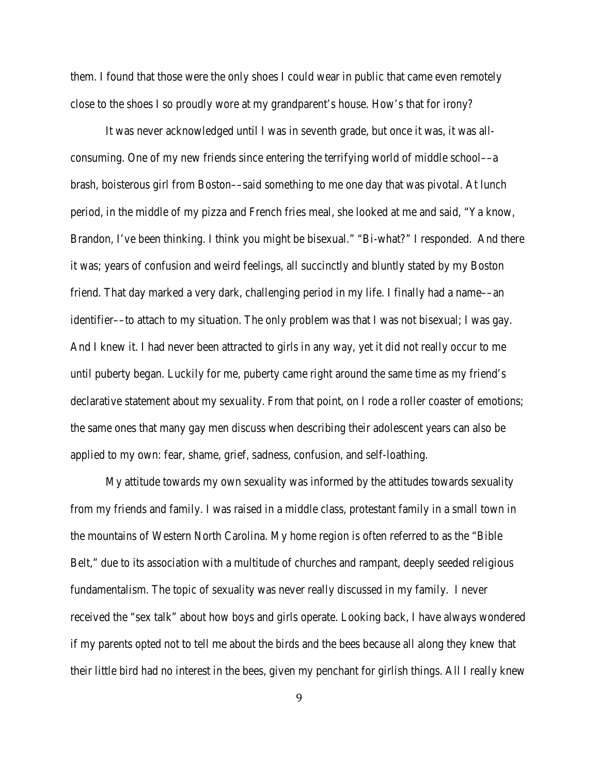them. I found that those were the only shoes I could wear in public that came even remotely close to the shoes I so proudly wore at my grandparent's house. How's that for irony?

It was never acknowledged until I was in seventh grade, but once it was, it was allconsuming. One of my new friends since entering the terrifying world of middle school––a brash, boisterous girl from Boston––said something to me one day that was pivotal. At lunch period, in the middle of my pizza and French fries meal, she looked at me and said, "Ya know, Brandon, I've been thinking. I think you might be bisexual." "Bi-what?" I responded. And there it was; years of confusion and weird feelings, all succinctly and bluntly stated by my Boston friend. That day marked a very dark, challenging period in my life. I finally had a name––an identifier––to attach to my situation. The only problem was that I was not bisexual; I was gay. And I knew it. I had never been attracted to girls in any way, yet it did not really occur to me until puberty began. Luckily for me, puberty came right around the same time as my friend's declarative statement about my sexuality. From that point, on I rode a roller coaster of emotions; the same ones that many gay men discuss when describing their adolescent years can also be applied to my own: fear, shame, grief, sadness, confusion, and self-loathing.

My attitude towards my own sexuality was informed by the attitudes towards sexuality from my friends and family. I was raised in a middle class, protestant family in a small town in the mountains of Western North Carolina. My home region is often referred to as the "Bible Belt," due to its association with a multitude of churches and rampant, deeply seeded religious fundamentalism. The topic of sexuality was never really discussed in my family. I never received the "sex talk" about how boys and girls operate. Looking back, I have always wondered if my parents opted not to tell me about the birds and the bees because all along they knew that their little bird had no interest in the bees, given my penchant for girlish things. All I really knew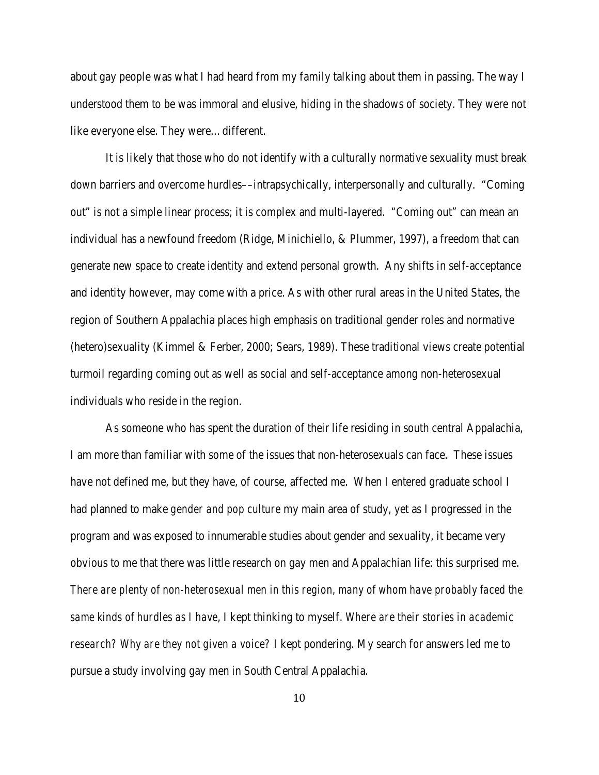about gay people was what I had heard from my family talking about them in passing. The way I understood them to be was immoral and elusive, hiding in the shadows of society. They were not like everyone else. They were…different.

It is likely that those who do not identify with a culturally normative sexuality must break down barriers and overcome hurdles––intrapsychically, interpersonally and culturally. "Coming out" is not a simple linear process; it is complex and multi-layered. "Coming out" can mean an individual has a newfound freedom (Ridge, Minichiello, & Plummer, 1997), a freedom that can generate new space to create identity and extend personal growth. Any shifts in self-acceptance and identity however, may come with a price. As with other rural areas in the United States, the region of Southern Appalachia places high emphasis on traditional gender roles and normative (hetero)sexuality (Kimmel & Ferber, 2000; Sears, 1989). These traditional views create potential turmoil regarding coming out as well as social and self-acceptance among non-heterosexual individuals who reside in the region.

As someone who has spent the duration of their life residing in south central Appalachia, I am more than familiar with some of the issues that non-heterosexuals can face. These issues have not defined me, but they have, of course, affected me. When I entered graduate school I had planned to make *gender and pop culture* my main area of study, yet as I progressed in the program and was exposed to innumerable studies about gender and sexuality, it became very obvious to me that there was little research on gay men and Appalachian life: this surprised me. *There are plenty of non-heterosexual men in this region, many of whom have probably faced the same kinds of hurdles as I have*, I kept thinking to myself. *Where are their stories in academic research? Why are they not given a voice?* I kept pondering. My search for answers led me to pursue a study involving gay men in South Central Appalachia.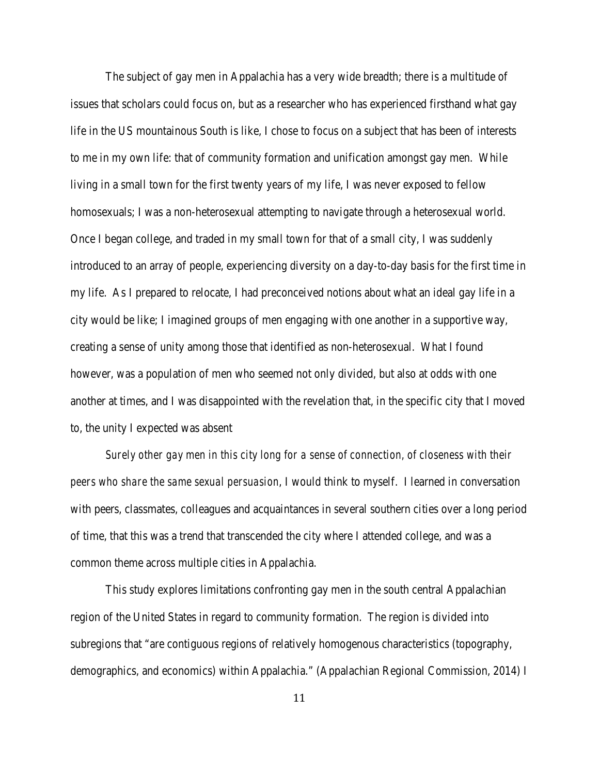The subject of gay men in Appalachia has a very wide breadth; there is a multitude of issues that scholars could focus on, but as a researcher who has experienced firsthand what gay life in the US mountainous South is like, I chose to focus on a subject that has been of interests to me in my own life: that of community formation and unification amongst gay men. While living in a small town for the first twenty years of my life, I was never exposed to fellow homosexuals; I was a non-heterosexual attempting to navigate through a heterosexual world. Once I began college, and traded in my small town for that of a small city, I was suddenly introduced to an array of people, experiencing diversity on a day-to-day basis for the first time in my life. As I prepared to relocate, I had preconceived notions about what an ideal gay life in a city would be like; I imagined groups of men engaging with one another in a supportive way, creating a sense of unity among those that identified as non-heterosexual. What I found however, was a population of men who seemed not only divided, but also at odds with one another at times, and I was disappointed with the revelation that, in the specific city that I moved to, the unity I expected was absent

*Surely other gay men in this city long for a sense of connection, of closeness with their peers who share the same sexual persuasion*, I would think to myself. I learned in conversation with peers, classmates, colleagues and acquaintances in several southern cities over a long period of time, that this was a trend that transcended the city where I attended college, and was a common theme across multiple cities in Appalachia.

This study explores limitations confronting gay men in the south central Appalachian region of the United States in regard to community formation. The region is divided into subregions that "are contiguous regions of relatively homogenous characteristics (topography, demographics, and economics) within Appalachia." (Appalachian Regional Commission, 2014) I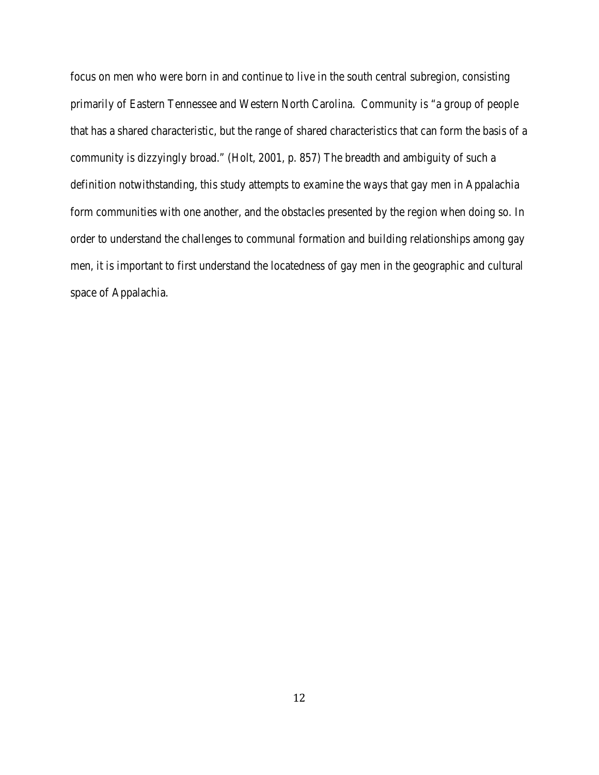focus on men who were born in and continue to live in the south central subregion, consisting primarily of Eastern Tennessee and Western North Carolina. Community is "a group of people that has a shared characteristic, but the range of shared characteristics that can form the basis of a community is dizzyingly broad." (Holt, 2001, p. 857) The breadth and ambiguity of such a definition notwithstanding, this study attempts to examine the ways that gay men in Appalachia form communities with one another, and the obstacles presented by the region when doing so. In order to understand the challenges to communal formation and building relationships among gay men, it is important to first understand the locatedness of gay men in the geographic and cultural space of Appalachia.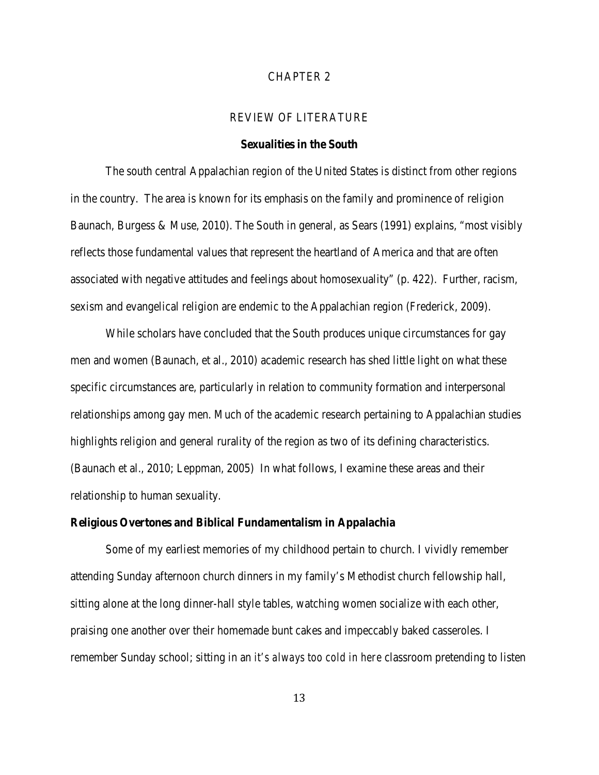# CHAPTER 2

# REVIEW OF LITERATURE

#### **Sexualities in the South**

The south central Appalachian region of the United States is distinct from other regions in the country. The area is known for its emphasis on the family and prominence of religion Baunach, Burgess & Muse, 2010). The South in general, as Sears (1991) explains, "most visibly reflects those fundamental values that represent the heartland of America and that are often associated with negative attitudes and feelings about homosexuality" (p. 422). Further, racism, sexism and evangelical religion are endemic to the Appalachian region (Frederick, 2009).

While scholars have concluded that the South produces unique circumstances for gay men and women (Baunach, et al., 2010) academic research has shed little light on what these specific circumstances are, particularly in relation to community formation and interpersonal relationships among gay men. Much of the academic research pertaining to Appalachian studies highlights religion and general rurality of the region as two of its defining characteristics. (Baunach et al., 2010; Leppman, 2005) In what follows, I examine these areas and their relationship to human sexuality.

# **Religious Overtones and Biblical Fundamentalism in Appalachia**

Some of my earliest memories of my childhood pertain to church. I vividly remember attending Sunday afternoon church dinners in my family's Methodist church fellowship hall, sitting alone at the long dinner-hall style tables, watching women socialize with each other, praising one another over their homemade bunt cakes and impeccably baked casseroles. I remember Sunday school; sitting in an *it's always too cold in here* classroom pretending to listen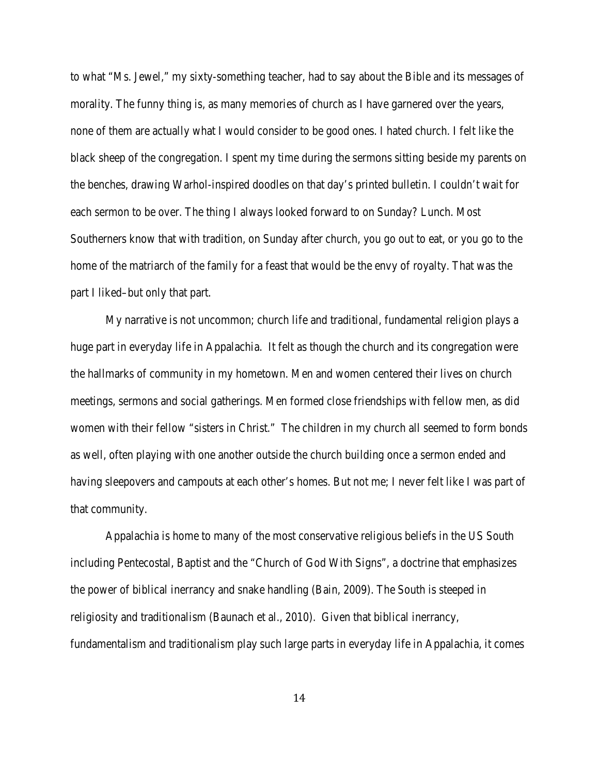to what "Ms. Jewel," my sixty-something teacher, had to say about the Bible and its messages of morality. The funny thing is, as many memories of church as I have garnered over the years, none of them are actually what I would consider to be good ones. I hated church. I felt like the black sheep of the congregation. I spent my time during the sermons sitting beside my parents on the benches, drawing Warhol-inspired doodles on that day's printed bulletin. I couldn't wait for each sermon to be over. The thing I always looked forward to on Sunday? Lunch. Most Southerners know that with tradition, on Sunday after church, you go out to eat, or you go to the home of the matriarch of the family for a feast that would be the envy of royalty. That was the part I liked–but only that part.

My narrative is not uncommon; church life and traditional, fundamental religion plays a huge part in everyday life in Appalachia. It felt as though the church and its congregation were the hallmarks of community in my hometown. Men and women centered their lives on church meetings, sermons and social gatherings. Men formed close friendships with fellow men, as did women with their fellow "sisters in Christ." The children in my church all seemed to form bonds as well, often playing with one another outside the church building once a sermon ended and having sleepovers and campouts at each other's homes. But not me; I never felt like I was part of that community.

Appalachia is home to many of the most conservative religious beliefs in the US South including Pentecostal, Baptist and the "Church of God With Signs", a doctrine that emphasizes the power of biblical inerrancy and snake handling (Bain, 2009). The South is steeped in religiosity and traditionalism (Baunach et al., 2010). Given that biblical inerrancy, fundamentalism and traditionalism play such large parts in everyday life in Appalachia, it comes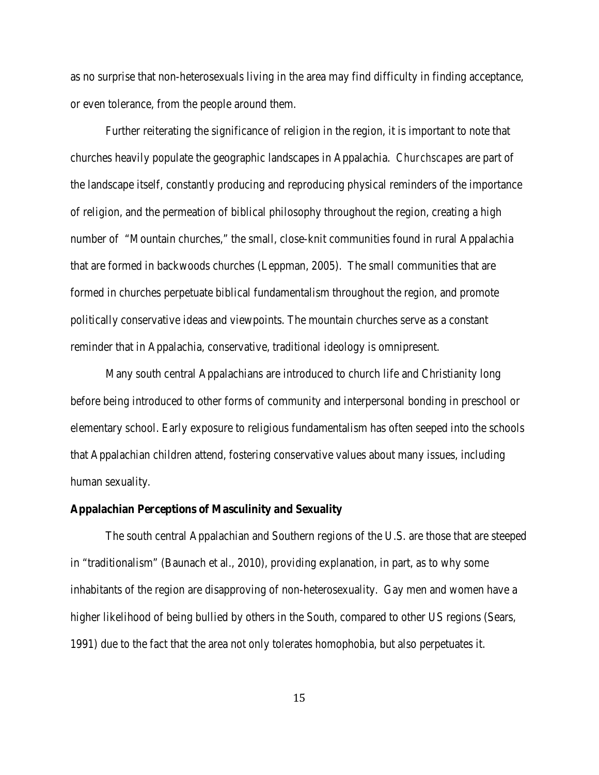as no surprise that non-heterosexuals living in the area may find difficulty in finding acceptance, or even tolerance, from the people around them.

Further reiterating the significance of religion in the region, it is important to note that churches heavily populate the geographic landscapes in Appalachia. *Churchscapes* are part of the landscape itself, constantly producing and reproducing physical reminders of the importance of religion, and the permeation of biblical philosophy throughout the region, creating a high number of "Mountain churches," the small, close-knit communities found in rural Appalachia that are formed in backwoods churches (Leppman, 2005). The small communities that are formed in churches perpetuate biblical fundamentalism throughout the region, and promote politically conservative ideas and viewpoints. The mountain churches serve as a constant reminder that in Appalachia, conservative, traditional ideology is omnipresent.

Many south central Appalachians are introduced to church life and Christianity long before being introduced to other forms of community and interpersonal bonding in preschool or elementary school. Early exposure to religious fundamentalism has often seeped into the schools that Appalachian children attend, fostering conservative values about many issues, including human sexuality.

#### **Appalachian Perceptions of Masculinity and Sexuality**

The south central Appalachian and Southern regions of the U.S. are those that are steeped in "traditionalism" (Baunach et al., 2010), providing explanation, in part, as to why some inhabitants of the region are disapproving of non-heterosexuality. Gay men and women have a higher likelihood of being bullied by others in the South, compared to other US regions (Sears, 1991) due to the fact that the area not only tolerates homophobia, but also perpetuates it.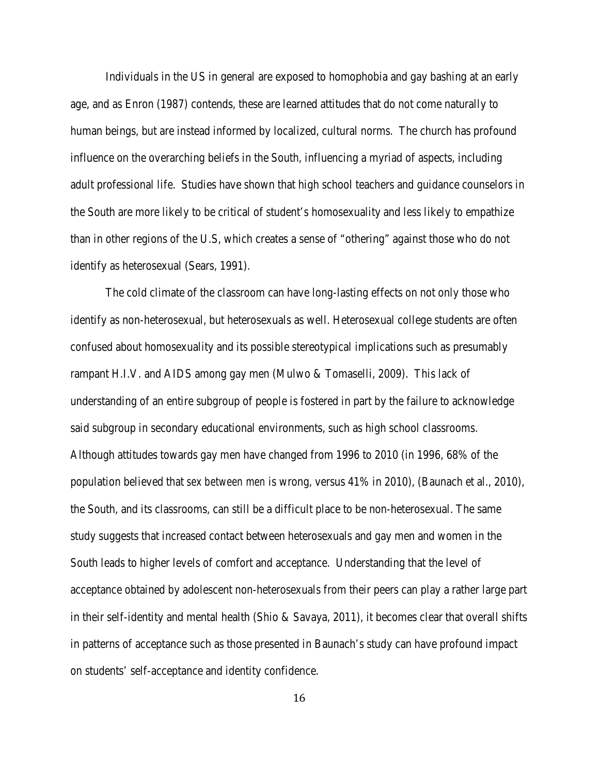Individuals in the US in general are exposed to homophobia and gay bashing at an early age, and as Enron (1987) contends, these are learned attitudes that do not come naturally to human beings, but are instead informed by localized, cultural norms. The church has profound influence on the overarching beliefs in the South, influencing a myriad of aspects, including adult professional life. Studies have shown that high school teachers and guidance counselors in the South are more likely to be critical of student's homosexuality and less likely to empathize than in other regions of the U.S, which creates a sense of "othering" against those who do not identify as heterosexual (Sears, 1991).

The cold climate of the classroom can have long-lasting effects on not only those who identify as non-heterosexual, but heterosexuals as well. Heterosexual college students are often confused about homosexuality and its possible stereotypical implications such as presumably rampant H.I.V. and AIDS among gay men (Mulwo & Tomaselli, 2009). This lack of understanding of an entire subgroup of people is fostered in part by the failure to acknowledge said subgroup in secondary educational environments, such as high school classrooms. Although attitudes towards gay men have changed from 1996 to 2010 (in 1996, 68% of the population believed that *sex between men* is wrong, versus 41% in 2010), (Baunach et al., 2010), the South, and its classrooms, can still be a difficult place to be non-heterosexual. The same study suggests that increased contact between heterosexuals and gay men and women in the South leads to higher levels of comfort and acceptance. Understanding that the level of acceptance obtained by adolescent non-heterosexuals from their peers can play a rather large part in their self-identity and mental health (Shio  $\&$  Savaya, 2011), it becomes clear that overall shifts in patterns of acceptance such as those presented in Baunach's study can have profound impact on students' self-acceptance and identity confidence.

16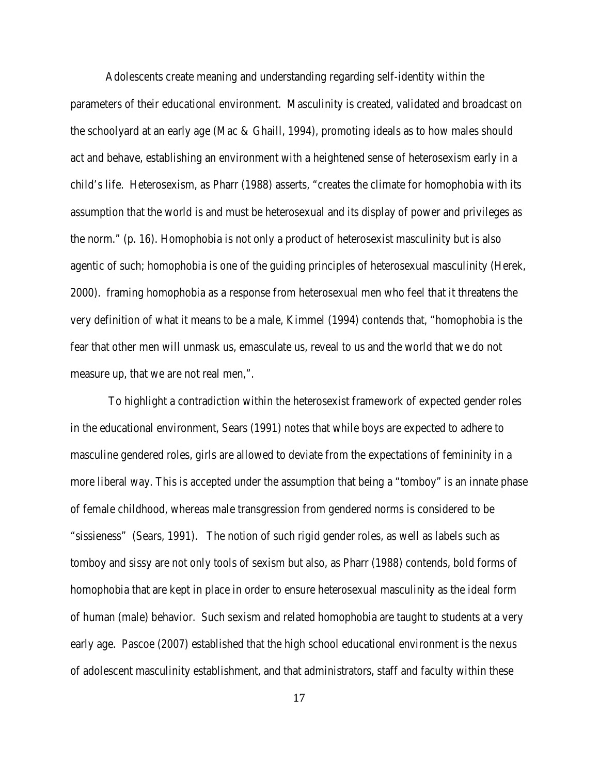Adolescents create meaning and understanding regarding self-identity within the parameters of their educational environment. Masculinity is created, validated and broadcast on the schoolyard at an early age (Mac & Ghaill, 1994), promoting ideals as to how males should act and behave, establishing an environment with a heightened sense of heterosexism early in a child's life. Heterosexism, as Pharr (1988) asserts, "creates the climate for homophobia with its assumption that the world is and must be heterosexual and its display of power and privileges as the norm." (p. 16). Homophobia is not only a product of heterosexist masculinity but is also agentic of such; homophobia is one of the guiding principles of heterosexual masculinity (Herek, 2000). framing homophobia as a response from heterosexual men who feel that it threatens the very definition of what it means to be a male, Kimmel (1994) contends that, "homophobia is the fear that other men will unmask us, emasculate us, reveal to us and the world that we do not measure up, that we are not real men,".

To highlight a contradiction within the heterosexist framework of expected gender roles in the educational environment, Sears (1991) notes that while boys are expected to adhere to masculine gendered roles, girls are allowed to deviate from the expectations of femininity in a more liberal way. This is accepted under the assumption that being a "tomboy" is an innate phase of female childhood, whereas male transgression from gendered norms is considered to be "sissieness" (Sears, 1991). The notion of such rigid gender roles, as well as labels such as tomboy and sissy are not only tools of sexism but also, as Pharr (1988) contends, bold forms of homophobia that are kept in place in order to ensure heterosexual masculinity as the ideal form of human (male) behavior. Such sexism and related homophobia are taught to students at a very early age. Pascoe (2007) established that the high school educational environment is the nexus of adolescent masculinity establishment, and that administrators, staff and faculty within these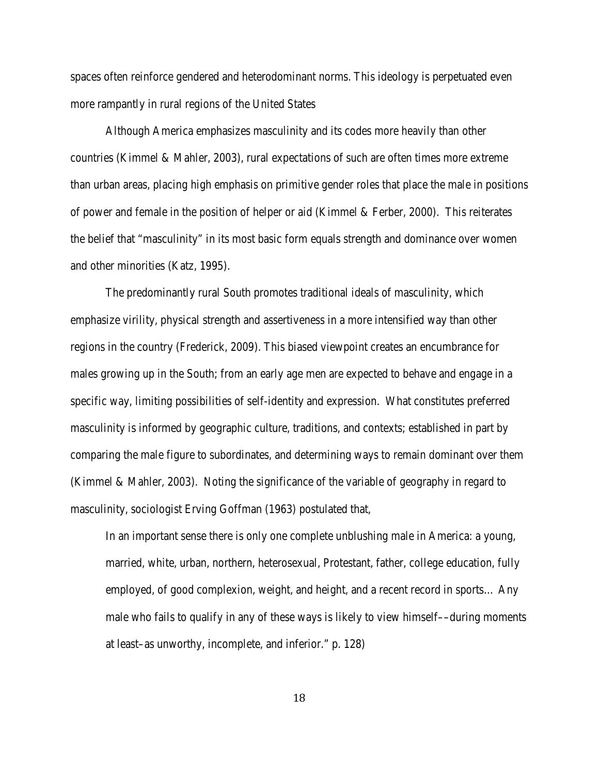spaces often reinforce gendered and heterodominant norms. This ideology is perpetuated even more rampantly in rural regions of the United States

Although America emphasizes masculinity and its codes more heavily than other countries (Kimmel & Mahler, 2003), rural expectations of such are often times more extreme than urban areas, placing high emphasis on primitive gender roles that place the male in positions of power and female in the position of helper or aid (Kimmel & Ferber, 2000). This reiterates the belief that "masculinity" in its most basic form equals strength and dominance over women and other minorities (Katz, 1995).

The predominantly rural South promotes traditional ideals of masculinity, which emphasize virility, physical strength and assertiveness in a more intensified way than other regions in the country (Frederick, 2009). This biased viewpoint creates an encumbrance for males growing up in the South; from an early age men are expected to behave and engage in a specific way, limiting possibilities of self-identity and expression. What constitutes preferred masculinity is informed by geographic culture, traditions, and contexts; established in part by comparing the male figure to subordinates, and determining ways to remain dominant over them (Kimmel & Mahler, 2003). Noting the significance of the variable of geography in regard to masculinity, sociologist Erving Goffman (1963) postulated that,

In an important sense there is only one complete unblushing male in America: a young, married, white, urban, northern, heterosexual, Protestant, father, college education, fully employed, of good complexion, weight, and height, and a recent record in sports… Any male who fails to qualify in any of these ways is likely to view himself––during moments at least–as unworthy, incomplete, and inferior." p. 128)

18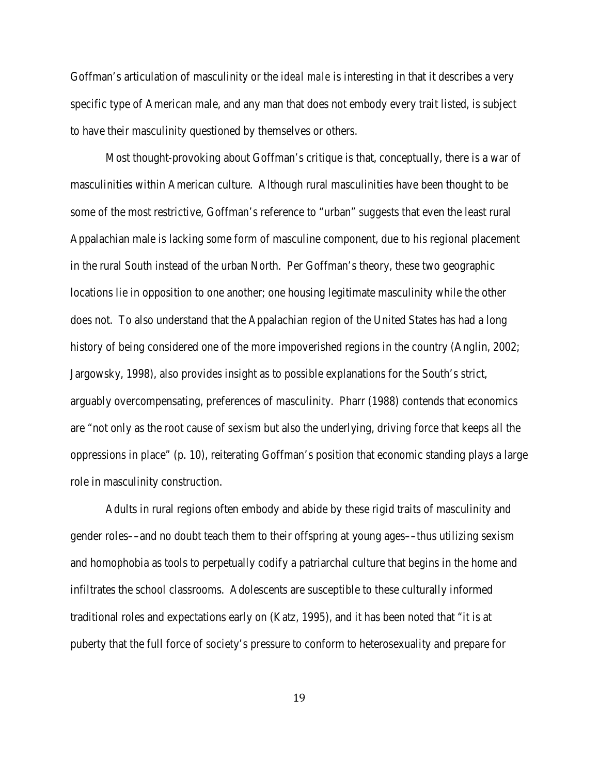Goffman's articulation of masculinity or the *ideal male* is interesting in that it describes a very specific type of American male, and any man that does not embody every trait listed, is subject to have their masculinity questioned by themselves or others.

Most thought-provoking about Goffman's critique is that, conceptually, there is a war of masculinities within American culture. Although rural masculinities have been thought to be some of the most restrictive, Goffman's reference to "urban" suggests that even the least rural Appalachian male is lacking some form of masculine component, due to his regional placement in the rural South instead of the urban North. Per Goffman's theory, these two geographic locations lie in opposition to one another; one housing legitimate masculinity while the other does not. To also understand that the Appalachian region of the United States has had a long history of being considered one of the more impoverished regions in the country (Anglin, 2002; Jargowsky, 1998), also provides insight as to possible explanations for the South's strict, arguably overcompensating, preferences of masculinity. Pharr (1988) contends that economics are "not only as the root cause of sexism but also the underlying, driving force that keeps all the oppressions in place" (p. 10), reiterating Goffman's position that economic standing plays a large role in masculinity construction.

Adults in rural regions often embody and abide by these rigid traits of masculinity and gender roles––and no doubt teach them to their offspring at young ages––thus utilizing sexism and homophobia as tools to perpetually codify a patriarchal culture that begins in the home and infiltrates the school classrooms. Adolescents are susceptible to these culturally informed traditional roles and expectations early on (Katz, 1995), and it has been noted that "it is at puberty that the full force of society's pressure to conform to heterosexuality and prepare for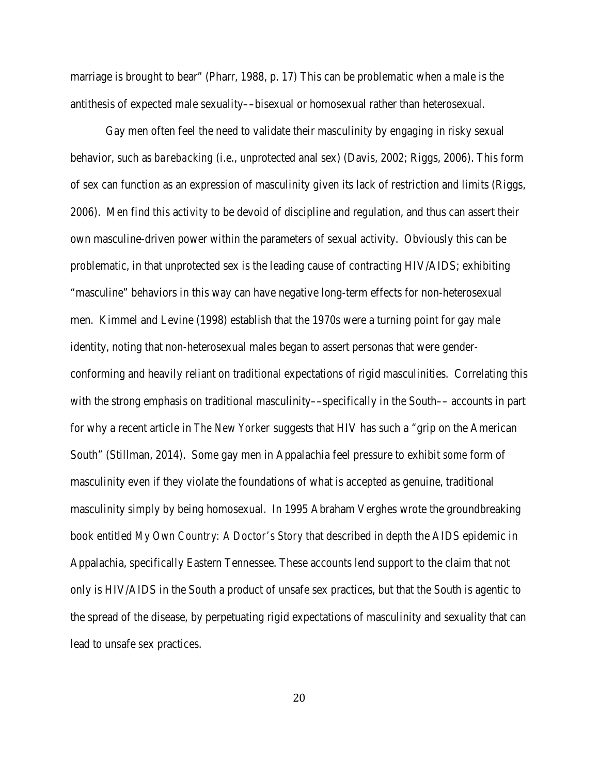marriage is brought to bear" (Pharr, 1988, p. 17) This can be problematic when a male is the antithesis of expected male sexuality––bisexual or homosexual rather than heterosexual.

Gay men often feel the need to validate their masculinity by engaging in risky sexual behavior, such as *barebacking* (i.e., unprotected anal sex) (Davis, 2002; Riggs, 2006). This form of sex can function as an expression of masculinity given its lack of restriction and limits (Riggs, 2006). Men find this activity to be devoid of discipline and regulation, and thus can assert their own masculine-driven power within the parameters of sexual activity. Obviously this can be problematic, in that unprotected sex is the leading cause of contracting HIV/AIDS; exhibiting "masculine" behaviors in this way can have negative long-term effects for non-heterosexual men. Kimmel and Levine (1998) establish that the 1970s were a turning point for gay male identity, noting that non-heterosexual males began to assert personas that were genderconforming and heavily reliant on traditional expectations of rigid masculinities. Correlating this with the strong emphasis on traditional masculinity—specifically in the South— accounts in part for why a recent article in *The New Yorker* suggests that HIV has such a "grip on the American South" (Stillman, 2014). Some gay men in Appalachia feel pressure to exhibit *some* form of masculinity even if they violate the foundations of what is accepted as genuine, traditional masculinity simply by being homosexual. In 1995 Abraham Verghes wrote the groundbreaking book entitled *My Own Country: A Doctor's Story* that described in depth the AIDS epidemic in Appalachia, specifically Eastern Tennessee. These accounts lend support to the claim that not only is HIV/AIDS in the South a product of unsafe sex practices, but that the South is agentic to the spread of the disease, by perpetuating rigid expectations of masculinity and sexuality that can lead to unsafe sex practices.

20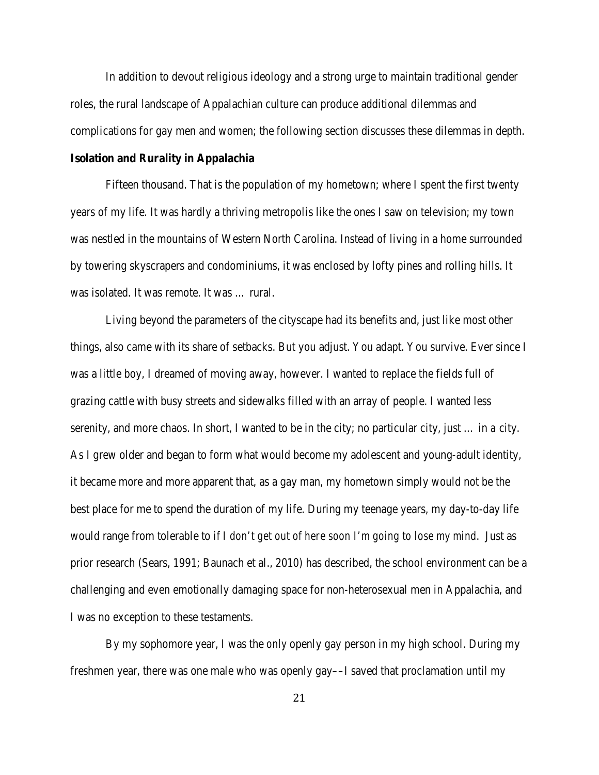In addition to devout religious ideology and a strong urge to maintain traditional gender roles, the rural landscape of Appalachian culture can produce additional dilemmas and complications for gay men and women; the following section discusses these dilemmas in depth.

# **Isolation and Rurality in Appalachia**

Fifteen thousand. That is the population of my hometown; where I spent the first twenty years of my life. It was hardly a thriving metropolis like the ones I saw on television; my town was nestled in the mountains of Western North Carolina. Instead of living in a home surrounded by towering skyscrapers and condominiums, it was enclosed by lofty pines and rolling hills. It was isolated. It was remote. It was … rural.

Living beyond the parameters of the cityscape had its benefits and, just like most other things, also came with its share of setbacks. But you adjust. You adapt. You survive. Ever since I was a little boy, I dreamed of moving away, however. I wanted to replace the fields full of grazing cattle with busy streets and sidewalks filled with an array of people. I wanted less serenity, and more chaos. In short, I wanted to be in the city; no particular city, just … in *a* city. As I grew older and began to form what would become my adolescent and young-adult identity, it became more and more apparent that, as a gay man, my hometown simply would not be the best place for me to spend the duration of my life. During my teenage years, my day-to-day life would range from tolerable to *if I don't get out of here soon I'm going to lose my mind*. Just as prior research (Sears, 1991; Baunach et al., 2010) has described, the school environment can be a challenging and even emotionally damaging space for non-heterosexual men in Appalachia, and I was no exception to these testaments.

By my sophomore year, I was the *only* openly gay person in my high school. During my freshmen year, there was one male who was openly gay––I saved that proclamation until my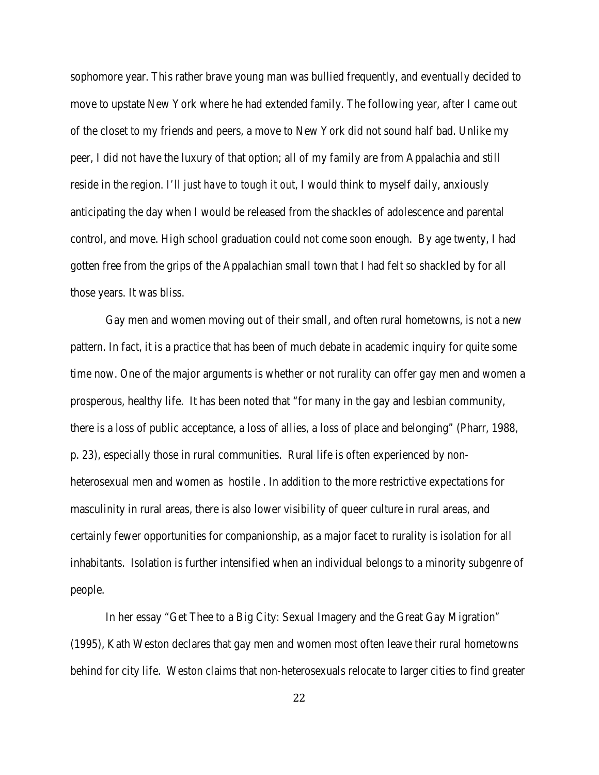sophomore year. This rather brave young man was bullied frequently, and eventually decided to move to upstate New York where he had extended family. The following year, after I came out of the closet to my friends and peers, a move to New York did not sound half bad. Unlike my peer, I did not have the luxury of that option; all of my family are from Appalachia and still reside in the region. *I'll just have to tough it out*, I would think to myself daily, anxiously anticipating the day when I would be released from the shackles of adolescence and parental control, and move. High school graduation could not come soon enough. By age twenty, I had gotten free from the grips of the Appalachian small town that I had felt so shackled by for all those years. It was bliss.

Gay men and women moving out of their small, and often rural hometowns, is not a new pattern. In fact, it is a practice that has been of much debate in academic inquiry for quite some time now. One of the major arguments is whether or not rurality can offer gay men and women a prosperous, healthy life. It has been noted that "for many in the gay and lesbian community, there is a loss of public acceptance, a loss of allies, a loss of place and belonging" (Pharr, 1988, p. 23), especially those in rural communities. Rural life is often experienced by nonheterosexual men and women as hostile . In addition to the more restrictive expectations for masculinity in rural areas, there is also lower visibility of queer culture in rural areas, and certainly fewer opportunities for companionship, as a major facet to rurality is isolation for all inhabitants. Isolation is further intensified when an individual belongs to a minority subgenre of people.

In her essay "Get Thee to a Big City: Sexual Imagery and the Great Gay Migration*"* (1995), Kath Weston declares that gay men and women most often leave their rural hometowns behind for city life. Weston claims that non-heterosexuals relocate to larger cities to find greater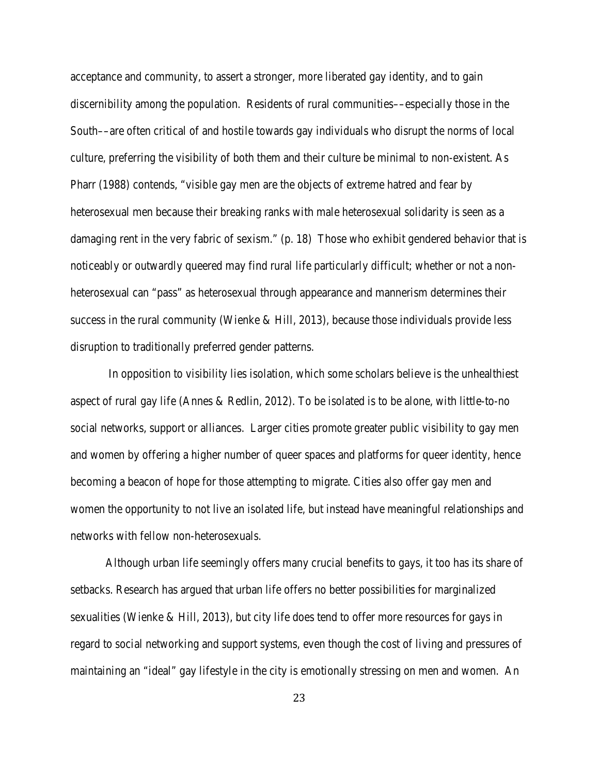acceptance and community, to assert a stronger, more liberated gay identity, and to gain discernibility among the population. Residents of rural communities––especially those in the South––are often critical of and hostile towards gay individuals who disrupt the norms of local culture, preferring the visibility of both them and their culture be minimal to non-existent. As Pharr (1988) contends, "visible gay men are the objects of extreme hatred and fear by heterosexual men because their breaking ranks with male heterosexual solidarity is seen as a damaging rent in the very fabric of sexism." (p. 18) Those who exhibit gendered behavior that is noticeably or outwardly queered may find rural life particularly difficult; whether or not a nonheterosexual can "pass" as heterosexual through appearance and mannerism determines their success in the rural community (Wienke  $\&$  Hill, 2013), because those individuals provide less disruption to traditionally preferred gender patterns.

In opposition to visibility lies isolation, which some scholars believe is the unhealthiest aspect of rural gay life (Annes & Redlin, 2012). To be isolated is to be alone, with little-to-no social networks, support or alliances. Larger cities promote greater public visibility to gay men and women by offering a higher number of queer spaces and platforms for queer identity, hence becoming a beacon of hope for those attempting to migrate. Cities also offer gay men and women the opportunity to not live an isolated life, but instead have meaningful relationships and networks with fellow non-heterosexuals.

Although urban life seemingly offers many crucial benefits to gays, it too has its share of setbacks. Research has argued that urban life offers no better possibilities for marginalized sexualities (Wienke & Hill, 2013), but city life does tend to offer more resources for gays in regard to social networking and support systems, even though the cost of living and pressures of maintaining an "ideal" gay lifestyle in the city is emotionally stressing on men and women. An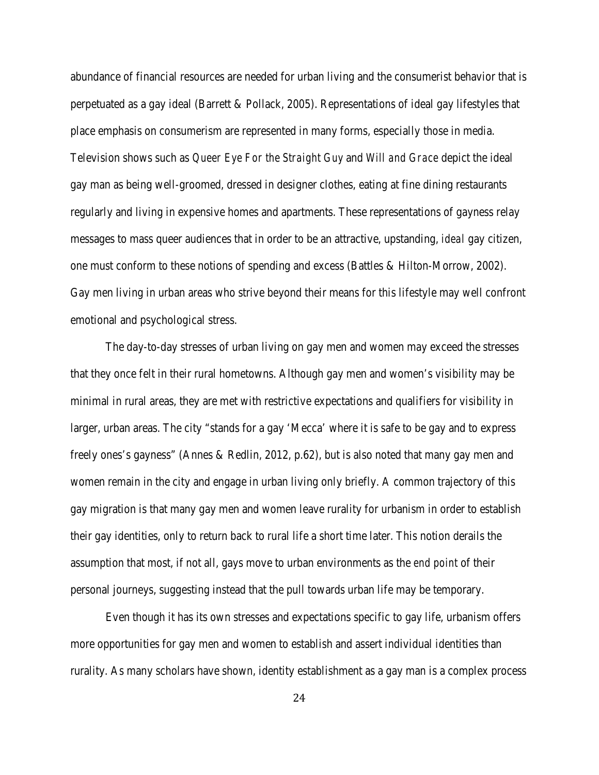abundance of financial resources are needed for urban living and the consumerist behavior that is perpetuated as a gay ideal (Barrett & Pollack, 2005). Representations of ideal gay lifestyles that place emphasis on consumerism are represented in many forms, especially those in media. Television shows such as *Queer Eye For the Straight Guy* and *Will and Grace* depict the ideal gay man as being well-groomed, dressed in designer clothes, eating at fine dining restaurants regularly and living in expensive homes and apartments. These representations of gayness relay messages to mass queer audiences that in order to be an attractive, upstanding, *ideal* gay citizen, one must conform to these notions of spending and excess (Battles & Hilton-Morrow, 2002). Gay men living in urban areas who strive beyond their means for this lifestyle may well confront emotional and psychological stress.

The day-to-day stresses of urban living on gay men and women may exceed the stresses that they once felt in their rural hometowns. Although gay men and women's visibility may be minimal in rural areas, they are met with restrictive expectations and qualifiers for visibility in larger, urban areas. The city "stands for a gay 'Mecca' where it is safe to be gay and to express freely ones's gayness" (Annes & Redlin, 2012, p.62), but is also noted that many gay men and women remain in the city and engage in urban living only briefly. A common trajectory of this gay migration is that many gay men and women leave rurality for urbanism in order to establish their gay identities, only to return back to rural life a short time later. This notion derails the assumption that most, if not all, gays move to urban environments as the *end point* of their personal journeys, suggesting instead that the pull towards urban life may be temporary.

Even though it has its own stresses and expectations specific to gay life, urbanism offers more opportunities for gay men and women to establish and assert individual identities than rurality. As many scholars have shown, identity establishment as a gay man is a complex process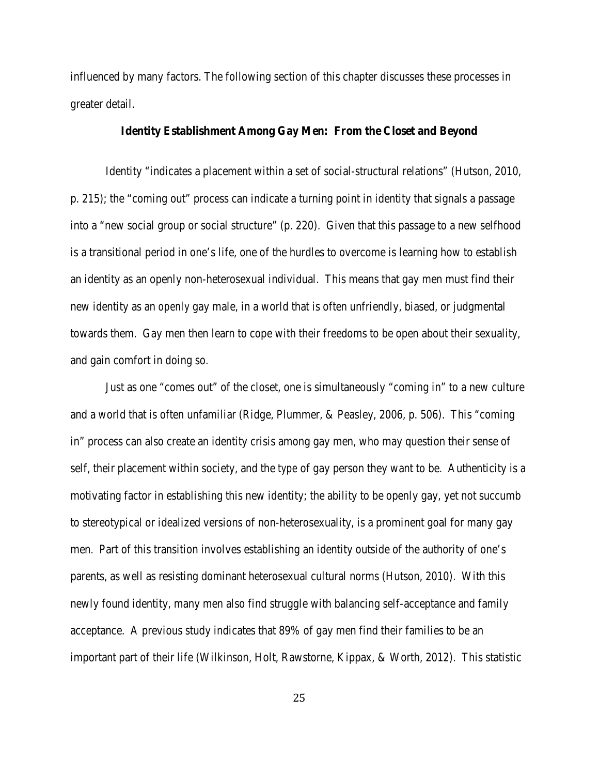influenced by many factors. The following section of this chapter discusses these processes in greater detail.

# **Identity Establishment Among Gay Men: From the Closet and Beyond**

Identity "indicates a placement within a set of social-structural relations" (Hutson, 2010, p. 215); the "coming out" process can indicate a turning point in identity that signals a passage into a "new social group or social structure" (p. 220). Given that this passage to a new selfhood is a transitional period in one's life, one of the hurdles to overcome is learning how to establish an identity as an openly non-heterosexual individual. This means that gay men must find their new identity as an *openly* gay male, in a world that is often unfriendly, biased, or judgmental towards them. Gay men then learn to cope with their freedoms to be open about their sexuality, and gain comfort in doing so.

Just as one "comes out" of the closet, one is simultaneously "coming in" to a new culture and a world that is often unfamiliar (Ridge, Plummer, & Peasley, 2006, p. 506). This "coming in" process can also create an identity crisis among gay men, who may question their sense of self, their placement within society, and the *type* of gay person they want to be. Authenticity is a motivating factor in establishing this new identity; the ability to be openly gay, yet not succumb to stereotypical or idealized versions of non-heterosexuality, is a prominent goal for many gay men. Part of this transition involves establishing an identity outside of the authority of one's parents, as well as resisting dominant heterosexual cultural norms (Hutson, 2010). With this newly found identity, many men also find struggle with balancing self-acceptance and family acceptance. A previous study indicates that 89% of gay men find their families to be an important part of their life (Wilkinson, Holt, Rawstorne, Kippax, & Worth, 2012). This statistic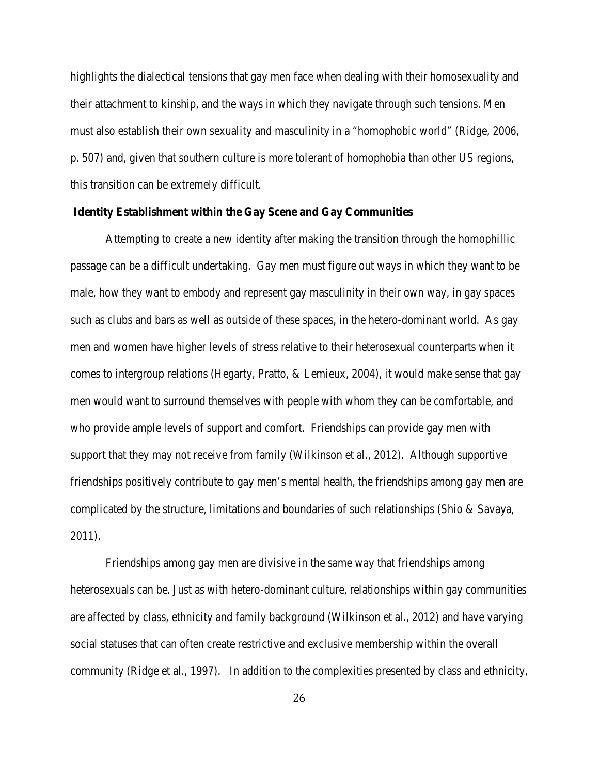highlights the dialectical tensions that gay men face when dealing with their homosexuality and their attachment to kinship, and the ways in which they navigate through such tensions. Men must also establish their own sexuality and masculinity in a "homophobic world" (Ridge, 2006, p. 507) and, given that southern culture is more tolerant of homophobia than other US regions, this transition can be extremely difficult.

#### **Identity Establishment within the Gay Scene and Gay Communities**

Attempting to create a new identity after making the transition through the homophillic passage can be a difficult undertaking. Gay men must figure out ways in which they want to be male, how they want to embody and represent gay masculinity in their own way, in gay spaces such as clubs and bars as well as outside of these spaces, in the hetero-dominant world. As gay men and women have higher levels of stress relative to their heterosexual counterparts when it comes to intergroup relations (Hegarty, Pratto, & Lemieux, 2004), it would make sense that gay men would want to surround themselves with people with whom they can be comfortable, and who provide ample levels of support and comfort. Friendships can provide gay men with support that they may not receive from family (Wilkinson et al., 2012). Although supportive friendships positively contribute to gay men's mental health, the friendships among gay men are complicated by the structure, limitations and boundaries of such relationships (Shio & Savaya, 2011).

Friendships among gay men are divisive in the same way that friendships among heterosexuals can be. Just as with hetero-dominant culture, relationships within gay communities are affected by class, ethnicity and family background (Wilkinson et al., 2012) and have varying social statuses that can often create restrictive and exclusive membership within the overall community (Ridge et al., 1997). In addition to the complexities presented by class and ethnicity,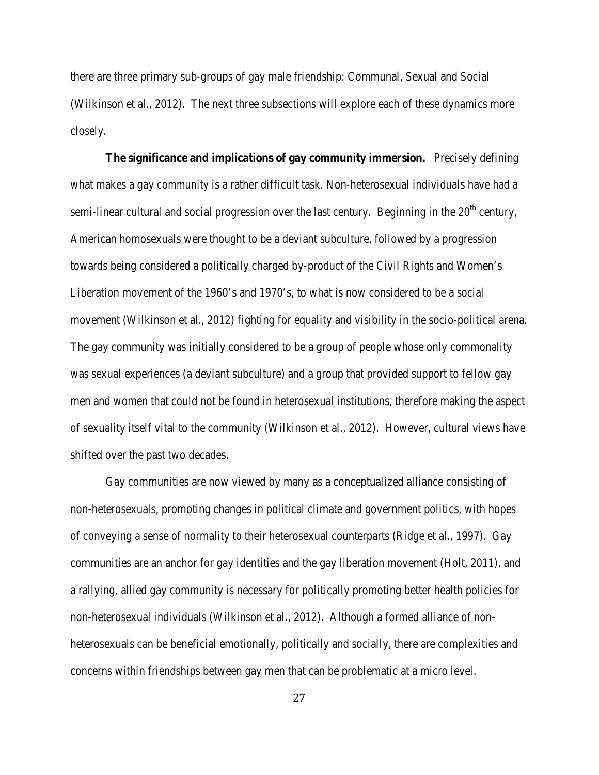there are three primary sub-groups of gay male friendship: Communal, Sexual and Social (Wilkinson et al., 2012). The next three subsections will explore each of these dynamics more closely.

**The significance and implications of gay community immersion.** Precisely defining what makes a gay *community* is a rather difficult task. Non-heterosexual individuals have had a semi-linear cultural and social progression over the last century. Beginning in the  $20<sup>th</sup>$  century, American homosexuals were thought to be a deviant subculture, followed by a progression towards being considered a politically charged by-product of the Civil Rights and Women's Liberation movement of the 1960's and 1970's, to what is now considered to be a social movement (Wilkinson et al., 2012) fighting for equality and visibility in the socio-political arena. The gay community was initially considered to be a group of people whose only commonality was sexual experiences (a deviant subculture) and a group that provided support to fellow gay men and women that could not be found in heterosexual institutions, therefore making the aspect of sexuality itself vital to the community (Wilkinson et al., 2012). However, cultural views have shifted over the past two decades.

Gay communities are now viewed by many as a conceptualized alliance consisting of non-heterosexuals, promoting changes in political climate and government politics, with hopes of conveying a sense of normality to their heterosexual counterparts (Ridge et al., 1997). Gay communities are an anchor for gay identities and the gay liberation movement (Holt, 2011), and a rallying, allied gay community is necessary for politically promoting better health policies for non-heterosexual individuals (Wilkinson et al., 2012). Although a formed alliance of nonheterosexuals can be beneficial emotionally, politically and socially, there are complexities and concerns within friendships between gay men that can be problematic at a micro level.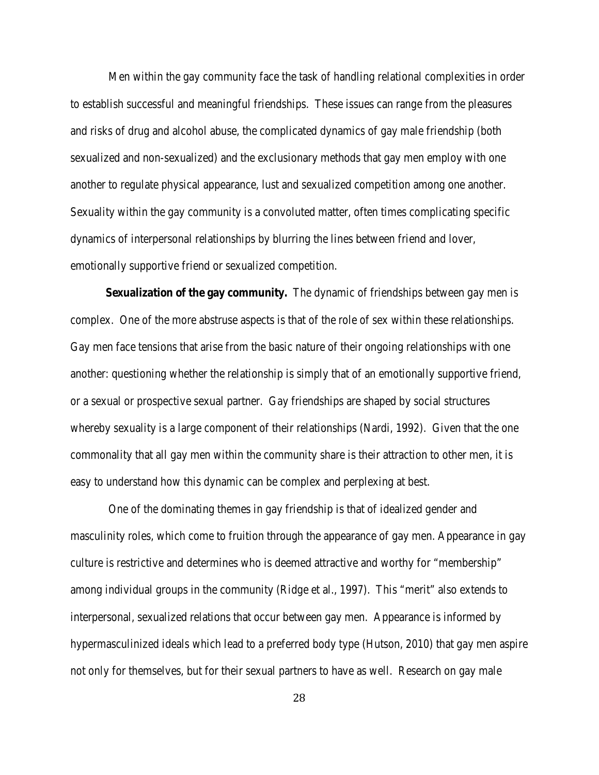Men within the gay community face the task of handling relational complexities in order to establish successful and meaningful friendships. These issues can range from the pleasures and risks of drug and alcohol abuse, the complicated dynamics of gay male friendship (both sexualized and non-sexualized) and the exclusionary methods that gay men employ with one another to regulate physical appearance, lust and sexualized competition among one another. Sexuality within the gay community is a convoluted matter, often times complicating specific dynamics of interpersonal relationships by blurring the lines between friend and lover, emotionally supportive friend or sexualized competition.

**Sexualization of the gay community.** The dynamic of friendships between gay men is complex. One of the more abstruse aspects is that of the role of sex within these relationships. Gay men face tensions that arise from the basic nature of their ongoing relationships with one another: questioning whether the relationship is simply that of an emotionally supportive friend, or a sexual or prospective sexual partner. Gay friendships are shaped by social structures whereby sexuality is a large component of their relationships (Nardi, 1992). Given that the one commonality that all gay men within the community share is their attraction to other men, it is easy to understand how this dynamic can be complex and perplexing at best.

One of the dominating themes in gay friendship is that of idealized gender and masculinity roles, which come to fruition through the appearance of gay men. Appearance in gay culture is restrictive and determines who is deemed attractive and worthy for "membership" among individual groups in the community (Ridge et al., 1997). This "merit" also extends to interpersonal, sexualized relations that occur between gay men. Appearance is informed by hypermasculinized ideals which lead to a preferred body type (Hutson, 2010) that gay men aspire not only for themselves, but for their sexual partners to have as well. Research on gay male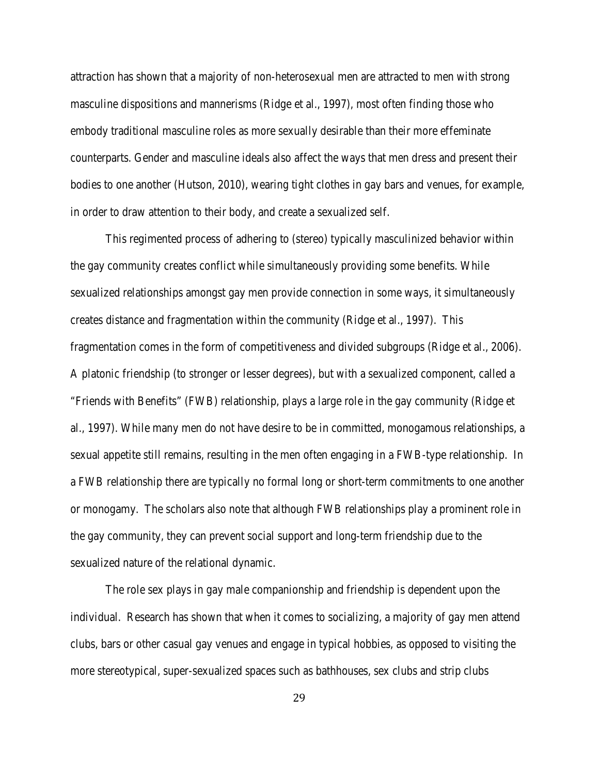attraction has shown that a majority of non-heterosexual men are attracted to men with strong masculine dispositions and mannerisms (Ridge et al., 1997), most often finding those who embody traditional masculine roles as more sexually desirable than their more effeminate counterparts. Gender and masculine ideals also affect the ways that men dress and present their bodies to one another (Hutson, 2010), wearing tight clothes in gay bars and venues, for example, in order to draw attention to their body, and create a sexualized self.

This regimented process of adhering to (stereo) typically masculinized behavior within the gay community creates conflict while simultaneously providing some benefits. While sexualized relationships amongst gay men provide connection in some ways, it simultaneously creates distance and fragmentation within the community (Ridge et al., 1997). This fragmentation comes in the form of competitiveness and divided subgroups (Ridge et al., 2006). A platonic friendship (to stronger or lesser degrees), but with a sexualized component, called a "Friends with Benefits" (FWB) relationship, plays a large role in the gay community (Ridge et al., 1997). While many men do not have desire to be in committed, monogamous relationships, a sexual appetite still remains, resulting in the men often engaging in a FWB-type relationship. In a FWB relationship there are typically no formal long or short-term commitments to one another or monogamy. The scholars also note that although FWB relationships play a prominent role in the gay community, they can prevent social support and long-term friendship due to the sexualized nature of the relational dynamic.

The role sex plays in gay male companionship and friendship is dependent upon the individual. Research has shown that when it comes to socializing, a majority of gay men attend clubs, bars or other casual gay venues and engage in typical hobbies, as opposed to visiting the more stereotypical, super-sexualized spaces such as bathhouses, sex clubs and strip clubs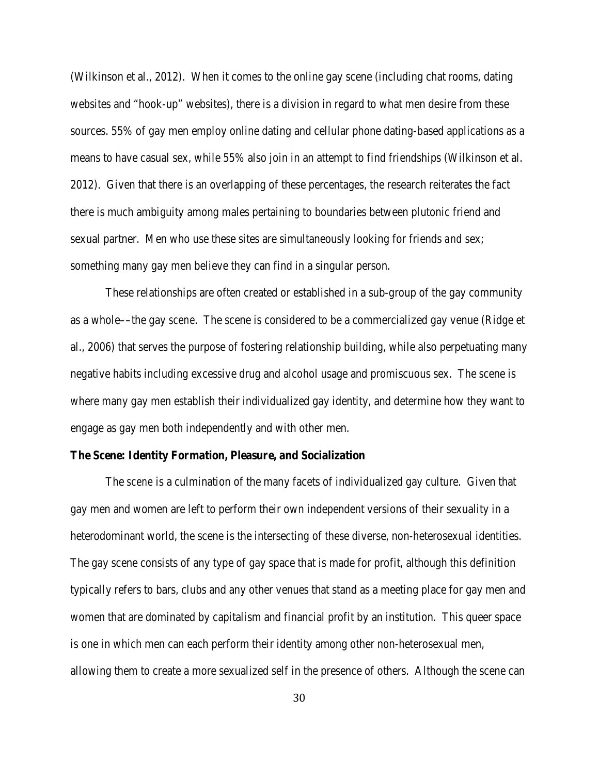(Wilkinson et al., 2012). When it comes to the online gay scene (including chat rooms, dating websites and "hook-up" websites), there is a division in regard to what men desire from these sources. 55% of gay men employ online dating and cellular phone dating-based applications as a means to have casual sex, while 55% also join in an attempt to find friendships (Wilkinson et al. 2012). Given that there is an overlapping of these percentages, the research reiterates the fact there is much ambiguity among males pertaining to boundaries between plutonic friend and sexual partner. Men who use these sites are simultaneously looking for friends *and* sex; something many gay men believe they can find in a singular person.

These relationships are often created or established in a sub-group of the gay community as a whole––the gay *scene*. The scene is considered to be a commercialized gay venue (Ridge et al., 2006) that serves the purpose of fostering relationship building, while also perpetuating many negative habits including excessive drug and alcohol usage and promiscuous sex. The scene is where many gay men establish their individualized gay identity, and determine how they want to engage as gay men both independently and with other men.

#### **The Scene: Identity Formation, Pleasure, and Socialization**

The *scene* is a culmination of the many facets of individualized gay culture. Given that gay men and women are left to perform their own independent versions of their sexuality in a heterodominant world, the scene is the intersecting of these diverse, non-heterosexual identities. The gay scene consists of any type of gay space that is made for profit, although this definition typically refers to bars, clubs and any other venues that stand as a meeting place for gay men and women that are dominated by capitalism and financial profit by an institution. This queer space is one in which men can each perform their identity among other non-heterosexual men, allowing them to create a more sexualized self in the presence of others. Although the scene can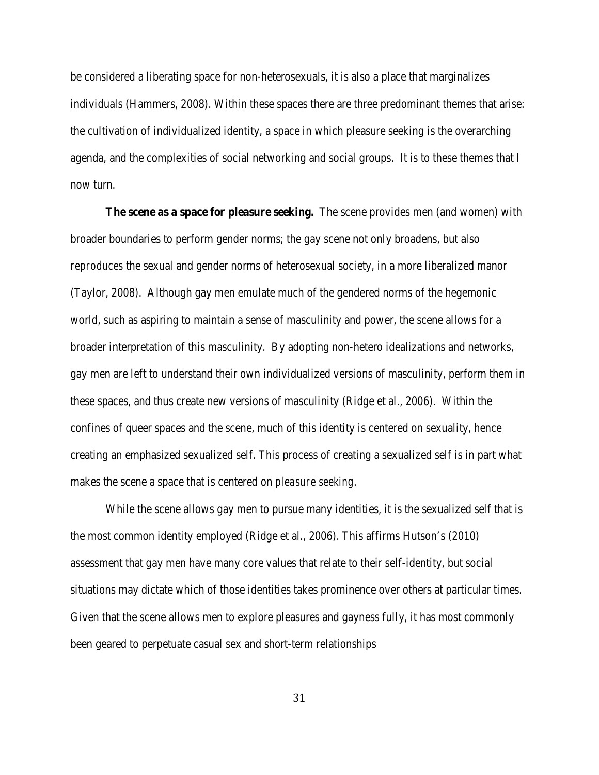be considered a liberating space for non-heterosexuals, it is also a place that marginalizes individuals (Hammers, 2008). Within these spaces there are three predominant themes that arise: the cultivation of individualized identity, a space in which pleasure seeking is the overarching agenda, and the complexities of social networking and social groups. It is to these themes that I now turn.

**The scene as a space for pleasure seeking.** The scene provides men (and women) with broader boundaries to perform gender norms; the gay scene not only broadens, but also *reproduces* the sexual and gender norms of heterosexual society, in a more liberalized manor (Taylor, 2008). Although gay men emulate much of the gendered norms of the hegemonic world, such as aspiring to maintain a sense of masculinity and power, the scene allows for a broader interpretation of this masculinity. By adopting non-hetero idealizations and networks, gay men are left to understand their own individualized versions of masculinity, perform them in these spaces, and thus create new versions of masculinity (Ridge et al., 2006). Within the confines of queer spaces and the scene, much of this identity is centered on sexuality, hence creating an emphasized sexualized self. This process of creating a sexualized self is in part what makes the scene a space that is centered on *pleasure seeking*.

While the scene allows gay men to pursue many identities, it is the sexualized self that is the most common identity employed (Ridge et al., 2006). This affirms Hutson's (2010) assessment that gay men have many core values that relate to their self-identity, but social situations may dictate which of those identities takes prominence over others at particular times. Given that the scene allows men to explore pleasures and gayness fully, it has most commonly been geared to perpetuate casual sex and short-term relationships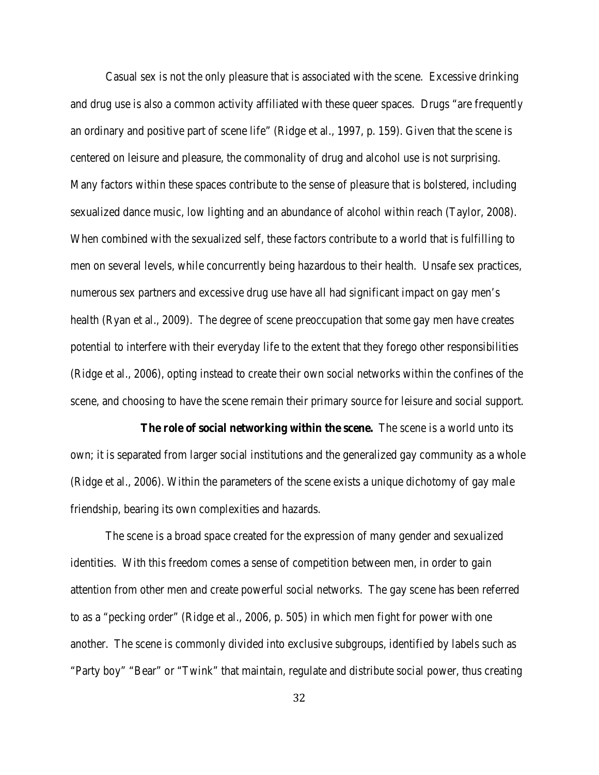Casual sex is not the only pleasure that is associated with the scene. Excessive drinking and drug use is also a common activity affiliated with these queer spaces. Drugs "are frequently an ordinary and positive part of scene life" (Ridge et al., 1997, p. 159). Given that the scene is centered on leisure and pleasure, the commonality of drug and alcohol use is not surprising. Many factors within these spaces contribute to the sense of pleasure that is bolstered, including sexualized dance music, low lighting and an abundance of alcohol within reach (Taylor, 2008). When combined with the sexualized self, these factors contribute to a world that is fulfilling to men on several levels, while concurrently being hazardous to their health. Unsafe sex practices, numerous sex partners and excessive drug use have all had significant impact on gay men's health (Ryan et al., 2009). The degree of scene preoccupation that some gay men have creates potential to interfere with their everyday life to the extent that they forego other responsibilities (Ridge et al., 2006), opting instead to create their own social networks within the confines of the scene, and choosing to have the scene remain their primary source for leisure and social support.

**The role of social networking within the scene.** The scene is a world unto its own; it is separated from larger social institutions and the generalized gay community as a whole (Ridge et al., 2006). Within the parameters of the scene exists a unique dichotomy of gay male friendship, bearing its own complexities and hazards.

The scene is a broad space created for the expression of many gender and sexualized identities. With this freedom comes a sense of competition between men, in order to gain attention from other men and create powerful social networks. The gay scene has been referred to as a "pecking order" (Ridge et al., 2006, p. 505) in which men fight for power with one another. The scene is commonly divided into exclusive subgroups, identified by labels such as "Party boy" "Bear" or "Twink" that maintain, regulate and distribute social power, thus creating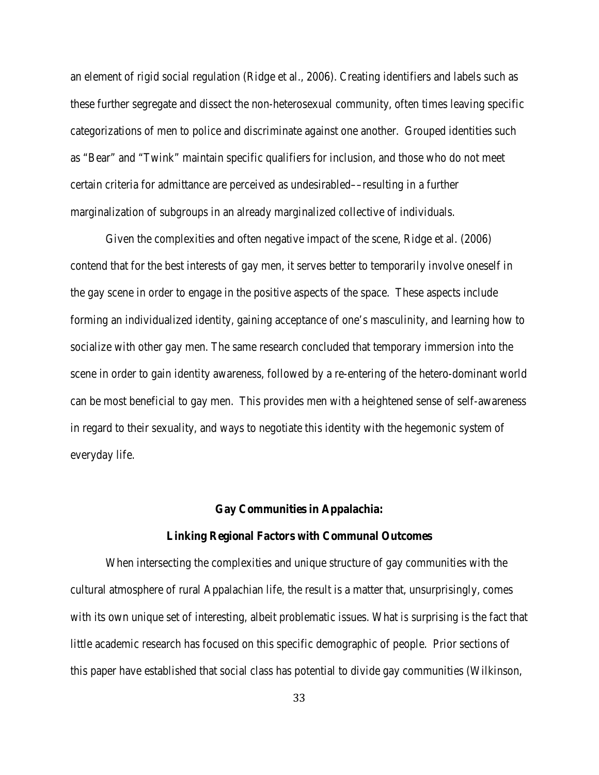an element of rigid social regulation (Ridge et al., 2006). Creating identifiers and labels such as these further segregate and dissect the non-heterosexual community, often times leaving specific categorizations of men to police and discriminate against one another. Grouped identities such as "Bear" and "Twink" maintain specific qualifiers for inclusion, and those who do not meet certain criteria for admittance are perceived as undesirabled––resulting in a further marginalization of subgroups in an already marginalized collective of individuals.

Given the complexities and often negative impact of the scene, Ridge et al. (2006) contend that for the best interests of gay men, it serves better to temporarily involve oneself in the gay scene in order to engage in the positive aspects of the space. These aspects include forming an individualized identity, gaining acceptance of one's masculinity, and learning how to socialize with other gay men. The same research concluded that temporary immersion into the scene in order to gain identity awareness, followed by a re-entering of the hetero-dominant world can be most beneficial to gay men. This provides men with a heightened sense of self-awareness in regard to their sexuality, and ways to negotiate this identity with the hegemonic system of everyday life.

## **Gay Communities in Appalachia:**

#### **Linking Regional Factors with Communal Outcomes**

When intersecting the complexities and unique structure of gay communities with the cultural atmosphere of rural Appalachian life, the result is a matter that, unsurprisingly, comes with its own unique set of interesting, albeit problematic issues. What *is* surprising is the fact that little academic research has focused on this specific demographic of people. Prior sections of this paper have established that social class has potential to divide gay communities (Wilkinson,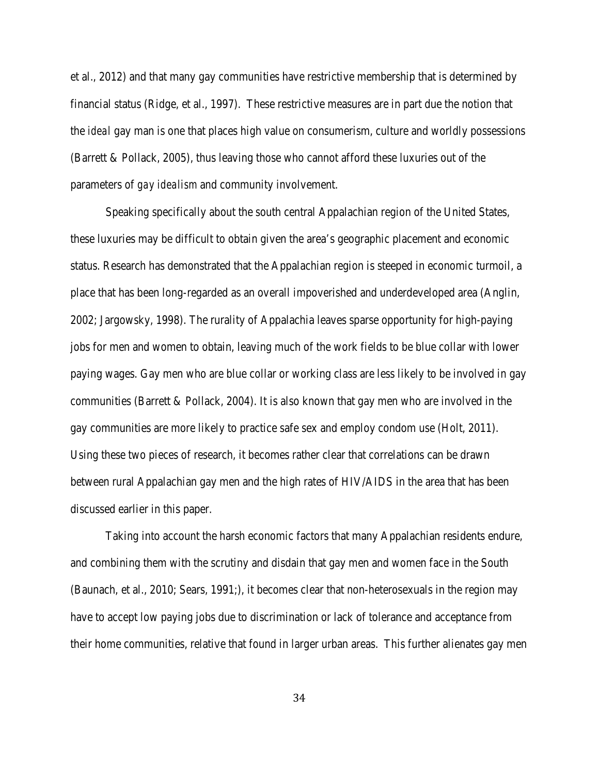et al., 2012) and that many gay communities have restrictive membership that is determined by financial status (Ridge, et al., 1997). These restrictive measures are in part due the notion that the *ideal* gay man is one that places high value on consumerism, culture and worldly possessions (Barrett & Pollack, 2005), thus leaving those who cannot afford these luxuries out of the parameters of *gay idealism* and community involvement.

Speaking specifically about the south central Appalachian region of the United States, these luxuries may be difficult to obtain given the area's geographic placement and economic status. Research has demonstrated that the Appalachian region is steeped in economic turmoil, a place that has been long-regarded as an overall impoverished and underdeveloped area (Anglin, 2002; Jargowsky, 1998). The rurality of Appalachia leaves sparse opportunity for high-paying jobs for men and women to obtain, leaving much of the work fields to be blue collar with lower paying wages. Gay men who are blue collar or working class are less likely to be involved in gay communities (Barrett & Pollack, 2004). It is also known that gay men who are involved in the gay communities are more likely to practice safe sex and employ condom use (Holt, 2011). Using these two pieces of research, it becomes rather clear that correlations can be drawn between rural Appalachian gay men and the high rates of HIV/AIDS in the area that has been discussed earlier in this paper.

Taking into account the harsh economic factors that many Appalachian residents endure, and combining them with the scrutiny and disdain that gay men and women face in the South (Baunach, et al., 2010; Sears, 1991;), it becomes clear that non-heterosexuals in the region may have to accept low paying jobs due to discrimination or lack of tolerance and acceptance from their home communities, relative that found in larger urban areas. This further alienates gay men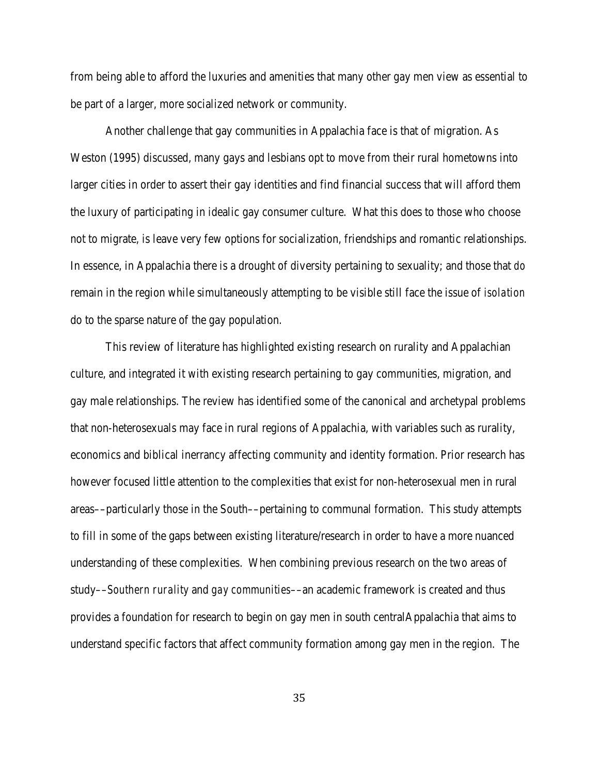from being able to afford the luxuries and amenities that many other gay men view as essential to be part of a larger, more socialized network or community.

Another challenge that gay communities in Appalachia face is that of migration. As Weston (1995) discussed, many gays and lesbians opt to move from their rural hometowns into larger cities in order to assert their gay identities and find financial success that will afford them the luxury of participating in idealic gay consumer culture. What this does to those who choose not to migrate, is leave very few options for socialization, friendships and romantic relationships. In essence, in Appalachia there is a drought of diversity pertaining to sexuality; and those that *do* remain in the region while simultaneously attempting to be visible still face the issue of *isolation* do to the sparse nature of the gay population.

This review of literature has highlighted existing research on rurality and Appalachian culture, and integrated it with existing research pertaining to gay communities, migration, and gay male relationships. The review has identified some of the canonical and archetypal problems that non-heterosexuals may face in rural regions of Appalachia, with variables such as rurality, economics and biblical inerrancy affecting community and identity formation. Prior research has however focused little attention to the complexities that exist for non-heterosexual men in rural areas––particularly those in the South––pertaining to communal formation. This study attempts to fill in some of the gaps between existing literature/research in order to have a more nuanced understanding of these complexities. When combining previous research on the two areas of study––*Southern rurality* and *gay communities*––an academic framework is created and thus provides a foundation for research to begin on gay men in south centralAppalachia that aims to understand specific factors that affect community formation among gay men in the region. The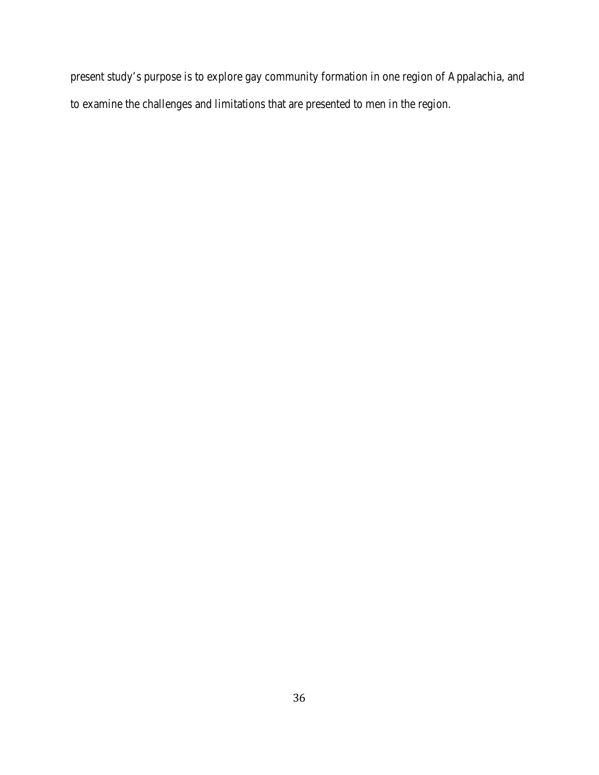present study's purpose is to explore gay community formation in one region of Appalachia, and to examine the challenges and limitations that are presented to men in the region.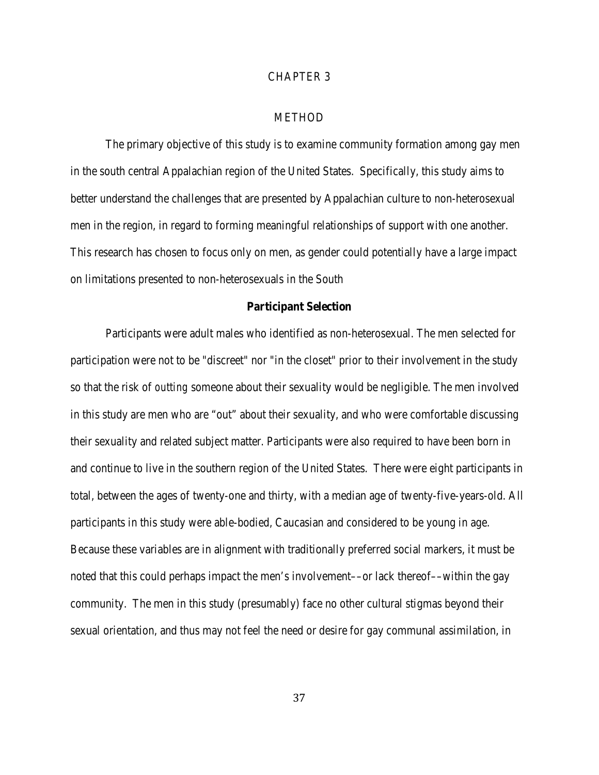# CHAPTER 3

# METHOD

The primary objective of this study is to examine community formation among gay men in the south central Appalachian region of the United States. Specifically, this study aims to better understand the challenges that are presented by Appalachian culture to non-heterosexual men in the region, in regard to forming meaningful relationships of support with one another. This research has chosen to focus only on men, as gender could potentially have a large impact on limitations presented to non-heterosexuals in the South

#### **Participant Selection**

Participants were adult males who identified as non-heterosexual. The men selected for participation were not to be "discreet" nor "in the closet" prior to their involvement in the study so that the risk of *outting* someone about their sexuality would be negligible. The men involved in this study are men who are "out" about their sexuality, and who were comfortable discussing their sexuality and related subject matter. Participants were also required to have been born in and continue to live in the southern region of the United States. There were eight participants in total, between the ages of twenty-one and thirty, with a median age of twenty-five-years-old. All participants in this study were able-bodied, Caucasian and considered to be young in age. Because these variables are in alignment with traditionally preferred social markers, it must be noted that this could perhaps impact the men's involvement—or lack thereof—within the gay community. The men in this study (presumably) face no other cultural stigmas beyond their sexual orientation, and thus may not feel the need or desire for gay communal assimilation, in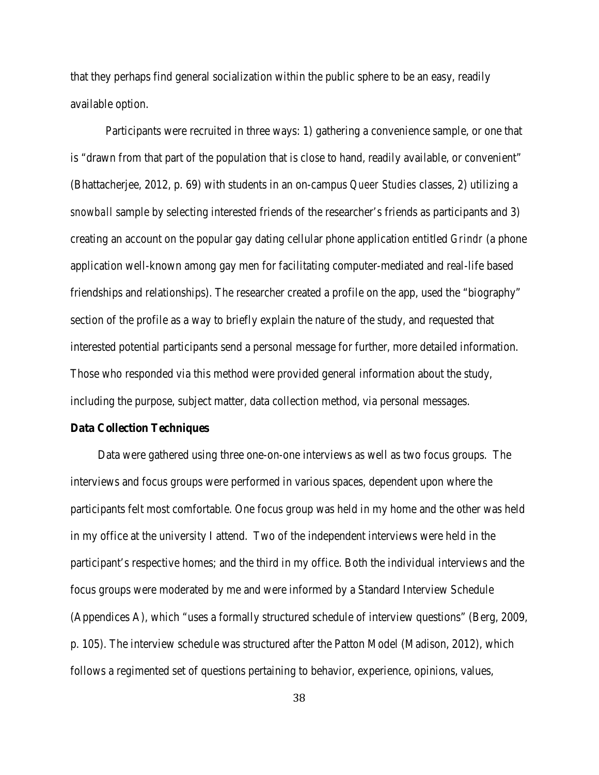that they perhaps find general socialization within the public sphere to be an easy, readily available option.

Participants were recruited in three ways: 1) gathering a convenience sample, or one that is "drawn from that part of the population that is close to hand, readily available, or convenient" (Bhattacherjee, 2012, p. 69) with students in an on-campus *Queer Studies* classes, 2) utilizing a *snowball* sample by selecting interested friends of the researcher's friends as participants and 3) creating an account on the popular gay dating cellular phone application entitled *Grindr* (a phone application well-known among gay men for facilitating computer-mediated and real-life based friendships and relationships). The researcher created a profile on the app, used the "biography" section of the profile as a way to briefly explain the nature of the study, and requested that interested potential participants send a personal message for further, more detailed information. Those who responded via this method were provided general information about the study, including the purpose, subject matter, data collection method, via personal messages.

# **Data Collection Techniques**

Data were gathered using three one-on-one interviews as well as two focus groups. The interviews and focus groups were performed in various spaces, dependent upon where the participants felt most comfortable. One focus group was held in my home and the other was held in my office at the university I attend. Two of the independent interviews were held in the participant's respective homes; and the third in my office. Both the individual interviews and the focus groups were moderated by me and were informed by a Standard Interview Schedule (Appendices A), which "uses a formally structured schedule of interview questions" (Berg, 2009, p. 105). The interview schedule was structured after the Patton Model (Madison, 2012), which follows a regimented set of questions pertaining to behavior, experience, opinions, values,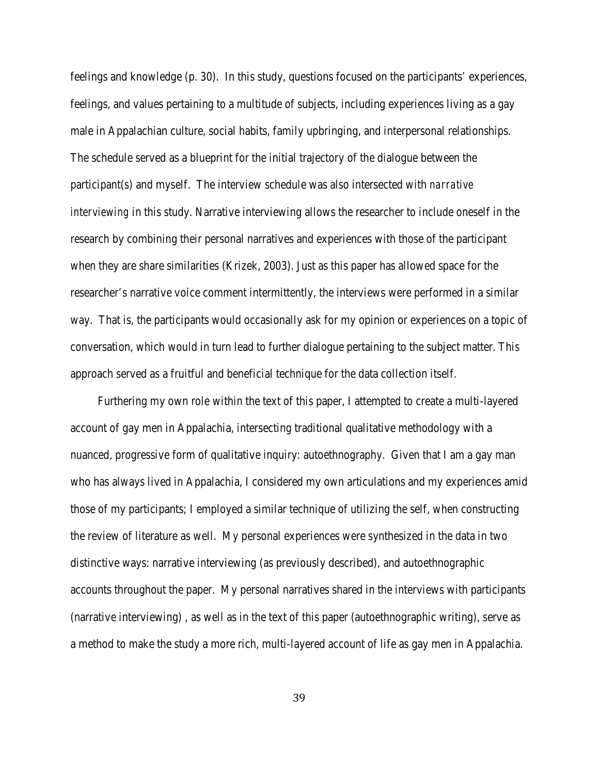feelings and knowledge (p. 30). In this study, questions focused on the participants' experiences, feelings, and values pertaining to a multitude of subjects, including experiences living as a gay male in Appalachian culture, social habits, family upbringing, and interpersonal relationships. The schedule served as a blueprint for the initial trajectory of the dialogue between the participant(s) and myself. The interview schedule was also intersected with *narrative interviewing* in this study. Narrative interviewing allows the researcher to include oneself in the research by combining their personal narratives and experiences with those of the participant when they are share similarities (Krizek, 2003). Just as this paper has allowed space for the researcher's narrative voice comment intermittently, the interviews were performed in a similar way. That is, the participants would occasionally ask for my opinion or experiences on a topic of conversation, which would in turn lead to further dialogue pertaining to the subject matter. This approach served as a fruitful and beneficial technique for the data collection itself.

Furthering my own role within the text of this paper, I attempted to create a multi-layered account of gay men in Appalachia, intersecting traditional qualitative methodology with a nuanced, progressive form of qualitative inquiry: autoethnography. Given that I am a gay man who has always lived in Appalachia, I considered my own articulations and my experiences amid those of my participants; I employed a similar technique of utilizing the self, when constructing the review of literature as well. My personal experiences were synthesized in the data in two distinctive ways: narrative interviewing (as previously described), and autoethnographic accounts throughout the paper. My personal narratives shared in the interviews with participants (narrative interviewing) , as well as in the text of this paper (autoethnographic writing), serve as a method to make the study a more rich, multi-layered account of life as gay men in Appalachia.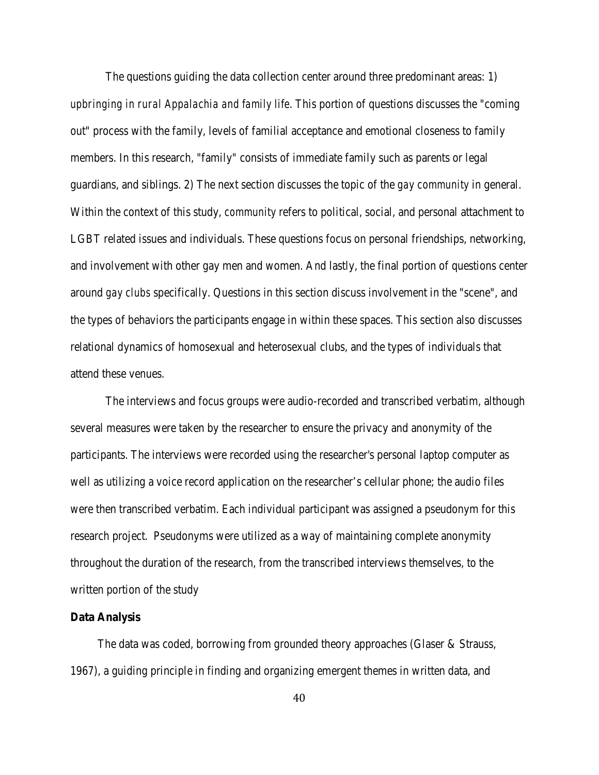The questions guiding the data collection center around three predominant areas: 1) *upbringing in rural Appalachia and family life*. This portion of questions discusses the "coming out" process with the family, levels of familial acceptance and emotional closeness to family members. In this research, "family" consists of immediate family such as parents or legal guardians, and siblings. 2) The next section discusses the topic of the *gay community* in general. Within the context of this study, *community* refers to political, social, and personal attachment to LGBT related issues and individuals. These questions focus on personal friendships, networking, and involvement with other gay men and women. And lastly, the final portion of questions center around *gay clubs* specifically. Questions in this section discuss involvement in the "scene", and the types of behaviors the participants engage in within these spaces. This section also discusses relational dynamics of homosexual and heterosexual clubs, and the types of individuals that attend these venues.

The interviews and focus groups were audio-recorded and transcribed verbatim, although several measures were taken by the researcher to ensure the privacy and anonymity of the participants. The interviews were recorded using the researcher's personal laptop computer as well as utilizing a voice record application on the researcher's cellular phone; the audio files were then transcribed verbatim. Each individual participant was assigned a pseudonym for this research project. Pseudonyms were utilized as a way of maintaining complete anonymity throughout the duration of the research, from the transcribed interviews themselves, to the written portion of the study

### **Data Analysis**

The data was coded, borrowing from grounded theory approaches (Glaser & Strauss, 1967), a guiding principle in finding and organizing emergent themes in written data, and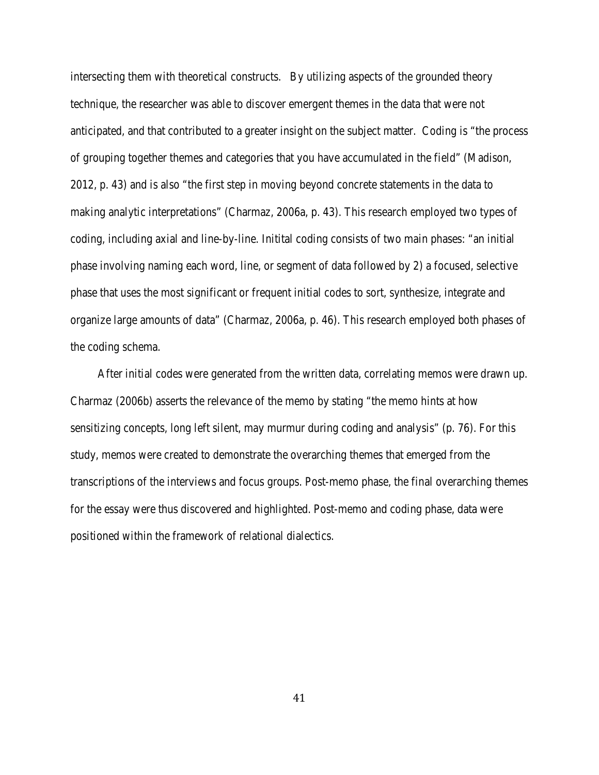intersecting them with theoretical constructs. By utilizing aspects of the grounded theory technique, the researcher was able to discover emergent themes in the data that were not anticipated, and that contributed to a greater insight on the subject matter. Coding is "the process of grouping together themes and categories that you have accumulated in the field" (Madison, 2012, p. 43) and is also "the first step in moving beyond concrete statements in the data to making analytic interpretations" (Charmaz, 2006a, p. 43). This research employed two types of coding, including axial and line-by-line. Initital coding consists of two main phases: "an initial phase involving naming each word, line, or segment of data followed by 2) a focused, selective phase that uses the most significant or frequent initial codes to sort, synthesize, integrate and organize large amounts of data" (Charmaz, 2006a, p. 46). This research employed both phases of the coding schema.

After initial codes were generated from the written data, correlating memos were drawn up. Charmaz (2006b) asserts the relevance of the memo by stating "the memo hints at how sensitizing concepts, long left silent, may murmur during coding and analysis" (p. 76). For this study, memos were created to demonstrate the overarching themes that emerged from the transcriptions of the interviews and focus groups. Post-memo phase, the final overarching themes for the essay were thus discovered and highlighted. Post-memo and coding phase, data were positioned within the framework of relational dialectics.

41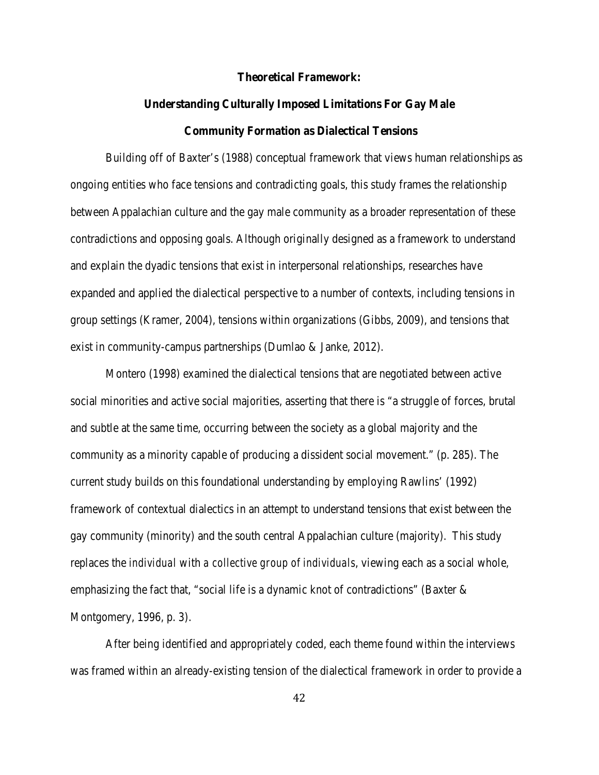#### **Theoretical Framework:**

# **Understanding Culturally Imposed Limitations For Gay Male Community Formation as Dialectical Tensions**

Building off of Baxter's (1988) conceptual framework that views human relationships as ongoing entities who face tensions and contradicting goals, this study frames the relationship between Appalachian culture and the gay male community as a broader representation of these contradictions and opposing goals. Although originally designed as a framework to understand and explain the dyadic tensions that exist in interpersonal relationships, researches have expanded and applied the dialectical perspective to a number of contexts, including tensions in group settings (Kramer, 2004), tensions within organizations (Gibbs, 2009), and tensions that exist in community-campus partnerships (Dumlao & Janke, 2012).

Montero (1998) examined the dialectical tensions that are negotiated between active social minorities and active social majorities, asserting that there is "a struggle of forces, brutal and subtle at the same time, occurring between the society as a global majority and the community as a minority capable of producing a dissident social movement." (p. 285). The current study builds on this foundational understanding by employing Rawlins' (1992) framework of contextual dialectics in an attempt to understand tensions that exist between the gay community (minority) and the south central Appalachian culture (majority). This study replaces the *individual* with *a collective group of individuals*, viewing each as a social whole, emphasizing the fact that, "social life is a dynamic knot of contradictions" (Baxter  $\&$ Montgomery, 1996, p. 3).

After being identified and appropriately coded, each theme found within the interviews was framed within an already-existing tension of the dialectical framework in order to provide a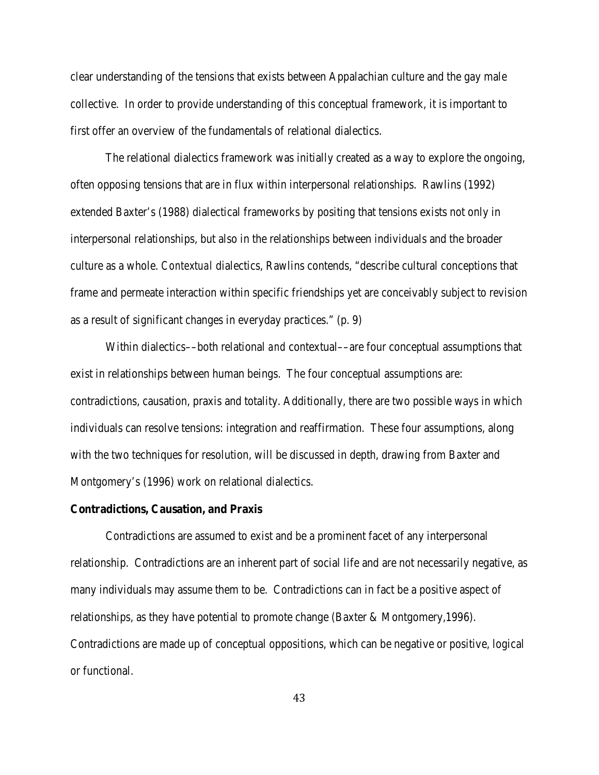clear understanding of the tensions that exists between Appalachian culture and the gay male collective. In order to provide understanding of this conceptual framework, it is important to first offer an overview of the fundamentals of relational dialectics.

The relational dialectics framework was initially created as a way to explore the ongoing, often opposing tensions that are in flux within interpersonal relationships. Rawlins (1992) extended Baxter's (1988) dialectical frameworks by positing that tensions exists not only in interpersonal relationships, but also in the relationships between individuals and the broader culture as a whole. *Contextual* dialectics, Rawlins contends, "describe cultural conceptions that frame and permeate interaction within specific friendships yet are conceivably subject to revision as a result of significant changes in everyday practices." (p. 9)

Within dialectics––both relational *and* contextual––are four conceptual assumptions that exist in relationships between human beings. The four conceptual assumptions are: contradictions, causation, praxis and totality. Additionally, there are two possible ways in which individuals can resolve tensions: integration and reaffirmation. These four assumptions, along with the two techniques for resolution, will be discussed in depth, drawing from Baxter and Montgomery's (1996) work on relational dialectics.

### **Contradictions, Causation, and Praxis**

Contradictions are assumed to exist and be a prominent facet of any interpersonal relationship. Contradictions are an inherent part of social life and are not necessarily negative, as many individuals may assume them to be. Contradictions can in fact be a positive aspect of relationships, as they have potential to promote change (Baxter & Montgomery,1996). Contradictions are made up of conceptual oppositions, which can be negative or positive, logical or functional.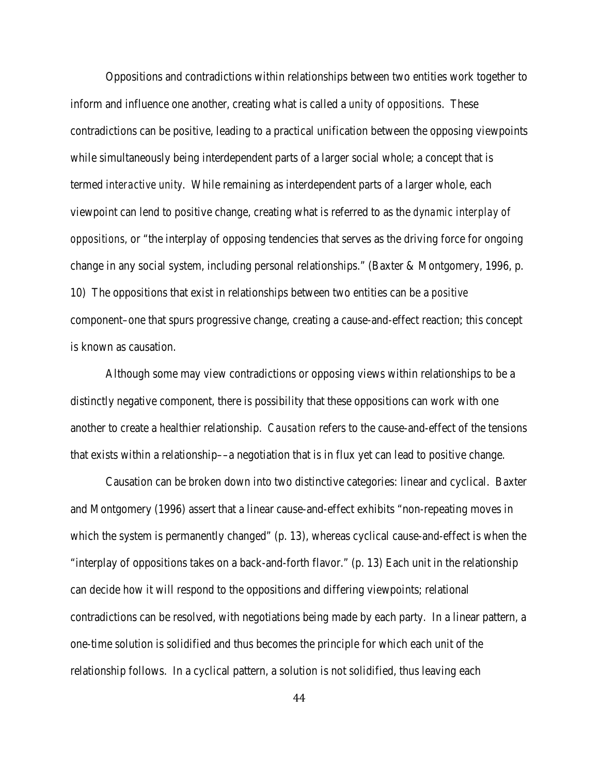Oppositions and contradictions within relationships between two entities work together to inform and influence one another, creating what is called a *unity of oppositions*. These contradictions can be positive, leading to a practical unification between the opposing viewpoints while simultaneously being interdependent parts of a larger social whole; a concept that is termed *interactive unity*. While remaining as interdependent parts of a larger whole, each viewpoint can lend to positive change, creating what is referred to as the *dynamic interplay of oppositions,* or "the interplay of opposing tendencies that serves as the driving force for ongoing change in any social system, including personal relationships." (Baxter & Montgomery, 1996, p. 10) The oppositions that exist in relationships between two entities can be a *positive* component–one that spurs progressive change, creating a cause-and-effect reaction; this concept is known as causation.

Although some may view contradictions or opposing views within relationships to be a distinctly negative component, there is possibility that these oppositions can work with one another to create a healthier relationship. *Causation* refers to the cause-and-effect of the tensions that exists within a relationship––a negotiation that is in flux yet can lead to positive change.

Causation can be broken down into two distinctive categories: linear and cyclical. Baxter and Montgomery (1996) assert that a linear cause-and-effect exhibits "non-repeating moves in which the system is permanently changed" (p. 13), whereas cyclical cause-and-effect is when the "interplay of oppositions takes on a back-and-forth flavor." (p. 13) Each unit in the relationship can decide how it will respond to the oppositions and differing viewpoints; relational contradictions can be resolved, with negotiations being made by each party. In a linear pattern, a one-time solution is solidified and thus becomes the principle for which each unit of the relationship follows. In a cyclical pattern, a solution is not solidified, thus leaving each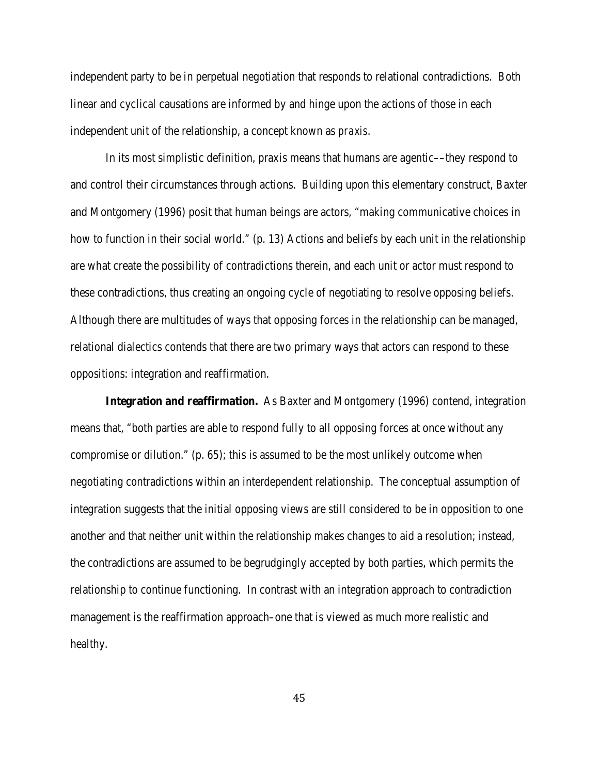independent party to be in perpetual negotiation that responds to relational contradictions. Both linear and cyclical causations are informed by and hinge upon the actions of those in each independent unit of the relationship, a concept known as *praxis*.

In its most simplistic definition, praxis means that humans are agentic––they respond to and control their circumstances through actions. Building upon this elementary construct, Baxter and Montgomery (1996) posit that human beings are actors, "making communicative choices in how to function in their social world." (p. 13) Actions and beliefs by each unit in the relationship are what create the possibility of contradictions therein, and each unit or actor must respond to these contradictions, thus creating an ongoing cycle of negotiating to resolve opposing beliefs. Although there are multitudes of ways that opposing forces in the relationship can be managed, relational dialectics contends that there are two primary ways that actors can respond to these oppositions: integration and reaffirmation.

**Integration and reaffirmation.** As Baxter and Montgomery (1996) contend, integration means that, "both parties are able to respond fully to all opposing forces at once without any compromise or dilution." (p. 65); this is assumed to be the most unlikely outcome when negotiating contradictions within an interdependent relationship. The conceptual assumption of integration suggests that the initial opposing views are still considered to be in opposition to one another and that neither unit within the relationship makes changes to aid a resolution; instead, the contradictions are assumed to be begrudgingly accepted by both parties, which permits the relationship to continue functioning. In contrast with an integration approach to contradiction management is the reaffirmation approach–one that is viewed as much more realistic and healthy.

45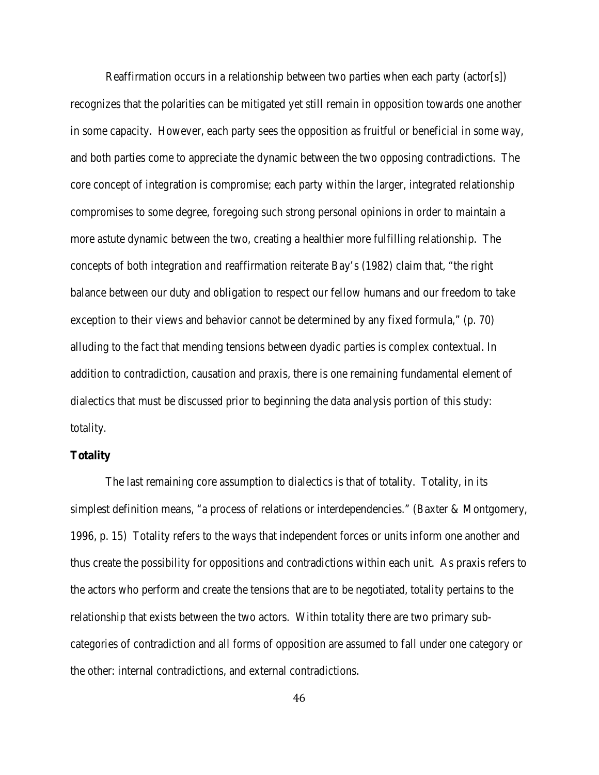Reaffirmation occurs in a relationship between two parties when each party (actor[s]) recognizes that the polarities can be mitigated yet still remain in opposition towards one another in some capacity. However, each party sees the opposition as fruitful or beneficial in some way, and both parties come to appreciate the dynamic between the two opposing contradictions. The core concept of integration is compromise; each party within the larger, integrated relationship compromises to some degree, foregoing such strong personal opinions in order to maintain a more astute dynamic between the two, creating a healthier more fulfilling relationship. The concepts of both integration *and* reaffirmation reiterate Bay's (1982) claim that, "the right balance between our duty and obligation to respect our fellow humans and our freedom to take exception to their views and behavior cannot be determined by any fixed formula," (p. 70) alluding to the fact that mending tensions between dyadic parties is complex contextual. In addition to contradiction, causation and praxis, there is one remaining fundamental element of dialectics that must be discussed prior to beginning the data analysis portion of this study: totality.

# **Totality**

The last remaining core assumption to dialectics is that of totality. Totality, in its simplest definition means, "a process of relations or interdependencies." (Baxter & Montgomery, 1996, p. 15) Totality refers to the ways that independent forces or units inform one another and thus create the possibility for oppositions and contradictions within each unit. As praxis refers to the actors who perform and create the tensions that are to be negotiated, totality pertains to the relationship that exists between the two actors. Within totality there are two primary subcategories of contradiction and all forms of opposition are assumed to fall under one category or the other: internal contradictions, and external contradictions.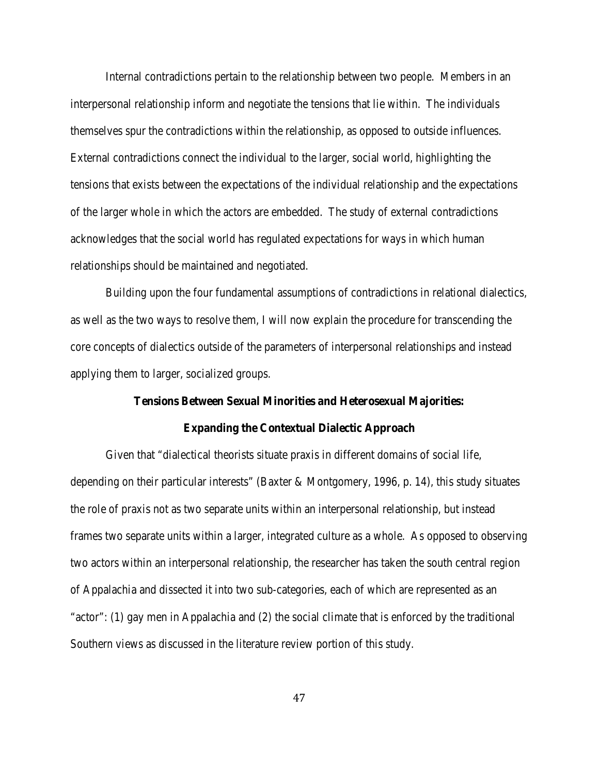Internal contradictions pertain to the relationship between two people. Members in an interpersonal relationship inform and negotiate the tensions that lie within. The individuals themselves spur the contradictions within the relationship, as opposed to outside influences. External contradictions connect the individual to the larger, social world, highlighting the tensions that exists between the expectations of the individual relationship and the expectations of the larger whole in which the actors are embedded. The study of external contradictions acknowledges that the social world has regulated expectations for ways in which human relationships should be maintained and negotiated.

Building upon the four fundamental assumptions of contradictions in relational dialectics, as well as the two ways to resolve them, I will now explain the procedure for transcending the core concepts of dialectics outside of the parameters of interpersonal relationships and instead applying them to larger, socialized groups.

# **Tensions Between Sexual Minorities and Heterosexual Majorities:**

#### **Expanding the Contextual Dialectic Approach**

Given that "dialectical theorists situate praxis in different domains of social life, depending on their particular interests" (Baxter & Montgomery, 1996, p. 14), this study situates the role of praxis not as two separate units within an interpersonal relationship, but instead frames two separate units within a larger, integrated culture as a whole. As opposed to observing two actors within an interpersonal relationship, the researcher has taken the south central region of Appalachia and dissected it into two sub-categories, each of which are represented as an "actor": (1) gay men in Appalachia and (2) the social climate that is enforced by the traditional Southern views as discussed in the literature review portion of this study.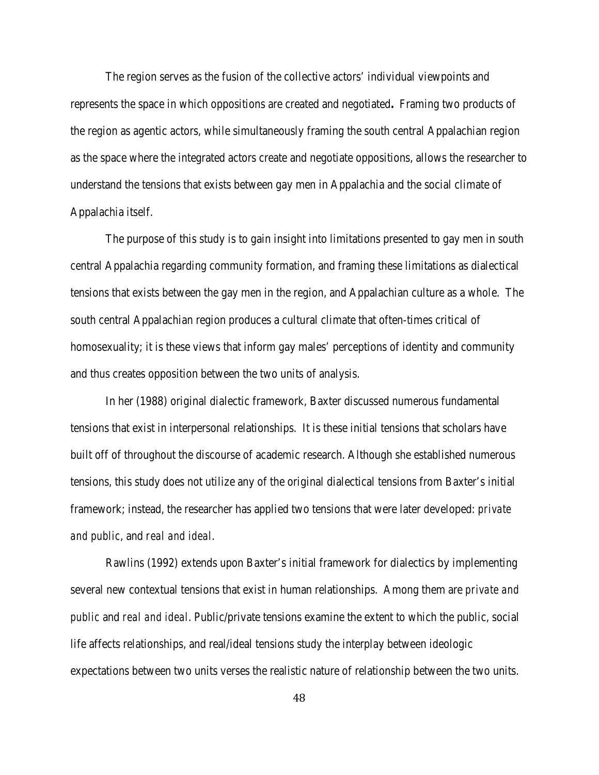The region serves as the fusion of the collective actors' individual viewpoints and represents the space in which oppositions are created and negotiated**.** Framing two products of the region as agentic actors, while simultaneously framing the south central Appalachian region as the space where the integrated actors create and negotiate oppositions, allows the researcher to understand the tensions that exists between gay men in Appalachia and the social climate of Appalachia itself.

The purpose of this study is to gain insight into limitations presented to gay men in south central Appalachia regarding community formation, and framing these limitations as dialectical tensions that exists between the gay men in the region, and Appalachian culture as a whole. The south central Appalachian region produces a cultural climate that often-times critical of homosexuality; it is these views that inform gay males' perceptions of identity and community and thus creates opposition between the two units of analysis.

In her (1988) original dialectic framework, Baxter discussed numerous fundamental tensions that exist in interpersonal relationships. It is these initial tensions that scholars have built off of throughout the discourse of academic research. Although she established numerous tensions, this study does not utilize any of the original dialectical tensions from Baxter's initial framework; instead, the researcher has applied two tensions that were later developed: *private and public*, and *real and ideal*.

Rawlins (1992) extends upon Baxter's initial framework for dialectics by implementing several new contextual tensions that exist in human relationships. Among them are *private and public* and *real and ideal*. Public/private tensions examine the extent to which the public, social life affects relationships, and real/ideal tensions study the interplay between ideologic expectations between two units verses the realistic nature of relationship between the two units.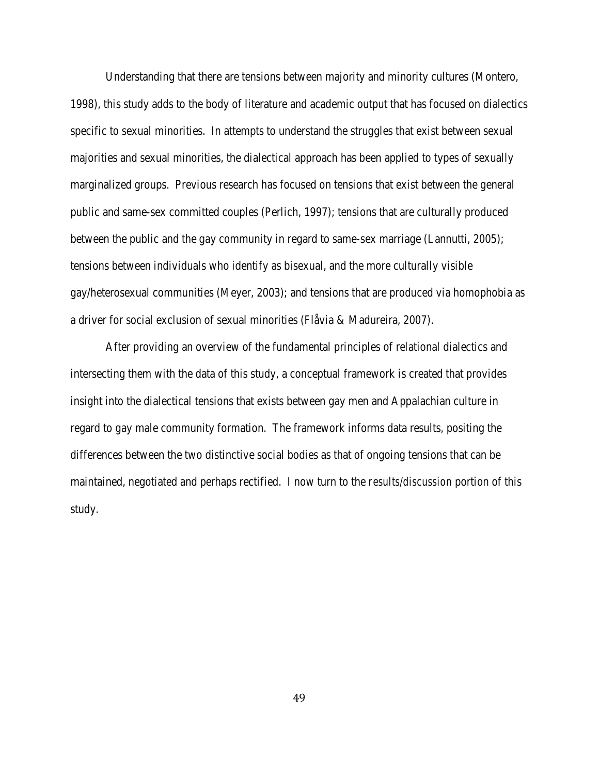Understanding that there are tensions between majority and minority cultures (Montero, 1998), this study adds to the body of literature and academic output that has focused on dialectics specific to sexual minorities. In attempts to understand the struggles that exist between sexual majorities and sexual minorities, the dialectical approach has been applied to types of sexually marginalized groups. Previous research has focused on tensions that exist between the general public and same-sex committed couples (Perlich, 1997); tensions that are culturally produced between the public and the gay community in regard to same-sex marriage (Lannutti, 2005); tensions between individuals who identify as bisexual, and the more culturally visible gay/heterosexual communities (Meyer, 2003); and tensions that are produced via homophobia as a driver for social exclusion of sexual minorities (Flåvia & Madureira, 2007).

After providing an overview of the fundamental principles of relational dialectics and intersecting them with the data of this study, a conceptual framework is created that provides insight into the dialectical tensions that exists between gay men and Appalachian culture in regard to gay male community formation. The framework informs data results, positing the differences between the two distinctive social bodies as that of ongoing tensions that can be maintained, negotiated and perhaps rectified. I now turn to the *results/discussion* portion of this study.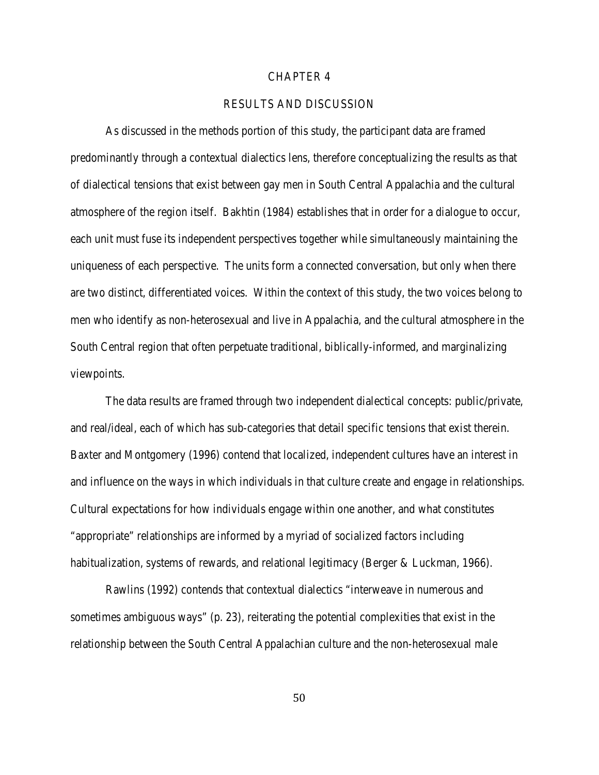# CHAPTER 4

# RESULTS AND DISCUSSION

As discussed in the methods portion of this study, the participant data are framed predominantly through a contextual dialectics lens, therefore conceptualizing the results as that of dialectical tensions that exist between gay men in South Central Appalachia and the cultural atmosphere of the region itself. Bakhtin (1984) establishes that in order for a dialogue to occur, each unit must fuse its independent perspectives together while simultaneously maintaining the uniqueness of each perspective. The units form a connected conversation, but only when there are two distinct, differentiated voices. Within the context of this study, the two voices belong to men who identify as non-heterosexual and live in Appalachia, and the cultural atmosphere in the South Central region that often perpetuate traditional, biblically-informed, and marginalizing viewpoints.

The data results are framed through two independent dialectical concepts: public/private, and real/ideal, each of which has sub-categories that detail specific tensions that exist therein. Baxter and Montgomery (1996) contend that localized, independent cultures have an interest in and influence on the ways in which individuals in that culture create and engage in relationships. Cultural expectations for how individuals engage within one another, and what constitutes "appropriate" relationships are informed by a myriad of socialized factors including habitualization, systems of rewards, and relational legitimacy (Berger & Luckman, 1966).

Rawlins (1992) contends that contextual dialectics "interweave in numerous and sometimes ambiguous ways" (p. 23), reiterating the potential complexities that exist in the relationship between the South Central Appalachian culture and the non-heterosexual male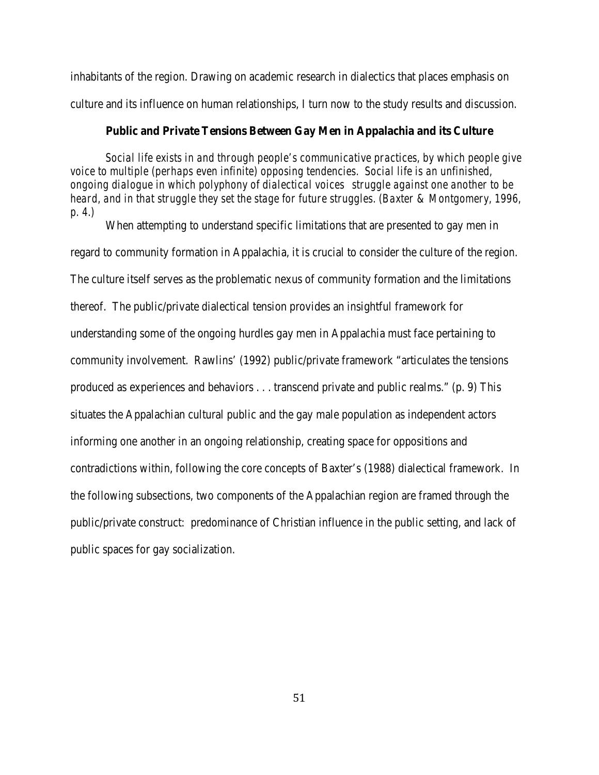inhabitants of the region. Drawing on academic research in dialectics that places emphasis on culture and its influence on human relationships, I turn now to the study results and discussion.

## **Public and Private Tensions Between Gay Men in Appalachia and its Culture**

*Social life exists in and through people's communicative practices, by which people give voice to multiple (perhaps even infinite) opposing tendencies. Social life is an unfinished, ongoing dialogue in which polyphony of dialectical voices struggle against one another to be heard, and in that struggle they set the stage for future struggles. (Baxter & Montgomery, 1996, p. 4.)*

When attempting to understand specific limitations that are presented to gay men in regard to community formation in Appalachia, it is crucial to consider the culture of the region. The culture itself serves as the problematic nexus of community formation and the limitations thereof. The public/private dialectical tension provides an insightful framework for understanding some of the ongoing hurdles gay men in Appalachia must face pertaining to community involvement. Rawlins' (1992) public/private framework "articulates the tensions produced as experiences and behaviors . . . transcend private and public realms." (p. 9) This situates the Appalachian cultural public and the gay male population as independent actors informing one another in an ongoing relationship, creating space for oppositions and contradictions within, following the core concepts of Baxter's (1988) dialectical framework. In the following subsections, two components of the Appalachian region are framed through the public/private construct: predominance of Christian influence in the public setting, and lack of public spaces for gay socialization.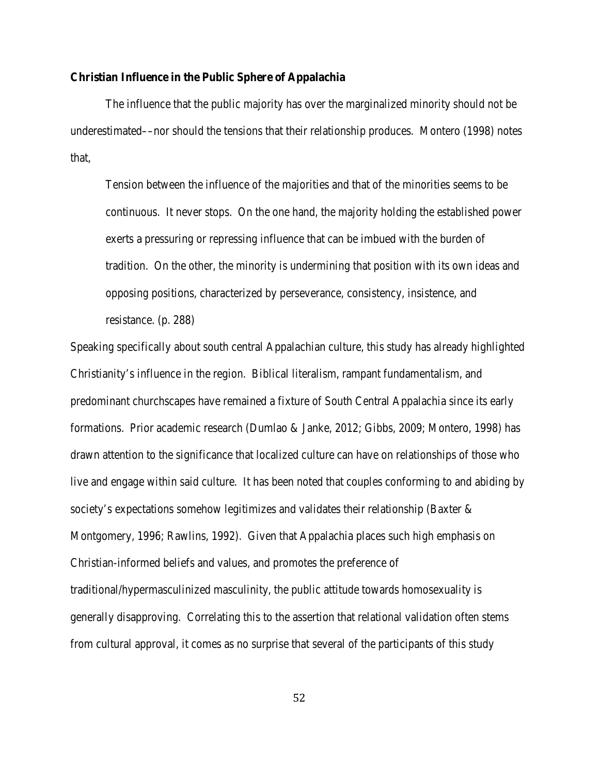# **Christian Influence in the Public Sphere of Appalachia**

The influence that the public majority has over the marginalized minority should not be underestimated––nor should the tensions that their relationship produces. Montero (1998) notes that,

Tension between the influence of the majorities and that of the minorities seems to be continuous. It never stops. On the one hand, the majority holding the established power exerts a pressuring or repressing influence that can be imbued with the burden of tradition. On the other, the minority is undermining that position with its own ideas and opposing positions, characterized by perseverance, consistency, insistence, and resistance. (p. 288)

Speaking specifically about south central Appalachian culture, this study has already highlighted Christianity's influence in the region. Biblical literalism, rampant fundamentalism, and predominant churchscapes have remained a fixture of South Central Appalachia since its early formations. Prior academic research (Dumlao & Janke, 2012; Gibbs, 2009; Montero, 1998) has drawn attention to the significance that localized culture can have on relationships of those who live and engage within said culture. It has been noted that couples conforming to and abiding by society's expectations somehow legitimizes and validates their relationship (Baxter & Montgomery, 1996; Rawlins, 1992). Given that Appalachia places such high emphasis on Christian-informed beliefs and values, and promotes the preference of traditional/hypermasculinized masculinity, the public attitude towards homosexuality is generally disapproving. Correlating this to the assertion that relational validation often stems from cultural approval, it comes as no surprise that several of the participants of this study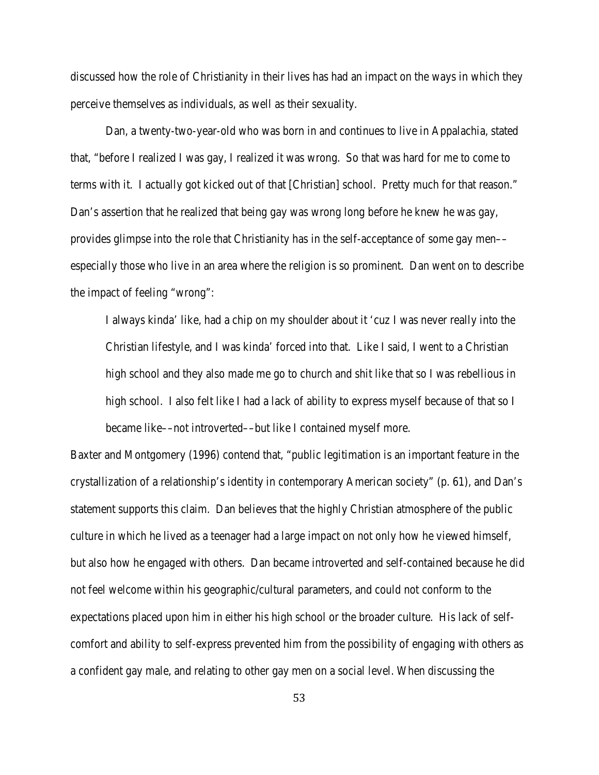discussed how the role of Christianity in their lives has had an impact on the ways in which they perceive themselves as individuals, as well as their sexuality.

Dan, a twenty-two-year-old who was born in and continues to live in Appalachia, stated that, "before I realized I was gay, I realized it was wrong. So that was hard for me to come to terms with it. I actually got kicked out of that [Christian] school. Pretty much for that reason." Dan's assertion that he realized that being gay was wrong long before he knew he was gay, provides glimpse into the role that Christianity has in the self-acceptance of some gay men especially those who live in an area where the religion is so prominent. Dan went on to describe the impact of feeling "wrong":

I always kinda' like, had a chip on my shoulder about it 'cuz I was never really into the Christian lifestyle, and I was kinda' forced into that. Like I said, I went to a Christian high school and they also made me go to church and shit like that so I was rebellious in high school. I also felt like I had a lack of ability to express myself because of that so I became like––not introverted––but like I contained myself more.

Baxter and Montgomery (1996) contend that, "public legitimation is an important feature in the crystallization of a relationship's identity in contemporary American society" (p. 61), and Dan's statement supports this claim. Dan believes that the highly Christian atmosphere of the public culture in which he lived as a teenager had a large impact on not only how he viewed himself, but also how he engaged with others. Dan became introverted and self-contained because he did not feel welcome within his geographic/cultural parameters, and could not conform to the expectations placed upon him in either his high school or the broader culture. His lack of selfcomfort and ability to self-express prevented him from the possibility of engaging with others as a confident gay male, and relating to other gay men on a social level. When discussing the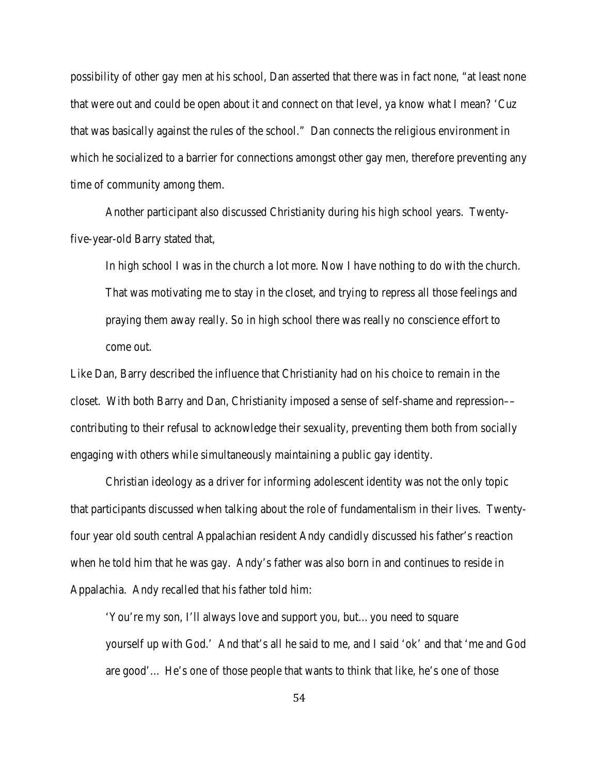possibility of other gay men at his school, Dan asserted that there was in fact none, "at least none that were out and could be open about it and connect on that level, ya know what I mean? 'Cuz that was basically against the rules of the school." Dan connects the religious environment in which he socialized to a barrier for connections amongst other gay men, therefore preventing any time of community among them.

Another participant also discussed Christianity during his high school years. Twentyfive-year-old Barry stated that,

In high school I was in the church a lot more. Now I have nothing to do with the church. That was motivating me to stay in the closet, and trying to repress all those feelings and praying them away really. So in high school there was really no conscience effort to come out.

Like Dan, Barry described the influence that Christianity had on his choice to remain in the closet. With both Barry and Dan, Christianity imposed a sense of self-shame and repression–– contributing to their refusal to acknowledge their sexuality, preventing them both from socially engaging with others while simultaneously maintaining a public gay identity.

Christian ideology as a driver for informing adolescent identity was not the only topic that participants discussed when talking about the role of fundamentalism in their lives. Twentyfour year old south central Appalachian resident Andy candidly discussed his father's reaction when he told him that he was gay. Andy's father was also born in and continues to reside in Appalachia. Andy recalled that his father told him:

'You're my son, I'll always love and support you, but…you need to square yourself up with God.' And that's all he said to me, and I said 'ok' and that 'me and God are good'… He's one of those people that wants to think that like, he's one of those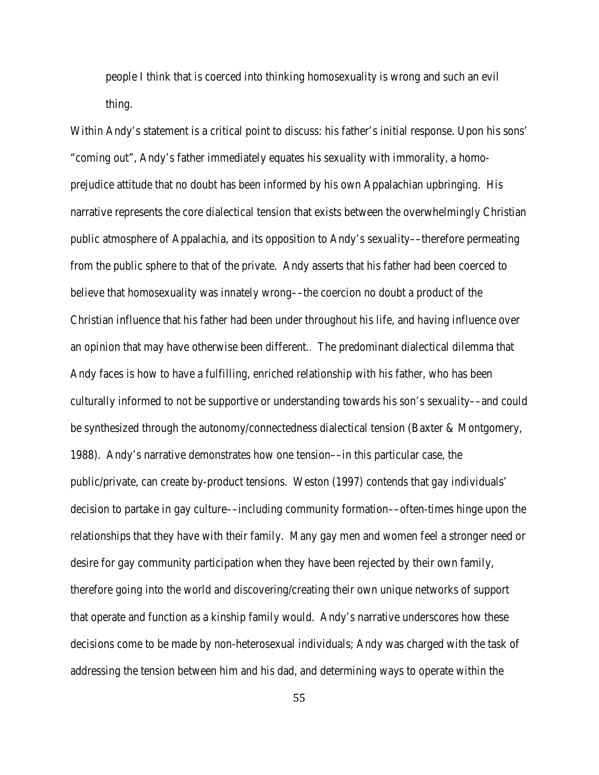people I think that is coerced into thinking homosexuality is wrong and such an evil thing.

Within Andy's statement is a critical point to discuss: his father's initial response. Upon his sons' "coming out", Andy's father immediately equates his sexuality with immorality, a homoprejudice attitude that no doubt has been informed by his own Appalachian upbringing. His narrative represents the core dialectical tension that exists between the overwhelmingly Christian public atmosphere of Appalachia, and its opposition to Andy's sexuality––therefore permeating from the public sphere to that of the private. Andy asserts that his father had been coerced to believe that homosexuality was innately wrong––the coercion no doubt a product of the Christian influence that his father had been under throughout his life, and having influence over an opinion that may have otherwise been different.. The predominant dialectical dilemma that Andy faces is how to have a fulfilling, enriched relationship with his father, who has been culturally informed to not be supportive or understanding towards his son's sexuality––and could be synthesized through the autonomy/connectedness dialectical tension (Baxter & Montgomery, 1988). Andy's narrative demonstrates how one tension––in this particular case, the public/private, can create by-product tensions. Weston (1997) contends that gay individuals' decision to partake in gay culture––including community formation––often-times hinge upon the relationships that they have with their family. Many gay men and women feel a stronger need or desire for gay community participation when they have been rejected by their own family, therefore going into the world and discovering/creating their own unique networks of support that operate and function as a kinship family would. Andy's narrative underscores how these decisions come to be made by non-heterosexual individuals; Andy was charged with the task of addressing the tension between him and his dad, and determining ways to operate within the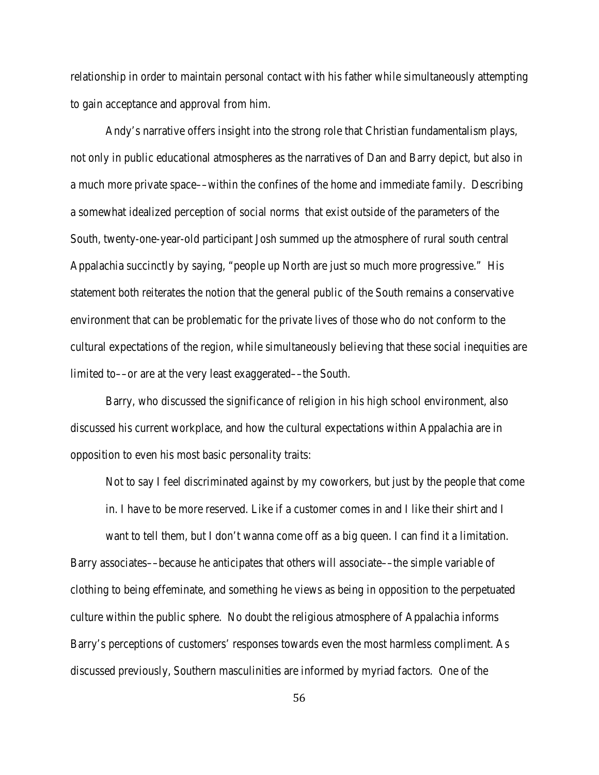relationship in order to maintain personal contact with his father while simultaneously attempting to gain acceptance and approval from him.

Andy's narrative offers insight into the strong role that Christian fundamentalism plays, not only in public educational atmospheres as the narratives of Dan and Barry depict, but also in a much more private space––within the confines of the home and immediate family. Describing a somewhat idealized perception of social norms that exist outside of the parameters of the South, twenty-one-year-old participant Josh summed up the atmosphere of rural south central Appalachia succinctly by saying, "people up North are just so much more progressive." His statement both reiterates the notion that the general public of the South remains a conservative environment that can be problematic for the private lives of those who do not conform to the cultural expectations of the region, while simultaneously believing that these social inequities are limited to—or are at the very least exaggerated—the South.

Barry, who discussed the significance of religion in his high school environment, also discussed his current workplace, and how the cultural expectations within Appalachia are in opposition to even his most basic personality traits:

Not to say I feel discriminated against by my coworkers, but just by the people that come in. I have to be more reserved. Like if a customer comes in and I like their shirt and I

want to tell them, but I don't wanna come off as a big queen. I can find it a limitation. Barry associates––because he anticipates that others will associate––the simple variable of clothing to being effeminate, and something he views as being in opposition to the perpetuated culture within the public sphere. No doubt the religious atmosphere of Appalachia informs Barry's perceptions of customers' responses towards even the most harmless compliment. As discussed previously, Southern masculinities are informed by myriad factors. One of the

56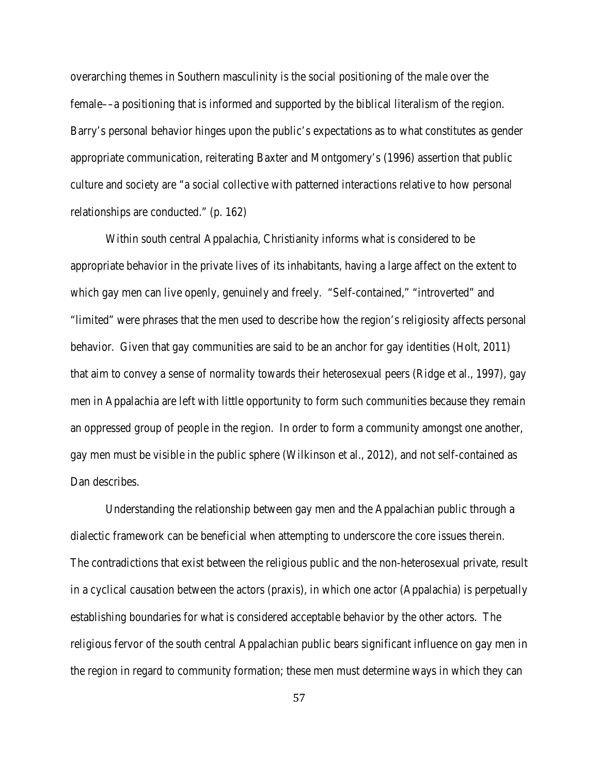overarching themes in Southern masculinity is the social positioning of the male over the female––a positioning that is informed and supported by the biblical literalism of the region. Barry's personal behavior hinges upon the public's expectations as to what constitutes as gender appropriate communication, reiterating Baxter and Montgomery's (1996) assertion that public culture and society are "a social collective with patterned interactions relative to how personal relationships are conducted." (p. 162)

Within south central Appalachia, Christianity informs what is considered to be appropriate behavior in the private lives of its inhabitants, having a large affect on the extent to which gay men can live openly, genuinely and freely. "Self-contained," "introverted" and "limited" were phrases that the men used to describe how the region's religiosity affects personal behavior. Given that gay communities are said to be an anchor for gay identities (Holt, 2011) that aim to convey a sense of normality towards their heterosexual peers (Ridge et al., 1997), gay men in Appalachia are left with little opportunity to form such communities because they remain an oppressed group of people in the region. In order to form a community amongst one another, gay men must be visible in the public sphere (Wilkinson et al., 2012), and not self-contained as Dan describes.

Understanding the relationship between gay men and the Appalachian public through a dialectic framework can be beneficial when attempting to underscore the core issues therein. The contradictions that exist between the religious public and the non-heterosexual private, result in a cyclical causation between the actors (praxis), in which one actor (Appalachia) is perpetually establishing boundaries for what is considered acceptable behavior by the other actors. The religious fervor of the south central Appalachian public bears significant influence on gay men in the region in regard to community formation; these men must determine ways in which they can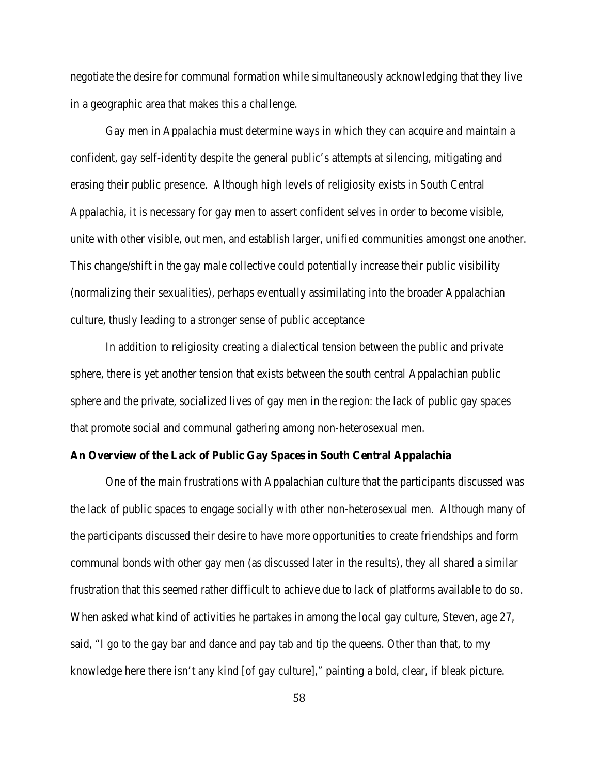negotiate the desire for communal formation while simultaneously acknowledging that they live in a geographic area that makes this a challenge.

Gay men in Appalachia must determine ways in which they can acquire and maintain a confident, gay self-identity despite the general public's attempts at silencing, mitigating and erasing their public presence. Although high levels of religiosity exists in South Central Appalachia, it is necessary for gay men to assert confident selves in order to become visible, unite with other visible, *out* men, and establish larger, unified communities amongst one another. This change/shift in the gay male collective could potentially increase their public visibility (normalizing their sexualities), perhaps eventually assimilating into the broader Appalachian culture, thusly leading to a stronger sense of public acceptance

In addition to religiosity creating a dialectical tension between the public and private sphere, there is yet another tension that exists between the south central Appalachian public sphere and the private, socialized lives of gay men in the region: the lack of public gay spaces that promote social and communal gathering among non-heterosexual men.

# **An Overview of the Lack of Public Gay Spaces in South Central Appalachia**

One of the main frustrations with Appalachian culture that the participants discussed was the lack of public spaces to engage socially with other non-heterosexual men. Although many of the participants discussed their desire to have more opportunities to create friendships and form communal bonds with other gay men (as discussed later in the results), they all shared a similar frustration that this seemed rather difficult to achieve due to lack of platforms available to do so. When asked what kind of activities he partakes in among the local gay culture, Steven, age 27, said, "I go to the gay bar and dance and pay tab and tip the queens. Other than that, to my knowledge here there isn't any kind [of gay culture]," painting a bold, clear, if bleak picture.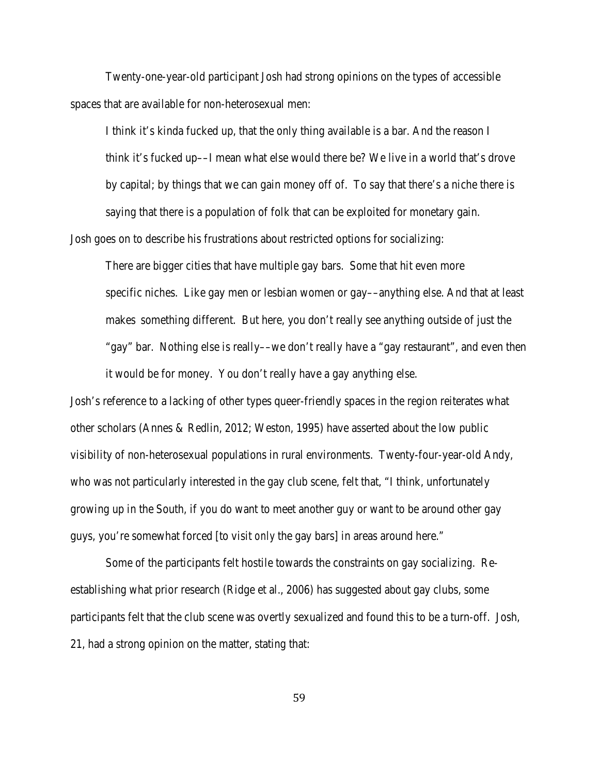Twenty-one-year-old participant Josh had strong opinions on the types of accessible spaces that are available for non-heterosexual men:

I think it's kinda fucked up, that the only thing available is a bar. And the reason I think it's fucked up––I mean what else would there be? We live in a world that's drove by capital; by things that we can gain money off of. To say that there's a niche there is saying that there is a population of folk that can be exploited for monetary gain.

Josh goes on to describe his frustrations about restricted options for socializing:

There are bigger cities that have multiple gay bars. Some that hit even more specific niches. Like gay men or lesbian women or gay––anything else. And that at least makes something different. But here, you don't really see anything outside of just the "gay" bar. Nothing else is really––we don't really have a "gay restaurant", and even then it would be for money. You don't really have a gay anything else.

Josh's reference to a lacking of other types queer-friendly spaces in the region reiterates what other scholars (Annes & Redlin, 2012; Weston, 1995) have asserted about the low public visibility of non-heterosexual populations in rural environments. Twenty-four-year-old Andy, who was not particularly interested in the gay club scene, felt that, "I think, unfortunately growing up in the South, if you do want to meet another guy or want to be around other gay guys, you're somewhat forced [to visit *only* the gay bars] in areas around here."

Some of the participants felt hostile towards the constraints on gay socializing. Reestablishing what prior research (Ridge et al., 2006) has suggested about gay clubs, some participants felt that the club scene was overtly sexualized and found this to be a turn-off. Josh, 21, had a strong opinion on the matter, stating that: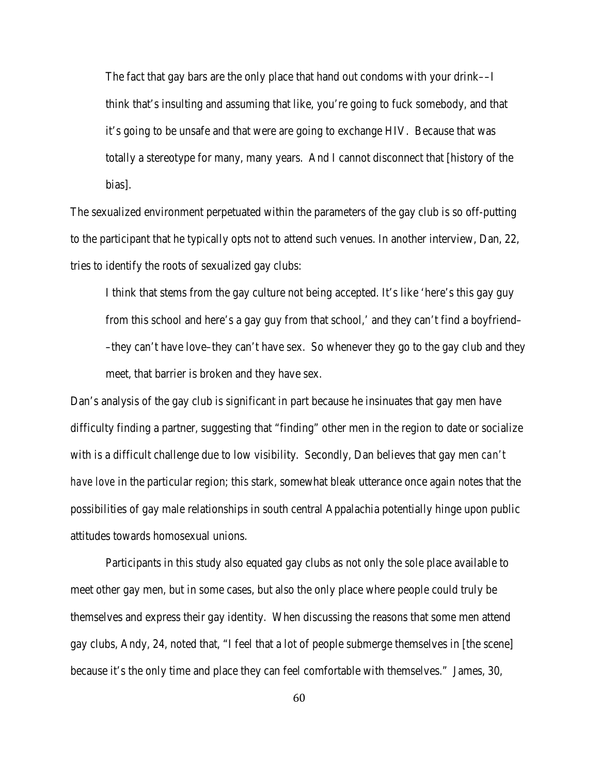The fact that gay bars are the only place that hand out condoms with your drink––I think that's insulting and assuming that like, you're going to fuck somebody, and that it's going to be unsafe and that were are going to exchange HIV. Because that was totally a stereotype for many, many years. And I cannot disconnect that [history of the bias].

The sexualized environment perpetuated within the parameters of the gay club is so off-putting to the participant that he typically opts not to attend such venues. In another interview, Dan, 22, tries to identify the roots of sexualized gay clubs:

I think that stems from the gay culture not being accepted. It's like 'here's this gay guy from this school and here's a gay guy from that school,' and they can't find a boyfriend– –they can't have love–they can't have sex. So whenever they go to the gay club and they meet, that barrier is broken and they have sex.

Dan's analysis of the gay club is significant in part because he insinuates that gay men have difficulty finding a partner, suggesting that "finding" other men in the region to date or socialize with is a difficult challenge due to low visibility. Secondly, Dan believes that gay men *can't have love* in the particular region; this stark, somewhat bleak utterance once again notes that the possibilities of gay male relationships in south central Appalachia potentially hinge upon public attitudes towards homosexual unions.

Participants in this study also equated gay clubs as not only the sole place available to meet other gay men, but in some cases, but also the only place where people could truly be themselves and express their gay identity. When discussing the reasons that some men attend gay clubs, Andy, 24, noted that, "I feel that a lot of people submerge themselves in [the scene] because it's the only time and place they can feel comfortable with themselves." James, 30,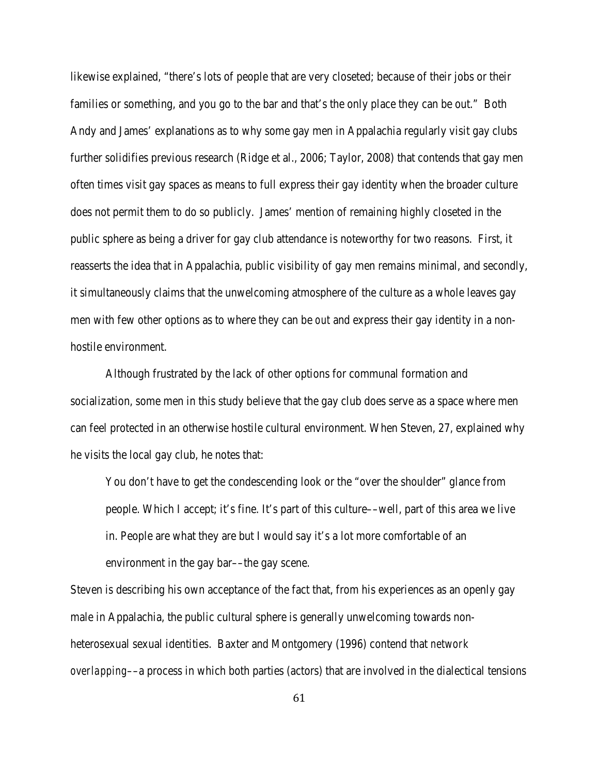likewise explained, "there's lots of people that are very closeted; because of their jobs or their families or something, and you go to the bar and that's the only place they can be out." Both Andy and James' explanations as to why some gay men in Appalachia regularly visit gay clubs further solidifies previous research (Ridge et al., 2006; Taylor, 2008) that contends that gay men often times visit gay spaces as means to full express their gay identity when the broader culture does not permit them to do so publicly. James' mention of remaining highly closeted in the public sphere as being a driver for gay club attendance is noteworthy for two reasons. First, it reasserts the idea that in Appalachia, public visibility of gay men remains minimal, and secondly, it simultaneously claims that the unwelcoming atmosphere of the culture as a whole leaves gay men with few other options as to where they can be *out* and express their gay identity in a nonhostile environment.

Although frustrated by the lack of other options for communal formation and socialization, some men in this study believe that the gay club does serve as a space where men can feel protected in an otherwise hostile cultural environment. When Steven, 27, explained why he visits the local gay club, he notes that:

You don't have to get the condescending look or the "over the shoulder" glance from people. Which I accept; it's fine. It's part of this culture––well, part of this area we live in. People are what they are but I would say it's a lot more comfortable of an environment in the gay bar—the gay scene.

Steven is describing his own acceptance of the fact that, from his experiences as an openly gay male in Appalachia, the public cultural sphere is generally unwelcoming towards nonheterosexual sexual identities. Baxter and Montgomery (1996) contend that *network overlapping*––a process in which both parties (actors) that are involved in the dialectical tensions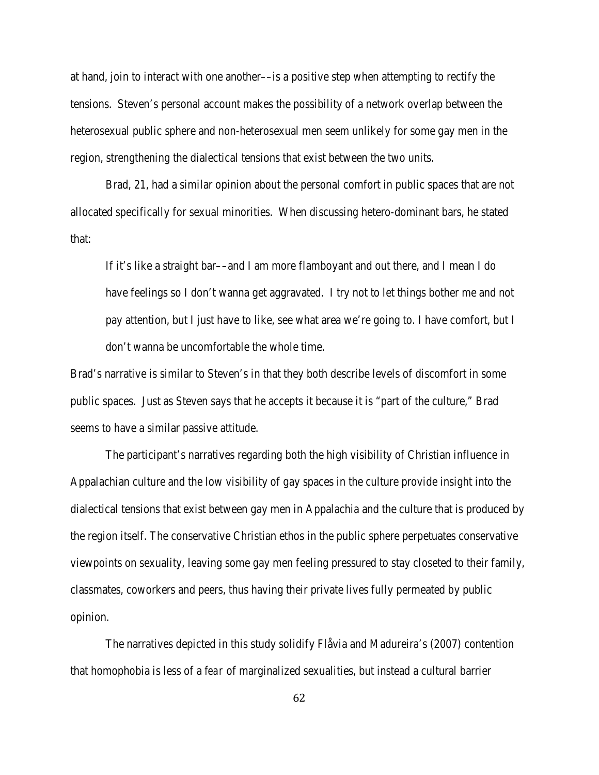at hand, join to interact with one another––is a positive step when attempting to rectify the tensions. Steven's personal account makes the possibility of a network overlap between the heterosexual public sphere and non-heterosexual men seem unlikely for some gay men in the region, strengthening the dialectical tensions that exist between the two units.

Brad, 21, had a similar opinion about the personal comfort in public spaces that are not allocated specifically for sexual minorities. When discussing hetero-dominant bars, he stated that:

If it's like a straight bar––and I am more flamboyant and out there, and I mean I do have feelings so I don't wanna get aggravated. I try not to let things bother me and not pay attention, but I just have to like, see what area we're going to. I have comfort, but I don't wanna be uncomfortable the whole time.

Brad's narrative is similar to Steven's in that they both describe levels of discomfort in some public spaces. Just as Steven says that he accepts it because it is "part of the culture," Brad seems to have a similar passive attitude.

The participant's narratives regarding both the high visibility of Christian influence in Appalachian culture and the low visibility of gay spaces in the culture provide insight into the dialectical tensions that exist between gay men in Appalachia and the culture that is produced by the region itself. The conservative Christian ethos in the public sphere perpetuates conservative viewpoints on sexuality, leaving some gay men feeling pressured to stay closeted to their family, classmates, coworkers and peers, thus having their private lives fully permeated by public opinion.

The narratives depicted in this study solidify Flåvia and Madureira's (2007) contention that homophobia is less of a *fear* of marginalized sexualities, but instead a cultural barrier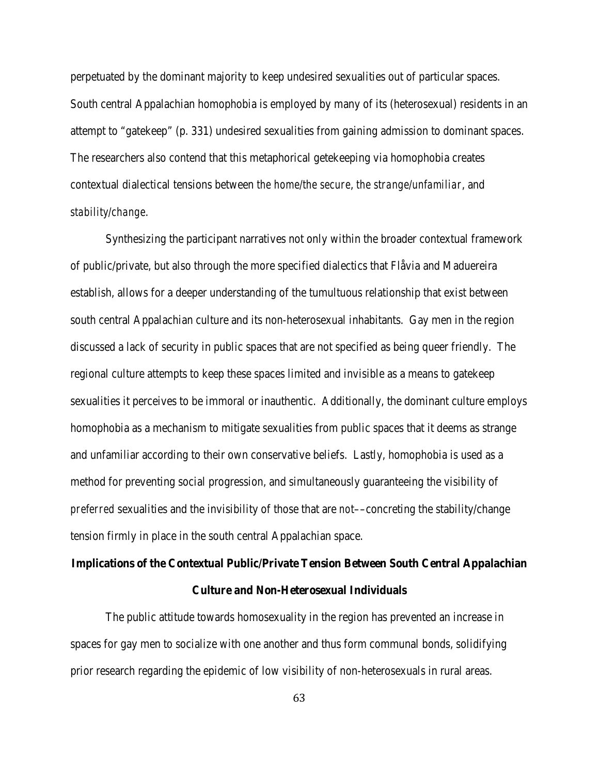perpetuated by the dominant majority to keep undesired sexualities out of particular spaces. South central Appalachian homophobia is employed by many of its (heterosexual) residents in an attempt to "gatekeep" (p. 331) undesired sexualities from gaining admission to dominant spaces. The researchers also contend that this metaphorical getekeeping via homophobia creates contextual dialectical tensions between *the home/the secure*, *the strange/unfamiliar*, and *stability/change*.

Synthesizing the participant narratives not only within the broader contextual framework of public/private, but also through the more specified dialectics that Flåvia and Maduereira establish, allows for a deeper understanding of the tumultuous relationship that exist between south central Appalachian culture and its non-heterosexual inhabitants. Gay men in the region discussed a lack of security in public spaces that are not specified as being queer friendly. The regional culture attempts to keep these spaces limited and invisible as a means to gatekeep sexualities it perceives to be immoral or inauthentic. Additionally, the dominant culture employs homophobia as a mechanism to mitigate sexualities from public spaces that it deems as strange and unfamiliar according to their own conservative beliefs. Lastly, homophobia is used as a method for preventing social progression, and simultaneously guaranteeing the visibility of *preferred* sexualities and the invisibility of those that are *not*––concreting the stability/change tension firmly in place in the south central Appalachian space.

# **Implications of the Contextual Public/Private Tension Between South Central Appalachian**

# **Culture and Non-Heterosexual Individuals**

The public attitude towards homosexuality in the region has prevented an increase in spaces for gay men to socialize with one another and thus form communal bonds, solidifying prior research regarding the epidemic of low visibility of non-heterosexuals in rural areas.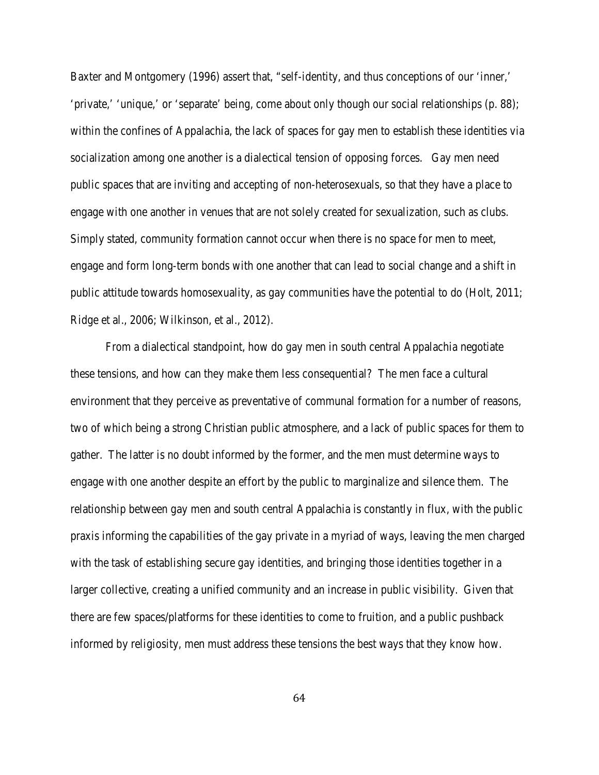Baxter and Montgomery (1996) assert that, "self-identity, and thus conceptions of our 'inner,' 'private,' 'unique,' or 'separate' being, come about only though our social relationships (p. 88); within the confines of Appalachia, the lack of spaces for gay men to establish these identities via socialization among one another is a dialectical tension of opposing forces. Gay men need public spaces that are inviting and accepting of non-heterosexuals, so that they have a place to engage with one another in venues that are not solely created for sexualization, such as clubs. Simply stated, community formation cannot occur when there is no space for men to meet, engage and form long-term bonds with one another that can lead to social change and a shift in public attitude towards homosexuality, as gay communities have the potential to do (Holt, 2011; Ridge et al., 2006; Wilkinson, et al., 2012).

From a dialectical standpoint, how do gay men in south central Appalachia negotiate these tensions, and how can they make them less consequential? The men face a cultural environment that they perceive as preventative of communal formation for a number of reasons, two of which being a strong Christian public atmosphere, and a lack of public spaces for them to gather. The latter is no doubt informed by the former, and the men must determine ways to engage with one another despite an effort by the public to marginalize and silence them. The relationship between gay men and south central Appalachia is constantly in flux, with the public praxis informing the capabilities of the gay private in a myriad of ways, leaving the men charged with the task of establishing secure gay identities, and bringing those identities together in a larger collective, creating a unified community and an increase in public visibility. Given that there are few spaces/platforms for these identities to come to fruition, and a public pushback informed by religiosity, men must address these tensions the best ways that they know how.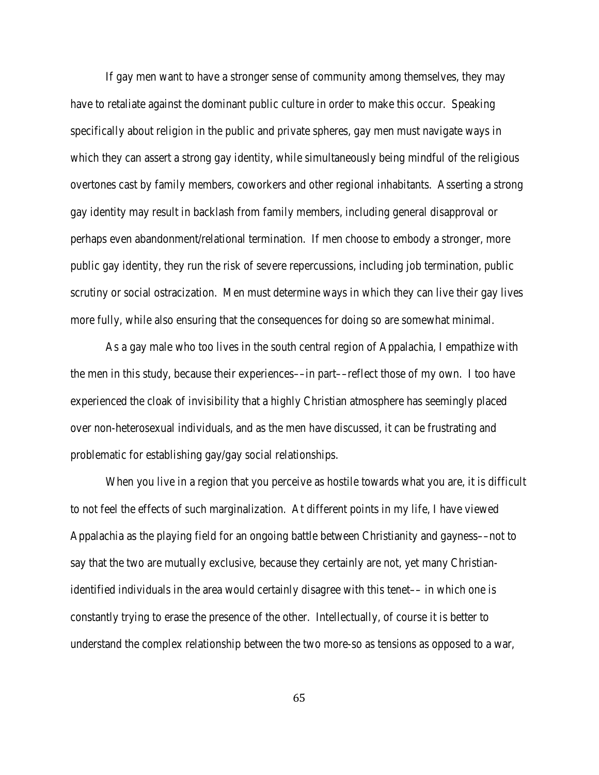If gay men want to have a stronger sense of community among themselves, they may have to retaliate against the dominant public culture in order to make this occur. Speaking specifically about religion in the public and private spheres, gay men must navigate ways in which they can assert a strong gay identity, while simultaneously being mindful of the religious overtones cast by family members, coworkers and other regional inhabitants. Asserting a strong gay identity may result in backlash from family members, including general disapproval or perhaps even abandonment/relational termination. If men choose to embody a stronger, more public gay identity, they run the risk of severe repercussions, including job termination, public scrutiny or social ostracization. Men must determine ways in which they can live their gay lives more fully, while also ensuring that the consequences for doing so are somewhat minimal.

As a gay male who too lives in the south central region of Appalachia, I empathize with the men in this study, because their experiences––in part––reflect those of my own. I too have experienced the cloak of invisibility that a highly Christian atmosphere has seemingly placed over non-heterosexual individuals, and as the men have discussed, it can be frustrating and problematic for establishing gay/gay social relationships.

When you live in a region that you perceive as hostile towards what you are, it is difficult to not feel the effects of such marginalization. At different points in my life, I have viewed Appalachia as the playing field for an ongoing battle between Christianity and gayness––not to say that the two are mutually exclusive, because they certainly are not, yet many Christianidentified individuals in the area would certainly disagree with this tenet–– in which one is constantly trying to erase the presence of the other. Intellectually, of course it is better to understand the complex relationship between the two more-so as tensions as opposed to a war,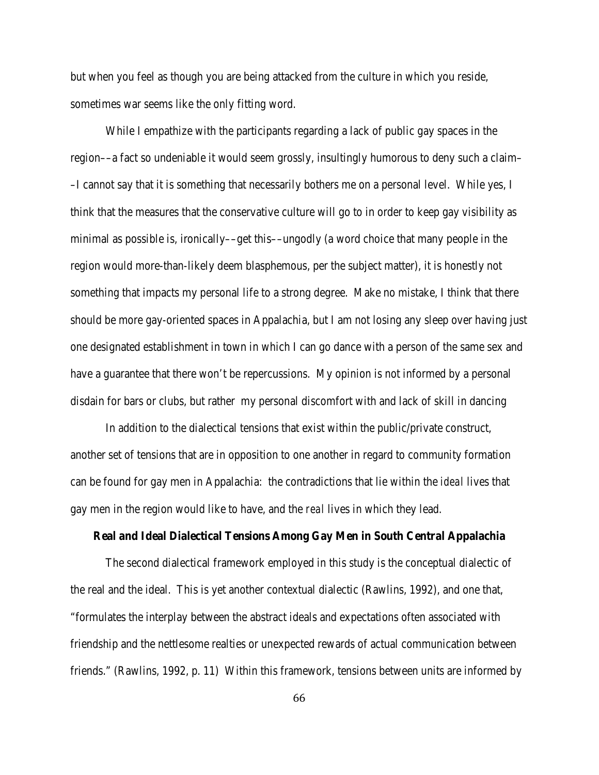but when you feel as though you are being attacked from the culture in which you reside, sometimes war seems like the only fitting word.

While I empathize with the participants regarding a lack of public gay spaces in the region––a fact so undeniable it would seem grossly, insultingly humorous to deny such a claim– –I cannot say that it is something that necessarily bothers me on a personal level. While yes, I think that the measures that the conservative culture will go to in order to keep gay visibility as minimal as possible is, ironically––get this––ungodly (a word choice that many people in the region would more-than-likely deem blasphemous, per the subject matter), it is honestly not something that impacts my personal life to a strong degree. Make no mistake, I think that there should be more gay-oriented spaces in Appalachia, but I am not losing any sleep over having just one designated establishment in town in which I can go dance with a person of the same sex and have a guarantee that there won't be repercussions. My opinion is not informed by a personal disdain for bars or clubs, but rather my personal discomfort with and lack of skill in dancing

In addition to the dialectical tensions that exist within the public/private construct, another set of tensions that are in opposition to one another in regard to community formation can be found for gay men in Appalachia: the contradictions that lie within the *ideal* lives that gay men in the region would like to have, and the *real* lives in which they lead.

#### **Real and Ideal Dialectical Tensions Among Gay Men in South Central Appalachia**

The second dialectical framework employed in this study is the conceptual dialectic of the real and the ideal. This is yet another contextual dialectic (Rawlins, 1992), and one that, "formulates the interplay between the abstract ideals and expectations often associated with friendship and the nettlesome realties or unexpected rewards of actual communication between friends." (Rawlins, 1992, p. 11) Within this framework, tensions between units are informed by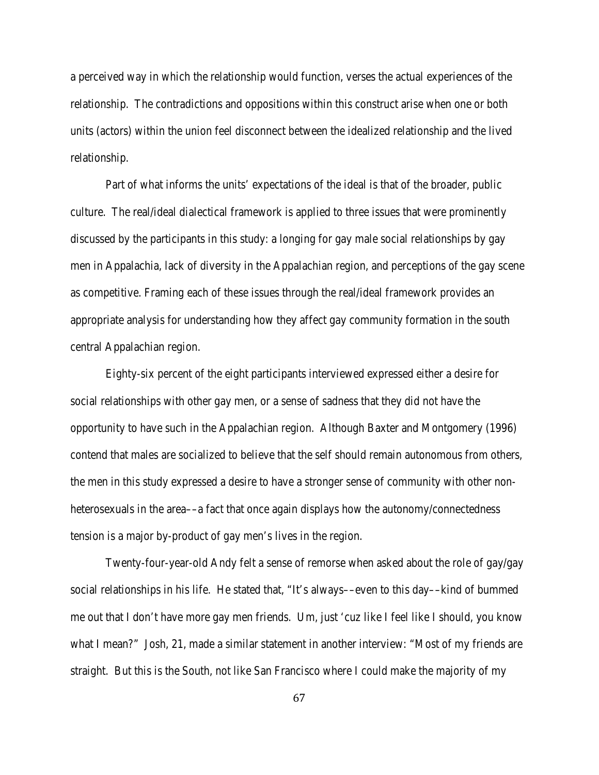a perceived way in which the relationship would function, verses the actual experiences of the relationship. The contradictions and oppositions within this construct arise when one or both units (actors) within the union feel disconnect between the idealized relationship and the lived relationship.

Part of what informs the units' expectations of the ideal is that of the broader, public culture. The real/ideal dialectical framework is applied to three issues that were prominently discussed by the participants in this study: a longing for gay male social relationships by gay men in Appalachia, lack of diversity in the Appalachian region, and perceptions of the gay scene as competitive. Framing each of these issues through the real/ideal framework provides an appropriate analysis for understanding how they affect gay community formation in the south central Appalachian region.

Eighty-six percent of the eight participants interviewed expressed either a desire for social relationships with other gay men, or a sense of sadness that they did not have the opportunity to have such in the Appalachian region. Although Baxter and Montgomery (1996) contend that males are socialized to believe that the self should remain autonomous from others, the men in this study expressed a desire to have a stronger sense of community with other nonheterosexuals in the area—a fact that once again displays how the autonomy/connectedness tension is a major by-product of gay men's lives in the region.

Twenty-four-year-old Andy felt a sense of remorse when asked about the role of gay/gay social relationships in his life. He stated that, "It's always––even to this day––kind of bummed me out that I don't have more gay men friends. Um, just 'cuz like I feel like I should, you know what I mean?" Josh, 21, made a similar statement in another interview: "Most of my friends are straight. But this is the South, not like San Francisco where I could make the majority of my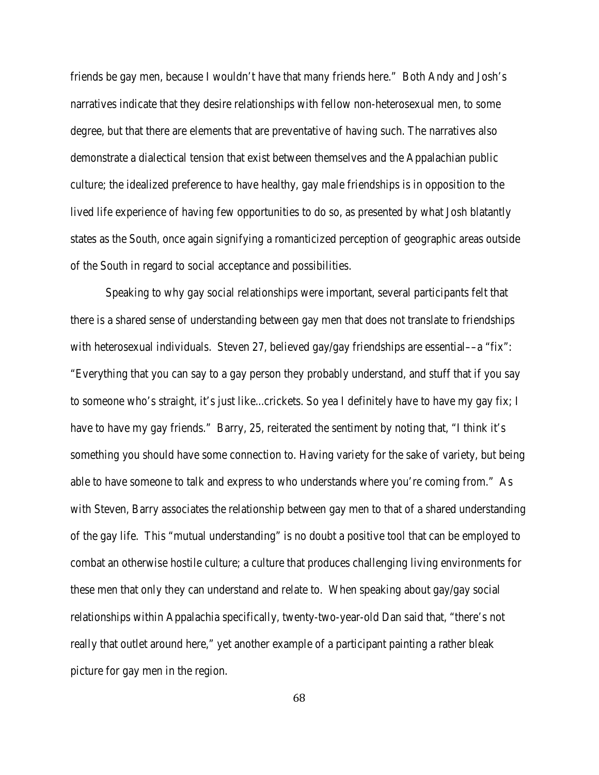friends be gay men, because I wouldn't have that many friends here." Both Andy and Josh's narratives indicate that they desire relationships with fellow non-heterosexual men, to some degree, but that there are elements that are preventative of having such. The narratives also demonstrate a dialectical tension that exist between themselves and the Appalachian public culture; the idealized preference to have healthy, gay male friendships is in opposition to the lived life experience of having few opportunities to do so, as presented by what Josh blatantly states as the South, once again signifying a romanticized perception of geographic areas outside of the South in regard to social acceptance and possibilities.

Speaking to why gay social relationships were important, several participants felt that there is a shared sense of understanding between gay men that does not translate to friendships with heterosexual individuals. Steven 27, believed gay/gay friendships are essential—a "fix": "Everything that you can say to a gay person they probably understand, and stuff that if you say to someone who's straight, it's just like...crickets. So yea I definitely have to have my gay fix; I have to have my gay friends." Barry, 25, reiterated the sentiment by noting that, "I think it's something you should have some connection to. Having variety for the sake of variety, but being able to have someone to talk and express to who understands where you're coming from." As with Steven, Barry associates the relationship between gay men to that of a shared understanding of the gay life. This "mutual understanding" is no doubt a positive tool that can be employed to combat an otherwise hostile culture; a culture that produces challenging living environments for these men that only they can understand and relate to. When speaking about gay/gay social relationships within Appalachia specifically, twenty-two-year-old Dan said that, "there's not really that outlet around here," yet another example of a participant painting a rather bleak picture for gay men in the region.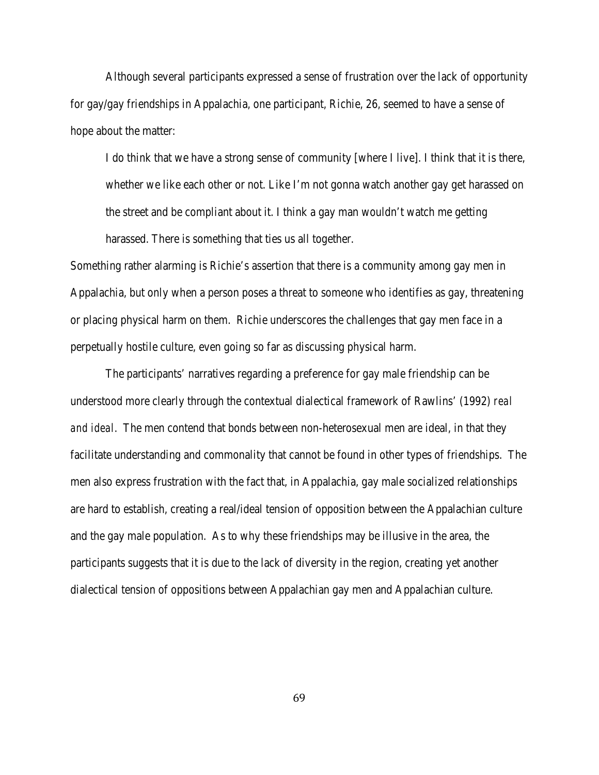Although several participants expressed a sense of frustration over the lack of opportunity for gay/gay friendships in Appalachia, one participant, Richie, 26, seemed to have a sense of hope about the matter:

I do think that we have a strong sense of community [where I live]. I think that it is there, whether we like each other or not. Like I'm not gonna watch another gay get harassed on the street and be compliant about it. I think a gay man wouldn't watch me getting harassed. There is something that ties us all together.

Something rather alarming is Richie's assertion that there is a community among gay men in Appalachia, but only when a person poses a threat to someone who identifies as gay, threatening or placing physical harm on them. Richie underscores the challenges that gay men face in a perpetually hostile culture, even going so far as discussing physical harm.

The participants' narratives regarding a preference for gay male friendship can be understood more clearly through the contextual dialectical framework of Rawlins' (1992) *real and ideal*. The men contend that bonds between non-heterosexual men are ideal, in that they facilitate understanding and commonality that cannot be found in other types of friendships. The men also express frustration with the fact that, in Appalachia, gay male socialized relationships are hard to establish, creating a real/ideal tension of opposition between the Appalachian culture and the gay male population. As to why these friendships may be illusive in the area, the participants suggests that it is due to the lack of diversity in the region, creating yet another dialectical tension of oppositions between Appalachian gay men and Appalachian culture.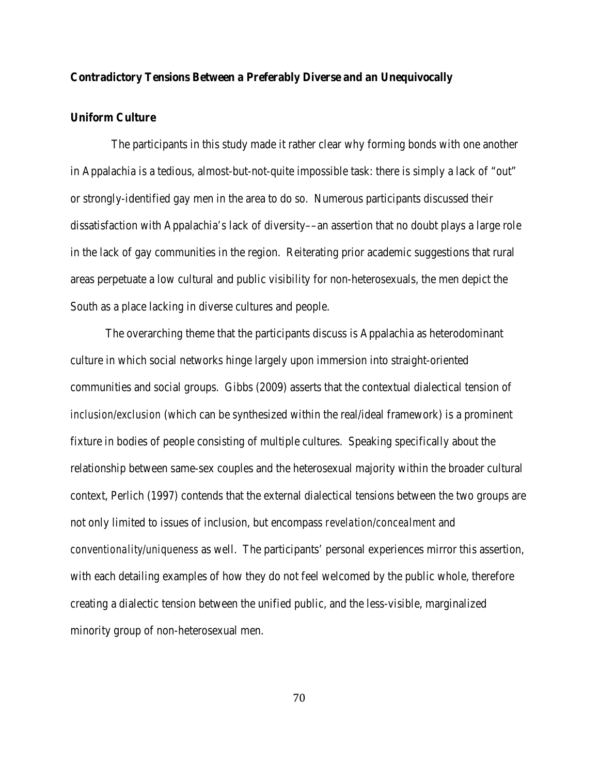# **Contradictory Tensions Between a Preferably Diverse and an Unequivocally**

# **Uniform Culture**

 The participants in this study made it rather clear why forming bonds with one another in Appalachia is a tedious, almost-but-not-quite impossible task: there is simply a lack of "out" or strongly-identified gay men in the area to do so. Numerous participants discussed their dissatisfaction with Appalachia's lack of diversity––an assertion that no doubt plays a large role in the lack of gay communities in the region. Reiterating prior academic suggestions that rural areas perpetuate a low cultural and public visibility for non-heterosexuals, the men depict the South as a place lacking in diverse cultures and people.

The overarching theme that the participants discuss is Appalachia as heterodominant culture in which social networks hinge largely upon immersion into straight-oriented communities and social groups. Gibbs (2009) asserts that the contextual dialectical tension of *inclusion/exclusion* (which can be synthesized within the real/ideal framework) is a prominent fixture in bodies of people consisting of multiple cultures. Speaking specifically about the relationship between same-sex couples and the heterosexual majority within the broader cultural context, Perlich (1997) contends that the external dialectical tensions between the two groups are not only limited to issues of inclusion, but encompass *revelation/concealment* and *conventionality/uniqueness* as well. The participants' personal experiences mirror this assertion, with each detailing examples of how they do not feel welcomed by the public whole, therefore creating a dialectic tension between the unified public, and the less-visible, marginalized minority group of non-heterosexual men.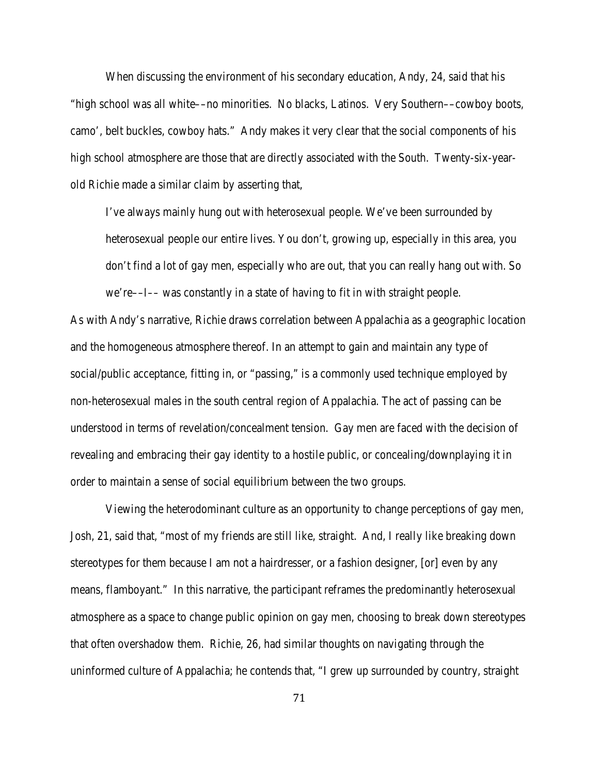When discussing the environment of his secondary education, Andy, 24, said that his "high school was all white––no minorities. No blacks, Latinos. Very Southern––cowboy boots, camo', belt buckles, cowboy hats." Andy makes it very clear that the social components of his high school atmosphere are those that are directly associated with the South. Twenty-six-yearold Richie made a similar claim by asserting that,

I've always mainly hung out with heterosexual people. We've been surrounded by heterosexual people our entire lives. You don't, growing up, especially in this area, you don't find a lot of gay men, especially who are out, that you can really hang out with. So we're––*I––* was constantly in a state of having to fit in with straight people.

As with Andy's narrative, Richie draws correlation between Appalachia as a geographic location and the homogeneous atmosphere thereof. In an attempt to gain and maintain any type of social/public acceptance, fitting in, or "passing," is a commonly used technique employed by non-heterosexual males in the south central region of Appalachia. The act of passing can be understood in terms of revelation/concealment tension. Gay men are faced with the decision of revealing and embracing their gay identity to a hostile public, or concealing/downplaying it in order to maintain a sense of social equilibrium between the two groups.

Viewing the heterodominant culture as an opportunity to change perceptions of gay men, Josh, 21, said that, "most of my friends are still like, straight. And, I really like breaking down stereotypes for them because I am not a hairdresser, or a fashion designer, [or] even by any means, flamboyant." In this narrative, the participant reframes the predominantly heterosexual atmosphere as a space to change public opinion on gay men, choosing to break down stereotypes that often overshadow them. Richie, 26, had similar thoughts on navigating through the uninformed culture of Appalachia; he contends that, "I grew up surrounded by country, straight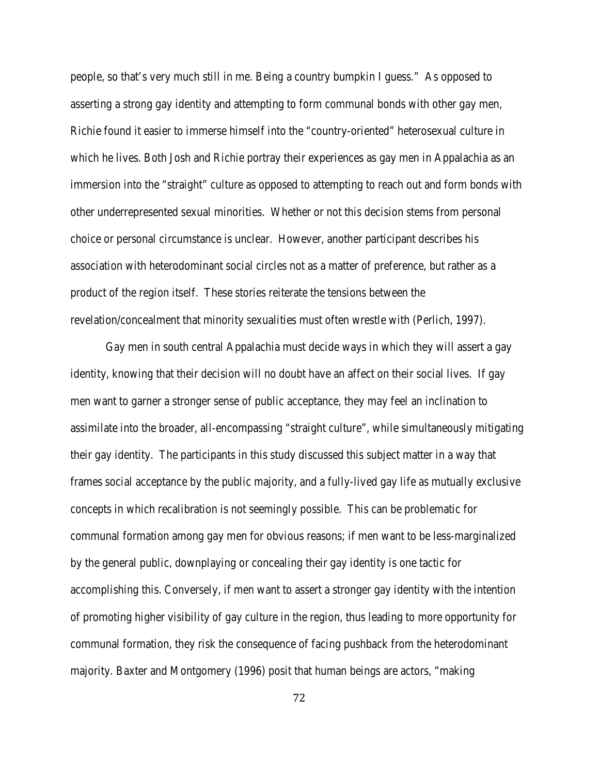people, so that's very much still in me. Being a country bumpkin I guess." As opposed to asserting a strong gay identity and attempting to form communal bonds with other gay men, Richie found it easier to immerse himself into the "country-oriented" heterosexual culture in which he lives. Both Josh and Richie portray their experiences as gay men in Appalachia as an immersion into the "straight" culture as opposed to attempting to reach out and form bonds with other underrepresented sexual minorities. Whether or not this decision stems from personal choice or personal circumstance is unclear. However, another participant describes his association with heterodominant social circles not as a matter of preference, but rather as a product of the region itself. These stories reiterate the tensions between the revelation/concealment that minority sexualities must often wrestle with (Perlich, 1997).

Gay men in south central Appalachia must decide ways in which they will assert a gay identity, knowing that their decision will no doubt have an affect on their social lives. If gay men want to garner a stronger sense of public acceptance, they may feel an inclination to assimilate into the broader, all-encompassing "straight culture", while simultaneously mitigating their gay identity. The participants in this study discussed this subject matter in a way that frames social acceptance by the public majority, and a fully-lived gay life as mutually exclusive concepts in which recalibration is not seemingly possible. This can be problematic for communal formation among gay men for obvious reasons; if men want to be less-marginalized by the general public, downplaying or concealing their gay identity is one tactic for accomplishing this. Conversely, if men want to assert a stronger gay identity with the intention of promoting higher visibility of gay culture in the region, thus leading to more opportunity for communal formation, they risk the consequence of facing pushback from the heterodominant majority. Baxter and Montgomery (1996) posit that human beings are actors, "making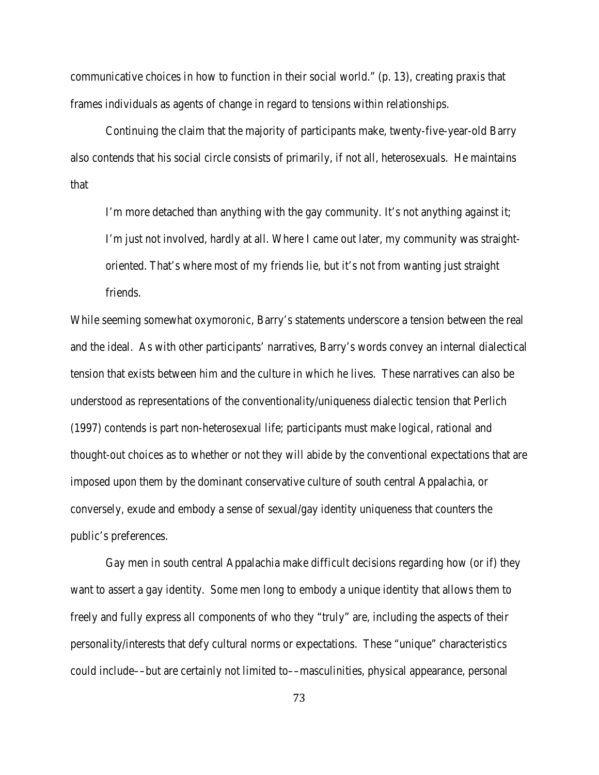communicative choices in how to function in their social world." (p. 13), creating praxis that frames individuals as agents of change in regard to tensions within relationships.

Continuing the claim that the majority of participants make, twenty-five-year-old Barry also contends that his social circle consists of primarily, if not all, heterosexuals. He maintains that

I'm more detached than anything with the gay community. It's not anything against it; I'm just not involved, hardly at all. Where I came out later, my community was straightoriented. That's where most of my friends lie, but it's not from wanting just straight friends.

While seeming somewhat oxymoronic, Barry's statements underscore a tension between the real and the ideal. As with other participants' narratives, Barry's words convey an internal dialectical tension that exists between him and the culture in which he lives. These narratives can also be understood as representations of the conventionality/uniqueness dialectic tension that Perlich (1997) contends is part non-heterosexual life; participants must make logical, rational and thought-out choices as to whether or not they will abide by the conventional expectations that are imposed upon them by the dominant conservative culture of south central Appalachia, or conversely, exude and embody a sense of sexual/gay identity uniqueness that counters the public's preferences.

Gay men in south central Appalachia make difficult decisions regarding how (or if) they want to assert a gay identity. Some men long to embody a unique identity that allows them to freely and fully express all components of who they "truly" are, including the aspects of their personality/interests that defy cultural norms or expectations. These "unique" characteristics could include––but are certainly not limited to––masculinities, physical appearance, personal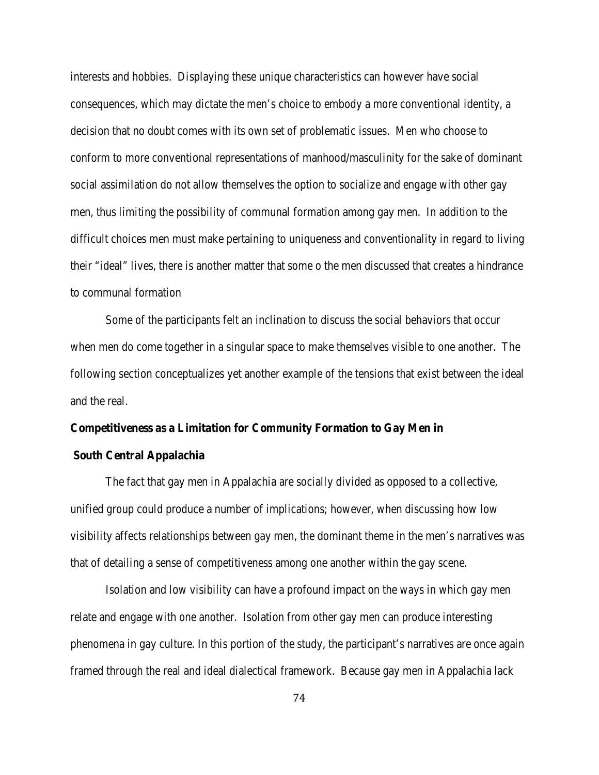interests and hobbies. Displaying these unique characteristics can however have social consequences, which may dictate the men's choice to embody a more conventional identity, a decision that no doubt comes with its own set of problematic issues. Men who choose to conform to more conventional representations of manhood/masculinity for the sake of dominant social assimilation do not allow themselves the option to socialize and engage with other gay men, thus limiting the possibility of communal formation among gay men. In addition to the difficult choices men must make pertaining to uniqueness and conventionality in regard to living their "ideal" lives, there is another matter that some o the men discussed that creates a hindrance to communal formation

Some of the participants felt an inclination to discuss the social behaviors that occur when men do come together in a singular space to make themselves visible to one another. The following section conceptualizes yet another example of the tensions that exist between the ideal and the real.

#### **Competitiveness as a Limitation for Community Formation to Gay Men in**

#### **South Central Appalachia**

The fact that gay men in Appalachia are socially divided as opposed to a collective, unified group could produce a number of implications; however, when discussing how low visibility affects relationships between gay men, the dominant theme in the men's narratives was that of detailing a sense of competitiveness among one another within the gay scene.

Isolation and low visibility can have a profound impact on the ways in which gay men relate and engage with one another. Isolation from other gay men can produce interesting phenomena in gay culture. In this portion of the study, the participant's narratives are once again framed through the real and ideal dialectical framework. Because gay men in Appalachia lack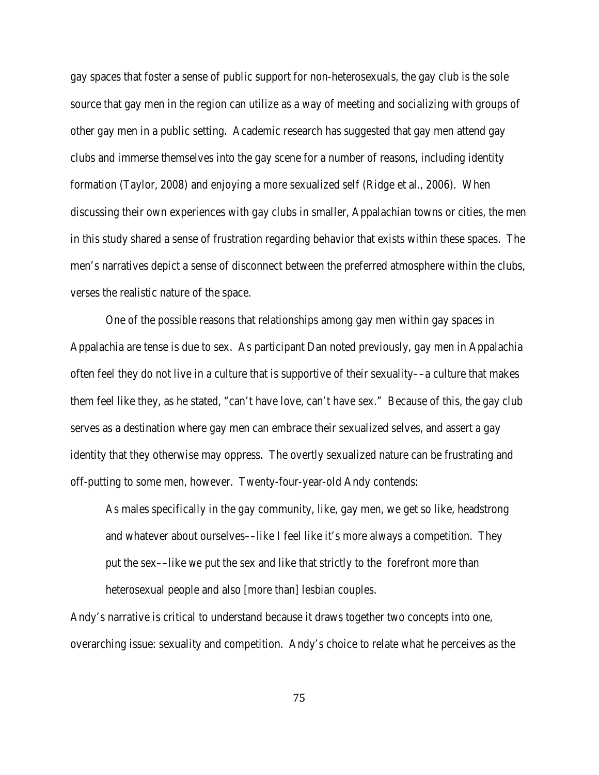gay spaces that foster a sense of public support for non-heterosexuals, the gay club is the sole source that gay men in the region can utilize as a way of meeting and socializing with groups of other gay men in a public setting. Academic research has suggested that gay men attend gay clubs and immerse themselves into the gay scene for a number of reasons, including identity formation (Taylor, 2008) and enjoying a more sexualized self (Ridge et al., 2006). When discussing their own experiences with gay clubs in smaller, Appalachian towns or cities, the men in this study shared a sense of frustration regarding behavior that exists within these spaces. The men's narratives depict a sense of disconnect between the preferred atmosphere within the clubs, verses the realistic nature of the space.

One of the possible reasons that relationships among gay men within gay spaces in Appalachia are tense is due to sex. As participant Dan noted previously, gay men in Appalachia often feel they do not live in a culture that is supportive of their sexuality––a culture that makes them feel like they, as he stated, "can't have love, can't have sex." Because of this, the gay club serves as a destination where gay men can embrace their sexualized selves, and assert a gay identity that they otherwise may oppress. The overtly sexualized nature can be frustrating and off-putting to some men, however. Twenty-four-year-old Andy contends:

As males specifically in the gay community, like, gay men, we get so like, headstrong and whatever about ourselves––like I feel like it's more always a competition. They put the sex––like *we* put the sex and like that strictly to the forefront more than heterosexual people and also [more than] lesbian couples.

Andy's narrative is critical to understand because it draws together two concepts into one, overarching issue: sexuality and competition. Andy's choice to relate what he perceives as the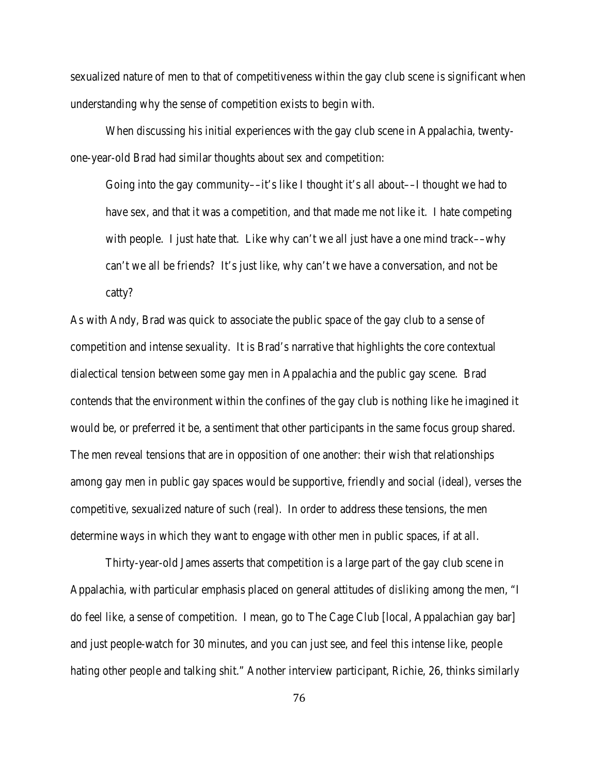sexualized nature of men to that of competitiveness within the gay club scene is significant when understanding why the sense of competition exists to begin with.

When discussing his initial experiences with the gay club scene in Appalachia, twentyone-year-old Brad had similar thoughts about sex and competition:

Going into the gay community—it's like I thought it's all about—I thought we had to have sex, and that it was a competition, and that made me not like it. I hate competing with people. I just hate that. Like why can't we all just have a one mind track—why can't we all be friends? It's just like, why can't we have a conversation, and not be catty?

As with Andy, Brad was quick to associate the public space of the gay club to a sense of competition and intense sexuality. It is Brad's narrative that highlights the core contextual dialectical tension between some gay men in Appalachia and the public gay scene. Brad contends that the environment within the confines of the gay club is nothing like he imagined it would be, or preferred it be, a sentiment that other participants in the same focus group shared. The men reveal tensions that are in opposition of one another: their wish that relationships among gay men in public gay spaces would be supportive, friendly and social (ideal), verses the competitive, sexualized nature of such (real). In order to address these tensions, the men determine ways in which they want to engage with other men in public spaces, if at all.

Thirty-year-old James asserts that competition is a large part of the gay club scene in Appalachia, with particular emphasis placed on general attitudes of *disliking* among the men, "I do feel like, a sense of competition. I mean, go to The Cage Club [local, Appalachian gay bar] and just people-watch for 30 minutes, and you can just see, and feel this intense like, people hating other people and talking shit." Another interview participant, Richie, 26, thinks similarly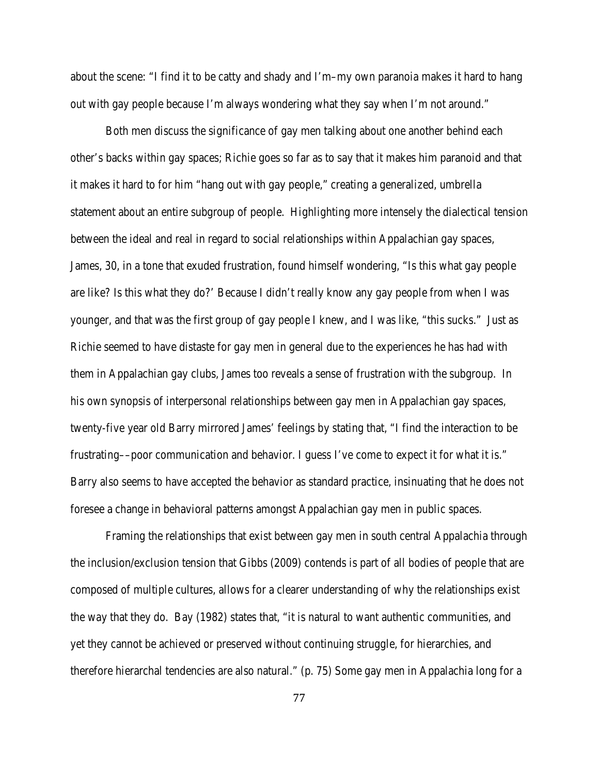about the scene: "I find it to be catty and shady and I'm–my own paranoia makes it hard to hang out with gay people because I'm always wondering what they say when I'm not around."

Both men discuss the significance of gay men talking about one another behind each other's backs within gay spaces; Richie goes so far as to say that it makes him paranoid and that it makes it hard to for him "hang out with gay people," creating a generalized, umbrella statement about an entire subgroup of people. Highlighting more intensely the dialectical tension between the ideal and real in regard to social relationships within Appalachian gay spaces, James, 30, in a tone that exuded frustration, found himself wondering, "Is this what gay people are like? Is this what they do?' Because I didn't really know any gay people from when I was younger, and that was the first group of gay people I knew, and I was like, "this sucks." Just as Richie seemed to have distaste for gay men in general due to the experiences he has had with them in Appalachian gay clubs, James too reveals a sense of frustration with the subgroup. In his own synopsis of interpersonal relationships between gay men in Appalachian gay spaces, twenty-five year old Barry mirrored James' feelings by stating that, "I find the interaction to be frustrating––poor communication and behavior. I guess I've come to expect it for what it is." Barry also seems to have accepted the behavior as standard practice, insinuating that he does not foresee a change in behavioral patterns amongst Appalachian gay men in public spaces.

Framing the relationships that exist between gay men in south central Appalachia through the inclusion/exclusion tension that Gibbs (2009) contends is part of all bodies of people that are composed of multiple cultures, allows for a clearer understanding of why the relationships exist the way that they do. Bay (1982) states that, "it is natural to want authentic communities, and yet they cannot be achieved or preserved without continuing struggle, for hierarchies, and therefore hierarchal tendencies are also natural." (p. 75) Some gay men in Appalachia long for a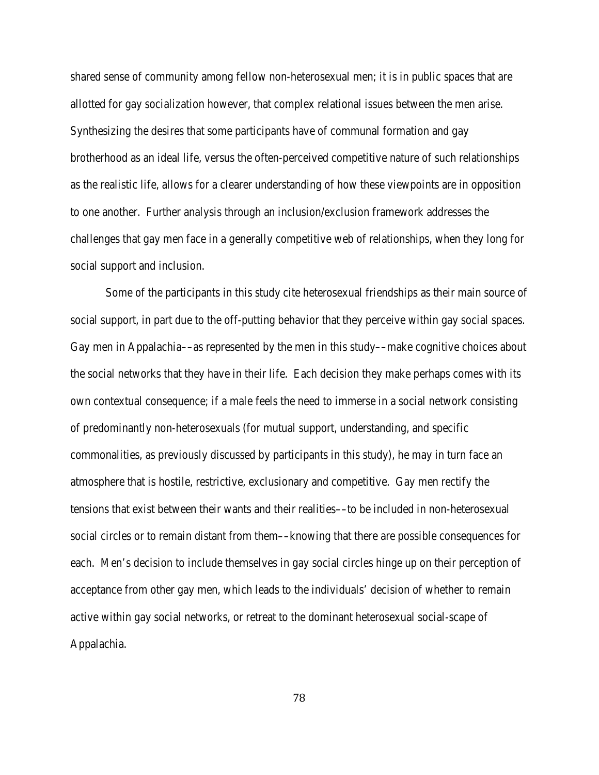shared sense of community among fellow non-heterosexual men; it is in public spaces that are allotted for gay socialization however, that complex relational issues between the men arise. Synthesizing the desires that some participants have of communal formation and gay brotherhood as an ideal life, versus the often-perceived competitive nature of such relationships as the realistic life, allows for a clearer understanding of how these viewpoints are in opposition to one another. Further analysis through an inclusion/exclusion framework addresses the challenges that gay men face in a generally competitive web of relationships, when they long for social support and inclusion.

Some of the participants in this study cite heterosexual friendships as their main source of social support, in part due to the off-putting behavior that they perceive within gay social spaces. Gay men in Appalachia––as represented by the men in this study––make cognitive choices about the social networks that they have in their life. Each decision they make perhaps comes with its own contextual consequence; if a male feels the need to immerse in a social network consisting of predominantly non-heterosexuals (for mutual support, understanding, and specific commonalities, as previously discussed by participants in this study), he may in turn face an atmosphere that is hostile, restrictive, exclusionary and competitive. Gay men rectify the tensions that exist between their wants and their realities––to be included in non-heterosexual social circles or to remain distant from them––knowing that there are possible consequences for each. Men's decision to include themselves in gay social circles hinge up on their perception of acceptance from other gay men, which leads to the individuals' decision of whether to remain active within gay social networks, or retreat to the dominant heterosexual social-scape of Appalachia.

78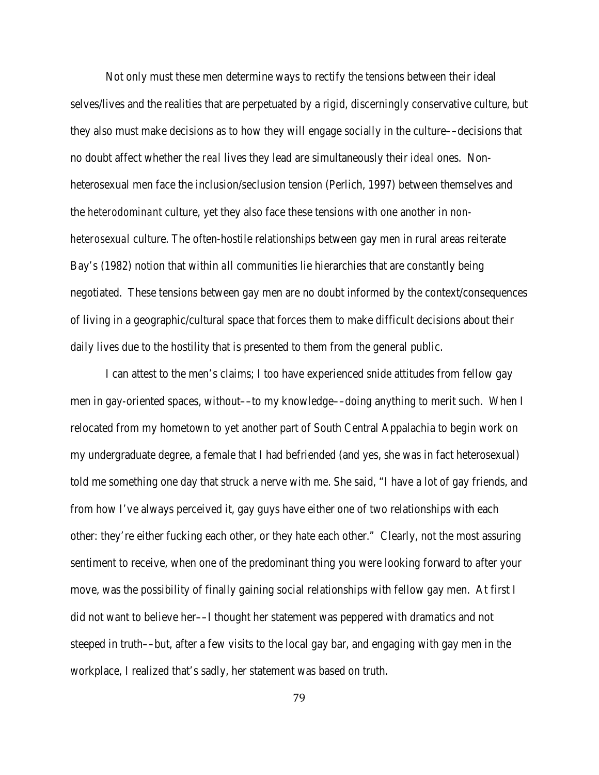Not only must these men determine ways to rectify the tensions between their ideal selves/lives and the realities that are perpetuated by a rigid, discerningly conservative culture, but they also must make decisions as to how they will engage socially in the culture––decisions that no doubt affect whether the *real* lives they lead are simultaneously their *ideal* ones. Nonheterosexual men face the inclusion/seclusion tension (Perlich, 1997) between themselves and the *heterodominant* culture, yet they also face these tensions with one another in *nonheterosexual* culture. The often-hostile relationships between gay men in rural areas reiterate Bay's (1982) notion that within *all* communities lie hierarchies that are constantly being negotiated. These tensions between gay men are no doubt informed by the context/consequences of living in a geographic/cultural space that forces them to make difficult decisions about their daily lives due to the hostility that is presented to them from the general public.

I can attest to the men's claims; I too have experienced snide attitudes from fellow gay men in gay-oriented spaces, without––to my knowledge––doing anything to merit such. When I relocated from my hometown to yet another part of South Central Appalachia to begin work on my undergraduate degree, a female that I had befriended (and yes, she was in fact heterosexual) told me something one day that struck a nerve with me. She said, "I have a lot of gay friends, and from how I've always perceived it, gay guys have either one of two relationships with each other: they're either fucking each other, or they hate each other." Clearly, not the most assuring sentiment to receive, when one of the predominant thing you were looking forward to after your move, was the possibility of finally gaining social relationships with fellow gay men. At first I did not want to believe her––I thought her statement was peppered with dramatics and not steeped in truth––but, after a few visits to the local gay bar, and engaging with gay men in the workplace, I realized that's sadly, her statement was based on truth.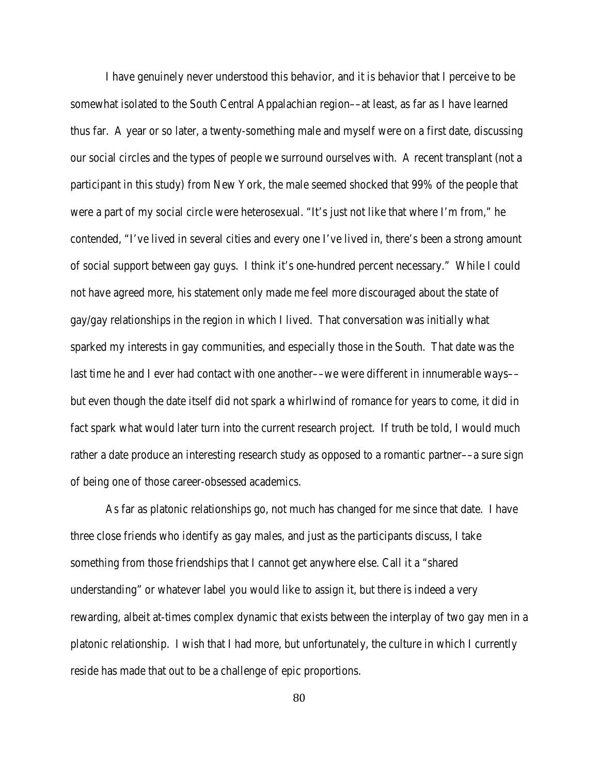I have genuinely never understood this behavior, and it is behavior that I perceive to be somewhat isolated to the South Central Appalachian region––at least, as far as I have learned thus far. A year or so later, a twenty-something male and myself were on a first date, discussing our social circles and the types of people we surround ourselves with. A recent transplant (not a participant in this study) from New York, the male seemed shocked that 99% of the people that were a part of my social circle were heterosexual. "It's just not like that where I'm from," he contended, "I've lived in several cities and every one I've lived in, there's been a strong amount of social support between gay guys. I think it's one-hundred percent necessary." While I could not have agreed more, his statement only made me feel more discouraged about the state of gay/gay relationships in the region in which I lived. That conversation was initially what sparked my interests in gay communities, and especially those in the South. That date was the last time he and I ever had contact with one another—we were different in innumerable ways but even though the date itself did not spark a whirlwind of romance for years to come, it did in fact spark what would later turn into the current research project. If truth be told, I would much rather a date produce an interesting research study as opposed to a romantic partner––a sure sign of being one of those career-obsessed academics.

As far as platonic relationships go, not much has changed for me since that date. I have three close friends who identify as gay males, and just as the participants discuss, I take something from those friendships that I cannot get anywhere else. Call it a "shared understanding" or whatever label you would like to assign it, but there is indeed a very rewarding, albeit at-times complex dynamic that exists between the interplay of two gay men in a platonic relationship. I wish that I had more, but unfortunately, the culture in which I currently reside has made that out to be a challenge of epic proportions.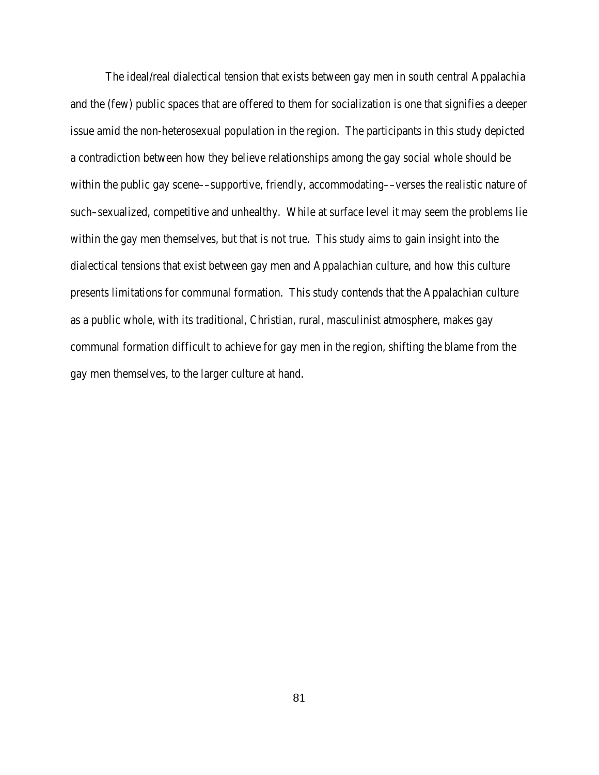The ideal/real dialectical tension that exists between gay men in south central Appalachia and the (few) public spaces that are offered to them for socialization is one that signifies a deeper issue amid the non-heterosexual population in the region. The participants in this study depicted a contradiction between how they believe relationships among the gay social whole should be within the public gay scene—supportive, friendly, accommodating—verses the realistic nature of such–sexualized, competitive and unhealthy. While at surface level it may seem the problems lie within the gay men themselves, but that is not true. This study aims to gain insight into the dialectical tensions that exist between gay men and Appalachian culture, and how this culture presents limitations for communal formation. This study contends that the Appalachian culture as a public whole, with its traditional, Christian, rural, masculinist atmosphere, makes gay communal formation difficult to achieve for gay men in the region, shifting the blame from the gay men themselves, to the larger culture at hand.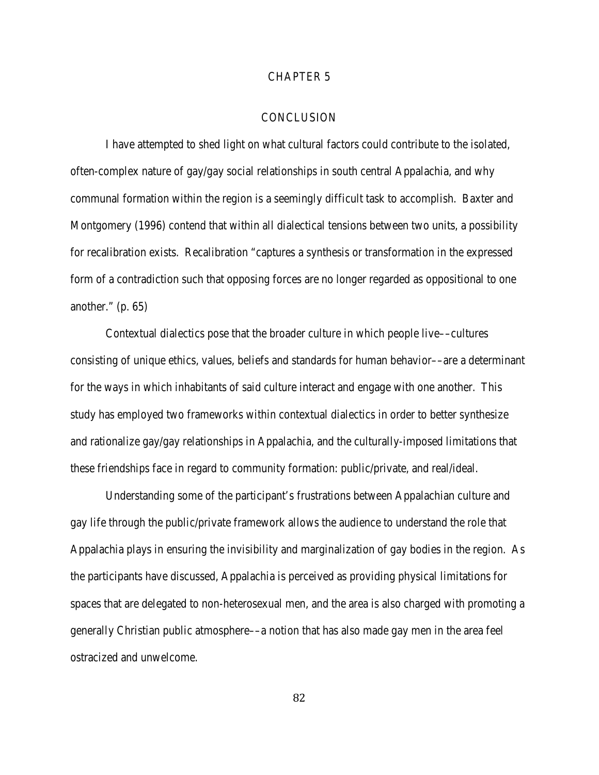#### CHAPTER 5

#### **CONCLUSION**

I have attempted to shed light on what cultural factors could contribute to the isolated, often-complex nature of gay/gay social relationships in south central Appalachia, and why communal formation within the region is a seemingly difficult task to accomplish. Baxter and Montgomery (1996) contend that within all dialectical tensions between two units, a possibility for recalibration exists. Recalibration "captures a synthesis or transformation in the expressed form of a contradiction such that opposing forces are no longer regarded as oppositional to one another."  $(p. 65)$ 

Contextual dialectics pose that the broader culture in which people live––cultures consisting of unique ethics, values, beliefs and standards for human behavior––are a determinant for the ways in which inhabitants of said culture interact and engage with one another. This study has employed two frameworks within contextual dialectics in order to better synthesize and rationalize gay/gay relationships in Appalachia, and the culturally-imposed limitations that these friendships face in regard to community formation: public/private, and real/ideal.

Understanding some of the participant's frustrations between Appalachian culture and gay life through the public/private framework allows the audience to understand the role that Appalachia plays in ensuring the invisibility and marginalization of gay bodies in the region. As the participants have discussed, Appalachia is perceived as providing physical limitations for spaces that are delegated to non-heterosexual men, and the area is also charged with promoting a generally Christian public atmosphere––a notion that has also made gay men in the area feel ostracized and unwelcome.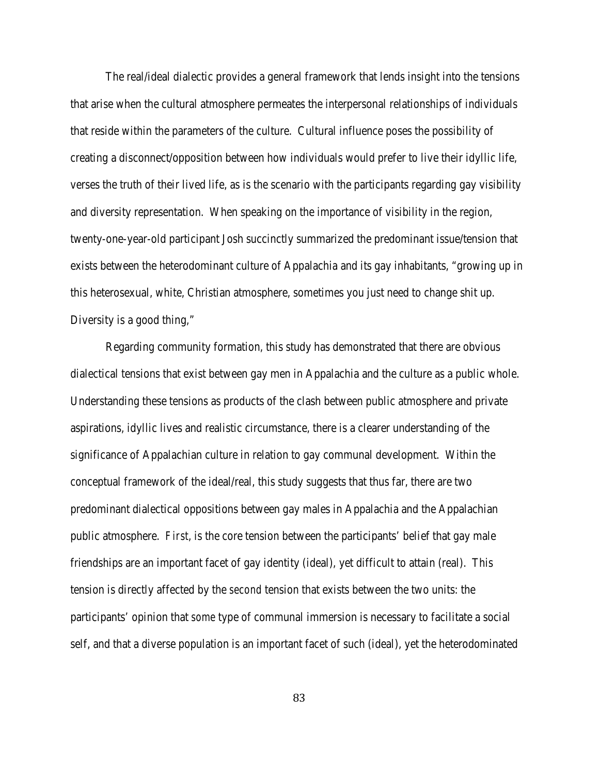The real/ideal dialectic provides a general framework that lends insight into the tensions that arise when the cultural atmosphere permeates the interpersonal relationships of individuals that reside within the parameters of the culture. Cultural influence poses the possibility of creating a disconnect/opposition between how individuals would prefer to live their idyllic life, verses the truth of their lived life, as is the scenario with the participants regarding gay visibility and diversity representation. When speaking on the importance of visibility in the region, twenty-one-year-old participant Josh succinctly summarized the predominant issue/tension that exists between the heterodominant culture of Appalachia and its gay inhabitants, "growing up in this heterosexual, white, Christian atmosphere, sometimes you just need to change shit up. Diversity is a good thing,"

Regarding community formation, this study has demonstrated that there are obvious dialectical tensions that exist between gay men in Appalachia and the culture as a public whole. Understanding these tensions as products of the clash between public atmosphere and private aspirations, idyllic lives and realistic circumstance, there is a clearer understanding of the significance of Appalachian culture in relation to gay communal development. Within the conceptual framework of the ideal/real, this study suggests that thus far, there are two predominant dialectical oppositions between gay males in Appalachia and the Appalachian public atmosphere. *First*, is the core tension between the participants' belief that gay male friendships are an important facet of gay identity (ideal), yet difficult to attain (real). This tension is directly affected by the *second* tension that exists between the two units: the participants' opinion that *some* type of communal immersion is necessary to facilitate a social self, and that a diverse population is an important facet of such (ideal), yet the heterodominated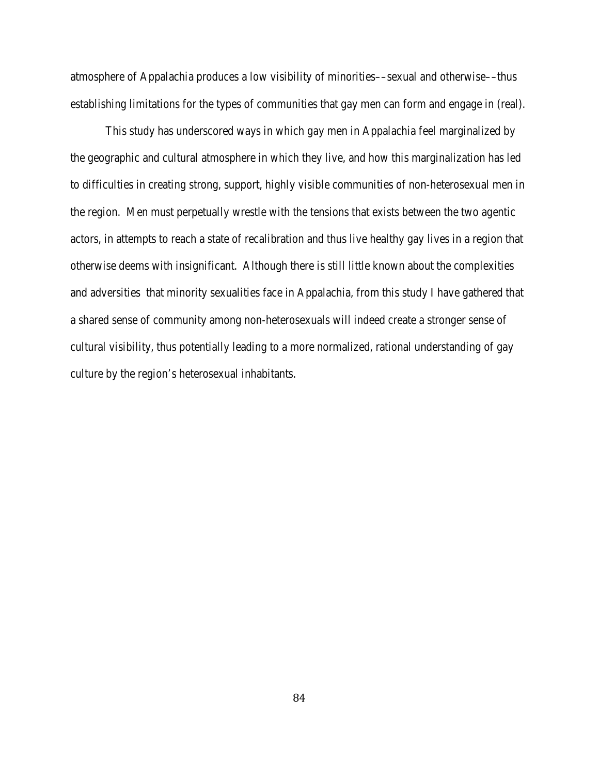atmosphere of Appalachia produces a low visibility of minorities––sexual and otherwise––thus establishing limitations for the types of communities that gay men can form and engage in (real).

This study has underscored ways in which gay men in Appalachia feel marginalized by the geographic and cultural atmosphere in which they live, and how this marginalization has led to difficulties in creating strong, support, highly visible communities of non-heterosexual men in the region. Men must perpetually wrestle with the tensions that exists between the two agentic actors, in attempts to reach a state of recalibration and thus live healthy gay lives in a region that otherwise deems with insignificant. Although there is still little known about the complexities and adversities that minority sexualities face in Appalachia, from this study I have gathered that a shared sense of community among non-heterosexuals will indeed create a stronger sense of cultural visibility, thus potentially leading to a more normalized, rational understanding of gay culture by the region's heterosexual inhabitants.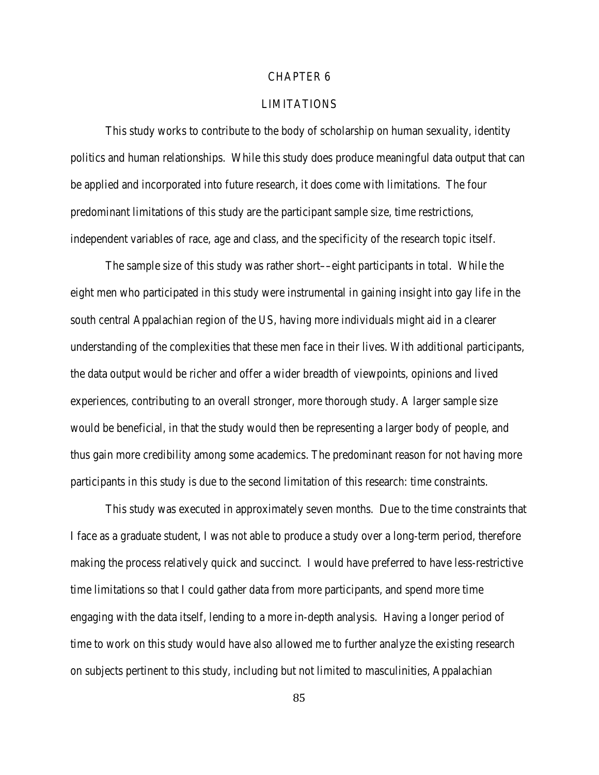#### CHAPTER 6

#### LIMITATIONS

This study works to contribute to the body of scholarship on human sexuality, identity politics and human relationships. While this study does produce meaningful data output that can be applied and incorporated into future research, it does come with limitations. The four predominant limitations of this study are the participant sample size, time restrictions, independent variables of race, age and class, and the specificity of the research topic itself.

The sample size of this study was rather short—eight participants in total. While the eight men who participated in this study were instrumental in gaining insight into gay life in the south central Appalachian region of the US, having more individuals might aid in a clearer understanding of the complexities that these men face in their lives. With additional participants, the data output would be richer and offer a wider breadth of viewpoints, opinions and lived experiences, contributing to an overall stronger, more thorough study. A larger sample size would be beneficial, in that the study would then be representing a larger body of people, and thus gain more credibility among some academics. The predominant reason for not having more participants in this study is due to the second limitation of this research: time constraints.

This study was executed in approximately seven months. Due to the time constraints that I face as a graduate student, I was not able to produce a study over a long-term period, therefore making the process relatively quick and succinct. I would have preferred to have less-restrictive time limitations so that I could gather data from more participants, and spend more time engaging with the data itself, lending to a more in-depth analysis. Having a longer period of time to work on this study would have also allowed me to further analyze the existing research on subjects pertinent to this study, including but not limited to masculinities, Appalachian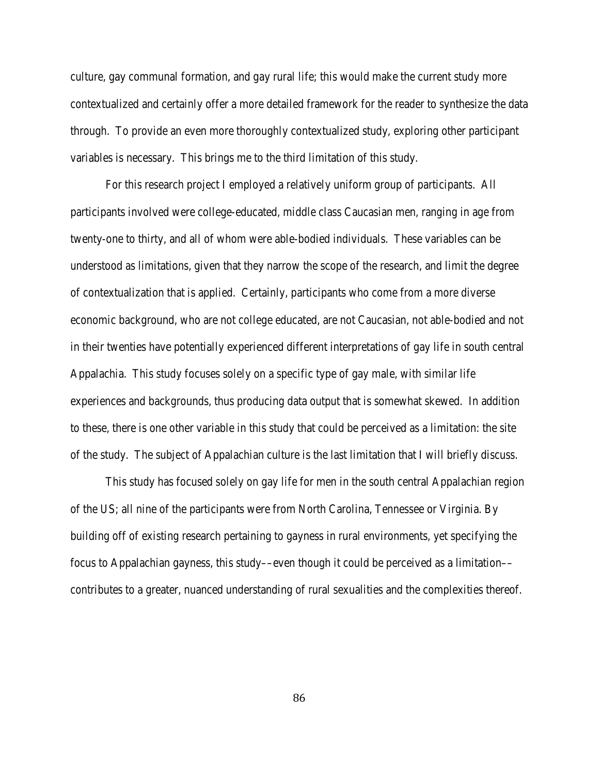culture, gay communal formation, and gay rural life; this would make the current study more contextualized and certainly offer a more detailed framework for the reader to synthesize the data through. To provide an even more thoroughly contextualized study, exploring other participant variables is necessary. This brings me to the third limitation of this study.

For this research project I employed a relatively uniform group of participants. All participants involved were college-educated, middle class Caucasian men, ranging in age from twenty-one to thirty, and all of whom were able-bodied individuals. These variables can be understood as limitations, given that they narrow the scope of the research, and limit the degree of contextualization that is applied. Certainly, participants who come from a more diverse economic background, who are not college educated, are not Caucasian, not able-bodied and not in their twenties have potentially experienced different interpretations of gay life in south central Appalachia. This study focuses solely on a specific type of gay male, with similar life experiences and backgrounds, thus producing data output that is somewhat skewed. In addition to these, there is one other variable in this study that could be perceived as a limitation: the site of the study. The subject of Appalachian culture is the last limitation that I will briefly discuss.

This study has focused solely on gay life for men in the south central Appalachian region of the US; all nine of the participants were from North Carolina, Tennessee or Virginia. By building off of existing research pertaining to gayness in rural environments, yet specifying the focus to Appalachian gayness, this study—even though it could be perceived as a limitation contributes to a greater, nuanced understanding of rural sexualities and the complexities thereof.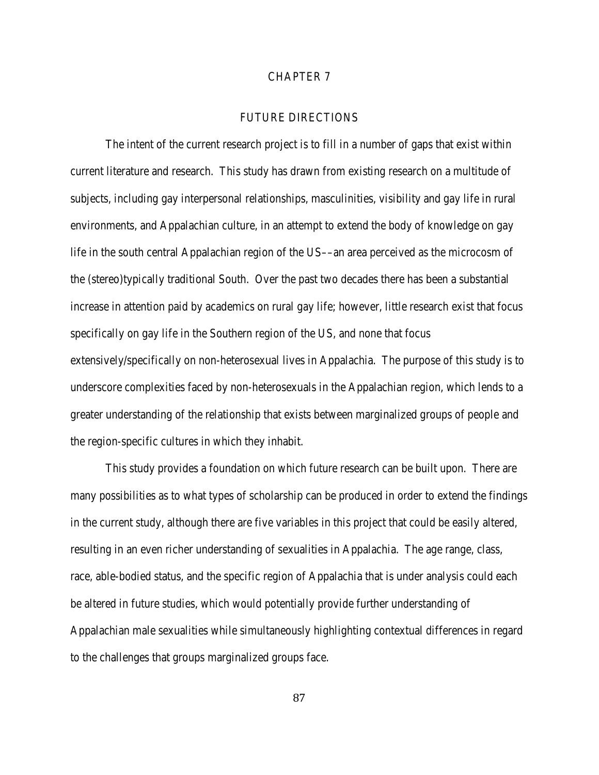#### CHAPTER 7

#### FUTURE DIRECTIONS

The intent of the current research project is to fill in a number of gaps that exist within current literature and research. This study has drawn from existing research on a multitude of subjects, including gay interpersonal relationships, masculinities, visibility and gay life in rural environments, and Appalachian culture, in an attempt to extend the body of knowledge on gay life in the south central Appalachian region of the US––an area perceived as the microcosm of the (stereo)typically traditional South. Over the past two decades there has been a substantial increase in attention paid by academics on rural gay life; however, little research exist that focus specifically on gay life in the Southern region of the US, and none that focus extensively/specifically on non-heterosexual lives in Appalachia. The purpose of this study is to underscore complexities faced by non-heterosexuals in the Appalachian region, which lends to a greater understanding of the relationship that exists between marginalized groups of people and the region-specific cultures in which they inhabit.

This study provides a foundation on which future research can be built upon. There are many possibilities as to what types of scholarship can be produced in order to extend the findings in the current study, although there are five variables in this project that could be easily altered, resulting in an even richer understanding of sexualities in Appalachia. The age range, class, race, able-bodied status, and the specific region of Appalachia that is under analysis could each be altered in future studies, which would potentially provide further understanding of Appalachian male sexualities while simultaneously highlighting contextual differences in regard to the challenges that groups marginalized groups face.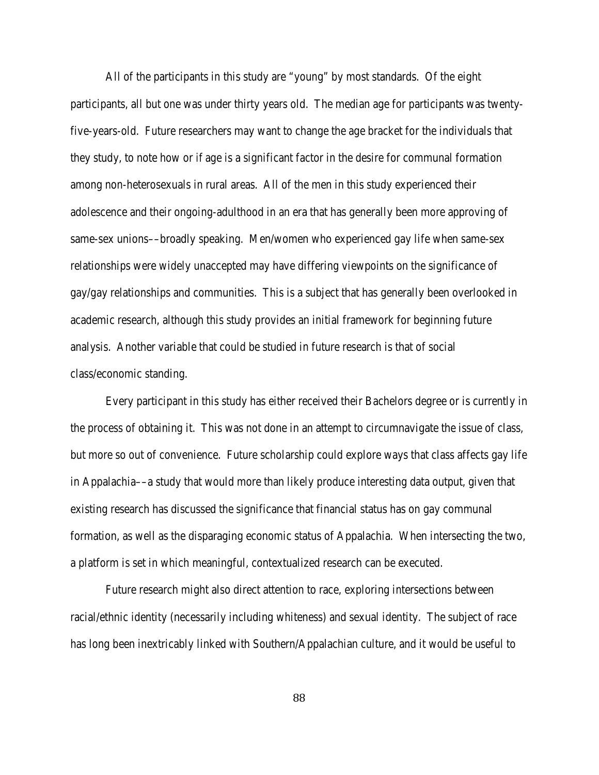All of the participants in this study are "young" by most standards. Of the eight participants, all but one was under thirty years old. The median age for participants was twentyfive-years-old. Future researchers may want to change the age bracket for the individuals that they study, to note how or *if* age is a significant factor in the desire for communal formation among non-heterosexuals in rural areas. All of the men in this study experienced their adolescence and their ongoing-adulthood in an era that has generally been more approving of same-sex unions—broadly speaking. Men/women who experienced gay life when same-sex relationships were widely unaccepted may have differing viewpoints on the significance of gay/gay relationships and communities. This is a subject that has generally been overlooked in academic research, although this study provides an initial framework for beginning future analysis. Another variable that could be studied in future research is that of social class/economic standing.

Every participant in this study has either received their Bachelors degree or is currently in the process of obtaining it. This was not done in an attempt to circumnavigate the issue of class, but more so out of convenience. Future scholarship could explore ways that class affects gay life in Appalachia––a study that would more than likely produce interesting data output, given that existing research has discussed the significance that financial status has on gay communal formation, as well as the disparaging economic status of Appalachia. When intersecting the two, a platform is set in which meaningful, contextualized research can be executed.

Future research might also direct attention to race, exploring intersections between racial/ethnic identity (necessarily including whiteness) and sexual identity. The subject of race has long been inextricably linked with Southern/Appalachian culture, and it would be useful to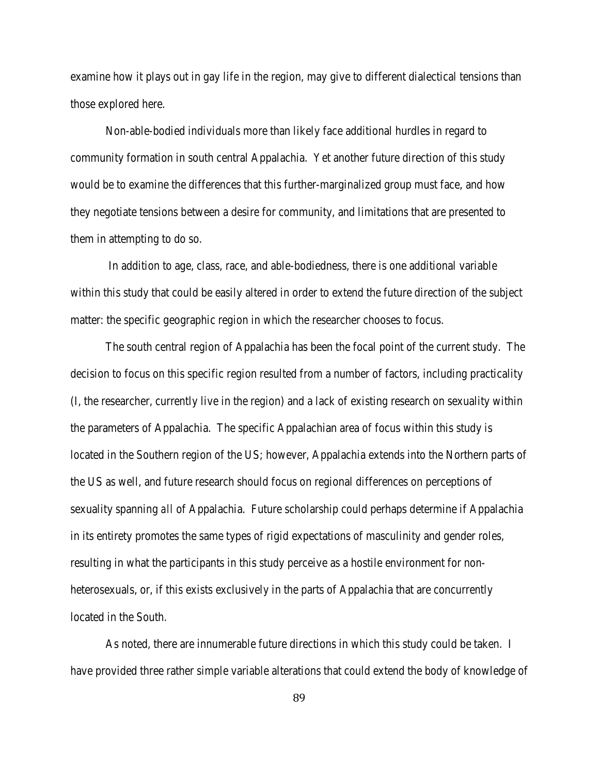examine how it plays out in gay life in the region, may give to different dialectical tensions than those explored here.

Non-able-bodied individuals more than likely face additional hurdles in regard to community formation in south central Appalachia. Yet another future direction of this study would be to examine the differences that this further-marginalized group must face, and how they negotiate tensions between a desire for community, and limitations that are presented to them in attempting to do so.

In addition to age, class, race, and able-bodiedness, there is one additional variable within this study that could be easily altered in order to extend the future direction of the subject matter: the specific geographic region in which the researcher chooses to focus.

The south central region of Appalachia has been the focal point of the current study. The decision to focus on this specific region resulted from a number of factors, including practicality (I, the researcher, currently live in the region) and a lack of existing research on sexuality within the parameters of Appalachia. The specific Appalachian area of focus within this study is located in the Southern region of the US; however, Appalachia extends into the Northern parts of the US as well, and future research should focus on regional differences on perceptions of sexuality spanning *all* of Appalachia. Future scholarship could perhaps determine if Appalachia in its entirety promotes the same types of rigid expectations of masculinity and gender roles, resulting in what the participants in this study perceive as a hostile environment for nonheterosexuals, or, if this exists exclusively in the parts of Appalachia that are concurrently located in the South.

As noted, there are innumerable future directions in which this study could be taken. I have provided three rather simple variable alterations that could extend the body of knowledge of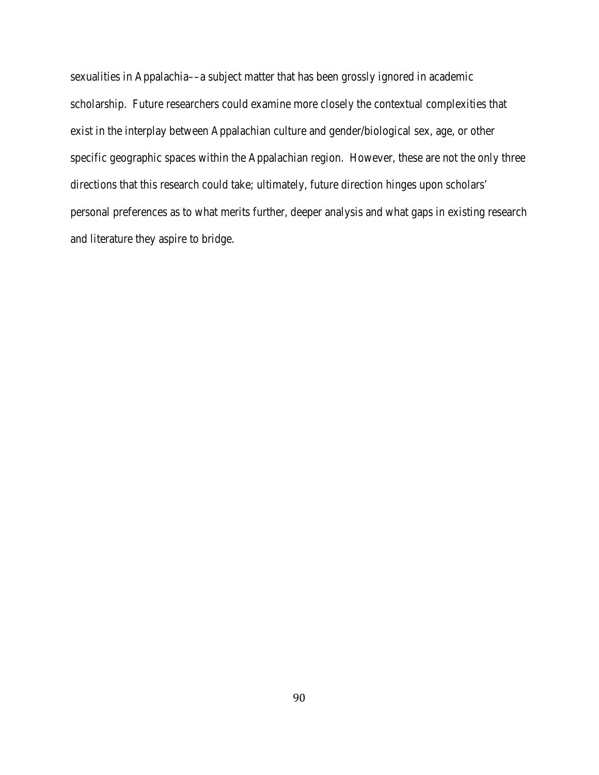sexualities in Appalachia––a subject matter that has been grossly ignored in academic scholarship. Future researchers could examine more closely the contextual complexities that exist in the interplay between Appalachian culture and gender/biological sex, age, or other specific geographic spaces within the Appalachian region. However, these are not the only three directions that this research could take; ultimately, future direction hinges upon scholars' personal preferences as to what merits further, deeper analysis and what gaps in existing research and literature they aspire to bridge.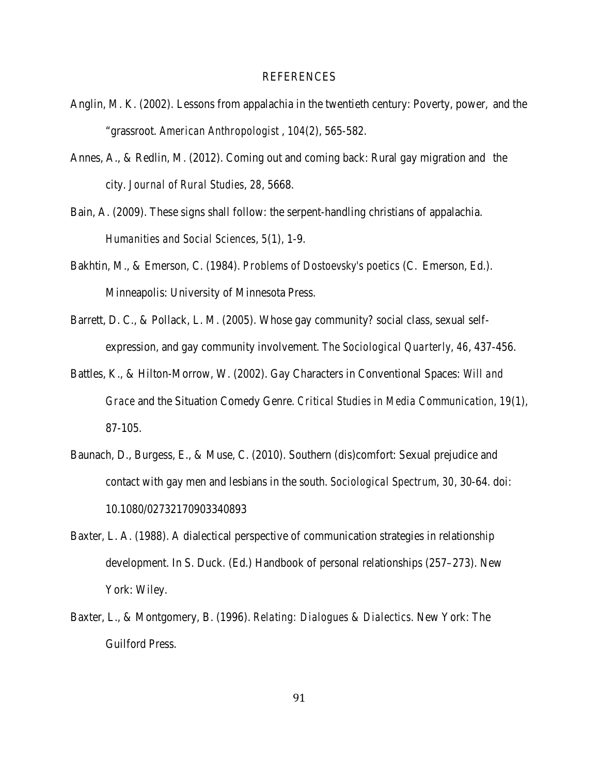#### REFERENCES

- Anglin, M. K. (2002). Lessons from appalachia in the twentieth century: Poverty, power, and the "grassroot. *American Anthropologist* , *104*(2), 565-582.
- Annes, A., & Redlin, M. (2012). Coming out and coming back: Rural gay migration and the city. *Journal of Rural Studies*, *28*, 5668.
- Bain, A. (2009). These signs shall follow: the serpent-handling christians of appalachia. *Humanities and Social Sciences*, *5*(1), 1-9.
- Bakhtin, M., & Emerson, C. (1984). *Problems of Dostoevsky's poetics* (C. Emerson, Ed.). Minneapolis: University of Minnesota Press.
- Barrett, D. C., & Pollack, L. M. (2005). Whose gay community? social class, sexual selfexpression, and gay community involvement. *The Sociological Quarterly*, *46*, 437-456.
- Battles, K., & Hilton-Morrow, W. (2002). Gay Characters in Conventional Spaces: *Will and Grace* and the Situation Comedy Genre. *Critical Studies in Media Communication, 19*(1), 87-105.
- Baunach, D., Burgess, E., & Muse, C. (2010). Southern (dis)comfort: Sexual prejudice and contact with gay men and lesbians in the south. *Sociological Spectrum*, *30*, 30-64. doi: 10.1080/02732170903340893
- Baxter, L. A. (1988). A dialectical perspective of communication strategies in relationship development. In S. Duck. (Ed.) Handbook of personal relationships (257–273). New York: Wiley.
- Baxter, L., & Montgomery, B. (1996). *Relating: Dialogues & Dialectics*. New York: The Guilford Press.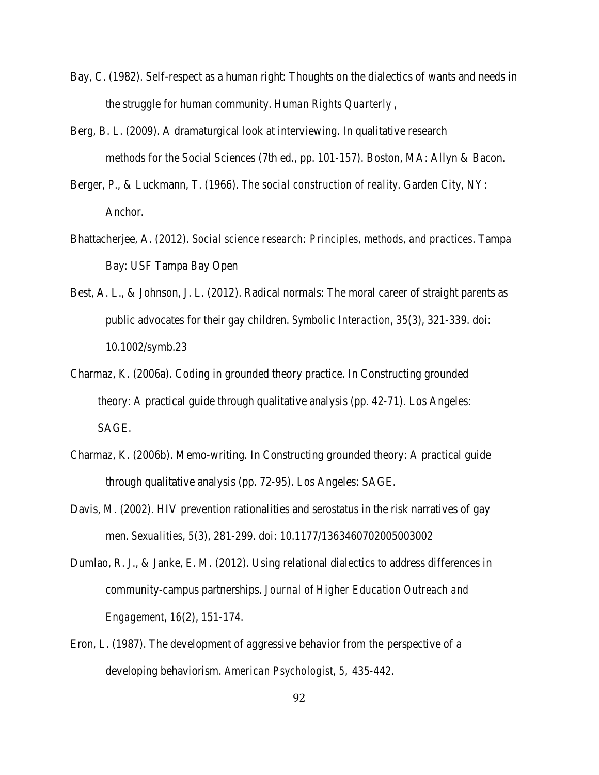- Bay, C. (1982). Self-respect as a human right: Thoughts on the dialectics of wants and needs in the struggle for human community. *Human Rights Quarterly* ,
- Berg, B. L. (2009). A dramaturgical look at interviewing. In qualitative research methods for the Social Sciences (7th ed., pp. 101-157). Boston, MA: Allyn & Bacon.
- Berger, P., & Luckmann, T. (1966). *The social construction of reality*. Garden City, NY: Anchor.
- Bhattacherjee, A. (2012). *Social science research: Principles, methods, and practices*. Tampa Bay: USF Tampa Bay Open
- Best, A. L., & Johnson, J. L. (2012). Radical normals: The moral career of straight parents as public advocates for their gay children. *Symbolic Interaction*, *35*(3), 321-339. doi: 10.1002/symb.23
- Charmaz, K. (2006a). Coding in grounded theory practice. In Constructing grounded theory: A practical guide through qualitative analysis (pp. 42-71). Los Angeles: SAGE.
- Charmaz, K. (2006b). Memo-writing. In Constructing grounded theory: A practical guide through qualitative analysis (pp. 72-95). Los Angeles: SAGE.
- Davis, M. (2002). HIV prevention rationalities and serostatus in the risk narratives of gay men. *Sexualities*, *5*(3), 281-299. doi: 10.1177/1363460702005003002
- Dumlao, R. J., & Janke, E. M. (2012). Using relational dialectics to address differences in community-campus partnerships. *Journal of Higher Education Outreach and Engagement*, *16*(2), 151-174.
- Eron, L. (1987). The development of aggressive behavior from the perspective of a developing behaviorism. *American Psychologist, 5*, 435-442.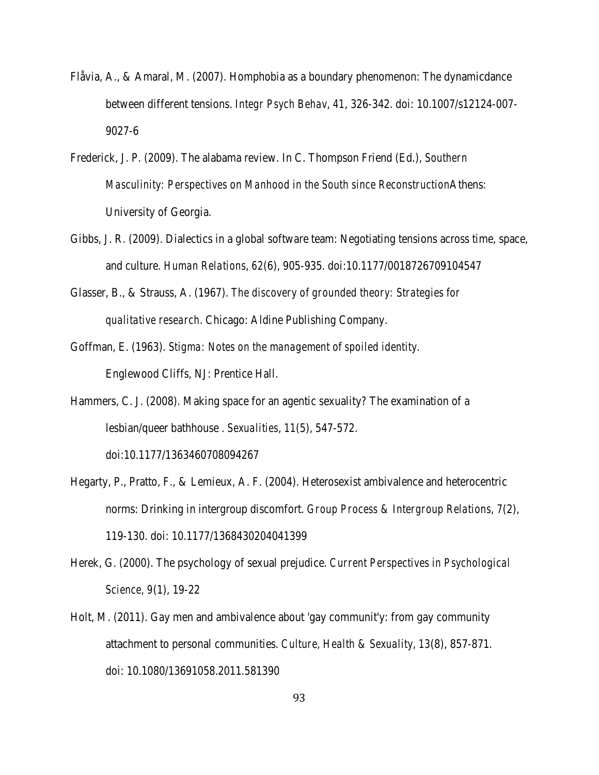- Flåvia, A., & Amaral, M. (2007). Homphobia as a boundary phenomenon: The dynamicdance between different tensions. *Integr Psych Behav*, *41*, 326-342. doi: 10.1007/s12124-007- 9027-6
- Frederick, J. P. (2009). The alabama review. In C. Thompson Friend (Ed.), *Southern Masculinity: Perspectives on Manhood in the South since Reconstruction*Athens: University of Georgia.
- Gibbs, J. R. (2009). Dialectics in a global software team: Negotiating tensions across time, space, and culture. *Human Relations*, *62*(6), 905-935. doi:10.1177/0018726709104547
- Glasser, B., & Strauss, A. (1967). *The discovery of grounded theory: Strategies for qualitative research*. Chicago: Aldine Publishing Company.
- Goffman, E. (1963). *Stigma: Notes on the management of spoiled identity*. Englewood Cliffs, NJ: Prentice Hall.
- Hammers, C. J. (2008). Making space for an agentic sexuality? The examination of a lesbian/queer bathhouse . *Sexualities*, *11*(5), 547-572. doi:10.1177/1363460708094267
- Hegarty, P., Pratto, F., & Lemieux, A. F. (2004). Heterosexist ambivalence and heterocentric norms: Drinking in intergroup discomfort. *Group Process & Intergroup Relations*, *7*(2), 119-130. doi: 10.1177/1368430204041399
- Herek, G. (2000). The psychology of sexual prejudice. *Current Perspectives in Psychological Science, 9*(1), 19-22
- Holt, M. (2011). Gay men and ambivalence about 'gay communit'y: from gay community attachment to personal communities. *Culture, Health & Sexuality*, *13*(8), 857-871. doi: 10.1080/13691058.2011.581390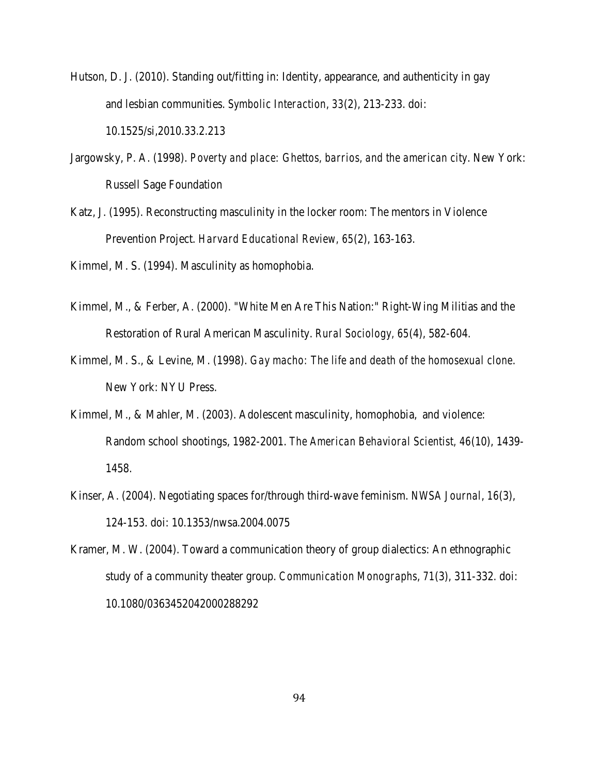- Hutson, D. J. (2010). Standing out/fitting in: Identity, appearance, and authenticity in gay and lesbian communities. *Symbolic Interaction*, *33*(2), 213-233. doi: 10.1525/si,2010.33.2.213
- Jargowsky, P. A. (1998). *Poverty and place: Ghettos, barrios, and the american city*. New York: Russell Sage Foundation
- Katz, J. (1995). Reconstructing masculinity in the locker room: The mentors in Violence Prevention Project. *Harvard Educational Review, 65*(2), 163-163.

Kimmel, M. S. (1994). Masculinity as homophobia.

- Kimmel, M., & Ferber, A. (2000). "White Men Are This Nation:" Right-Wing Militias and the Restoration of Rural American Masculinity. *Rural Sociology, 65*(4), 582-604.
- Kimmel, M. S., & Levine, M. (1998). *Gay macho: The life and death of the homosexual clone*. New York: NYU Press.
- Kimmel, M., & Mahler, M. (2003). Adolescent masculinity, homophobia, and violence: Random school shootings, 1982-2001. *The American Behavioral Scientist, 46*(10), 1439- 1458.
- Kinser, A. (2004). Negotiating spaces for/through third-wave feminism. *NWSA Journal*, *16*(3), 124-153. doi: 10.1353/nwsa.2004.0075
- Kramer, M. W. (2004). Toward a communication theory of group dialectics: An ethnographic study of a community theater group. *Communication Monographs*, *71*(3), 311-332. doi: 10.1080/0363452042000288292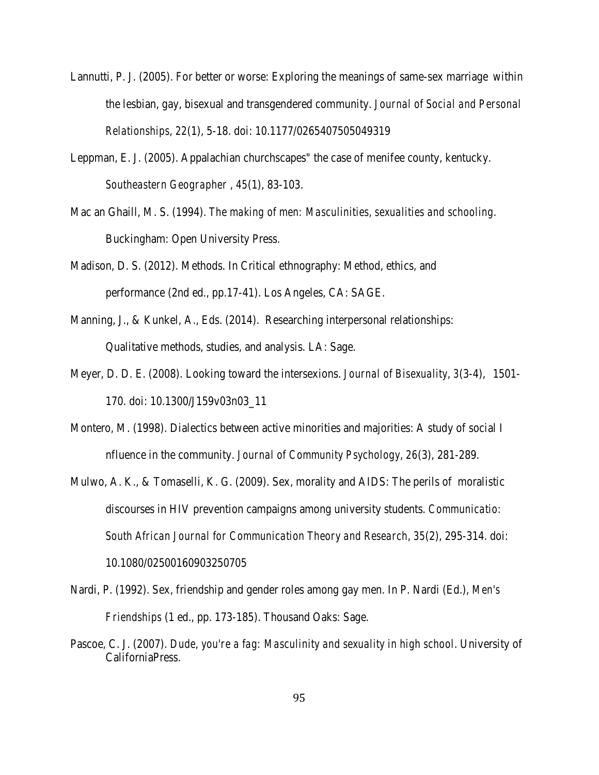- Lannutti, P. J. (2005). For better or worse: Exploring the meanings of same-sex marriage within the lesbian, gay, bisexual and transgendered community. *Journal of Social and Personal Relationships*, *22*(1), 5-18. doi: 10.1177/0265407505049319
- Leppman, E. J. (2005). Appalachian churchscapes" the case of menifee county, kentucky. *Southeastern Geographer* , *45*(1), 83-103.
- Mac an Ghaill, M. S. (1994). *The making of men: Masculinities, sexualities and schooling*. Buckingham: Open University Press.
- Madison, D. S. (2012). Methods. In Critical ethnography: Method, ethics, and performance (2nd ed., pp.17-41). Los Angeles, CA: SAGE.
- Manning, J., & Kunkel, A., Eds. (2014). Researching interpersonal relationships: Qualitative methods, studies, and analysis. LA: Sage.
- Meyer, D. D. E. (2008). Looking toward the intersexions. *Journal of Bisexuality*, *3*(3-4), 1501- 170. doi: 10.1300/J159v03n03\_11
- Montero, M. (1998). Dialectics between active minorities and majorities: A study of social I nfluence in the community. *Journal of Community Psychology*, *26*(3), 281-289.
- Mulwo, A. K., & Tomaselli, K. G. (2009). Sex, morality and AIDS: The perils of moralistic discourses in HIV prevention campaigns among university students. *Communicatio: South African Journal for Communication Theory and Research*, *35*(2), 295-314. doi: 10.1080/02500160903250705
- Nardi, P. (1992). Sex, friendship and gender roles among gay men. In P. Nardi (Ed.), *Men's Friendships* (1 ed., pp. 173-185). Thousand Oaks: Sage.
- Pascoe, C. J. (2007). *Dude, you're a fag: Masculinity and sexuality in high school*. University of CaliforniaPress.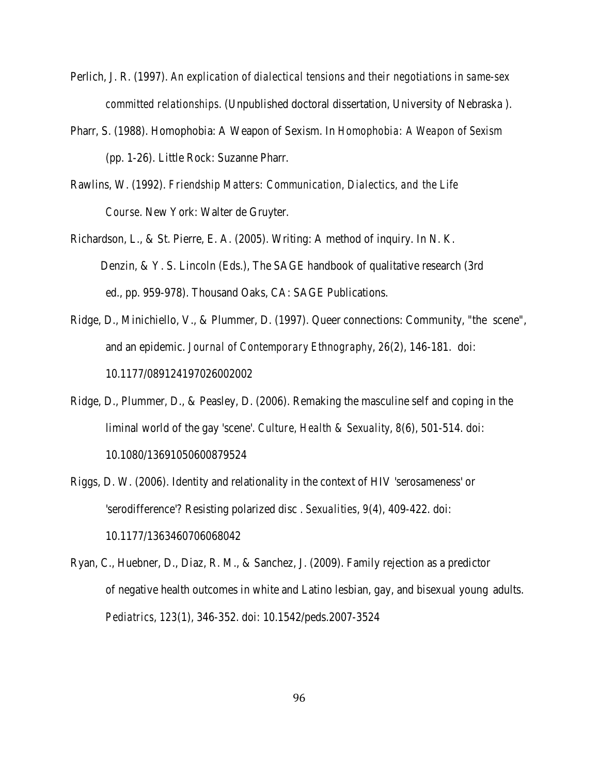- Perlich, J. R. (1997). *An explication of dialectical tensions and their negotiations in same-sex committed relationships*. (Unpublished doctoral dissertation, University of Nebraska ).
- Pharr, S. (1988). Homophobia: A Weapon of Sexism. In *Homophobia: A Weapon of Sexism* (pp. 1-26). Little Rock: Suzanne Pharr.
- Rawlins, W. (1992). *Friendship Matters: Communication, Dialectics, and the Life Course*. New York: Walter de Gruyter.
- Richardson, L., & St. Pierre, E. A. (2005). Writing: A method of inquiry. In N. K. Denzin, & Y. S. Lincoln (Eds.), The SAGE handbook of qualitative research (3rd ed., pp. 959-978). Thousand Oaks, CA: SAGE Publications.
- Ridge, D., Minichiello, V., & Plummer, D. (1997). Queer connections: Community, "the scene", and an epidemic. *Journal of Contemporary Ethnography*, *26*(2), 146-181. doi: 10.1177/089124197026002002
- Ridge, D., Plummer, D., & Peasley, D. (2006). Remaking the masculine self and coping in the liminal world of the gay 'scene'. *Culture, Health & Sexuality*, *8*(6), 501-514. doi: 10.1080/13691050600879524
- Riggs, D. W. (2006). Identity and relationality in the context of HIV 'serosameness' or 'serodifference'? Resisting polarized disc . *Sexualities*, *9*(4), 409-422. doi: 10.1177/1363460706068042
- Ryan, C., Huebner, D., Diaz, R. M., & Sanchez, J. (2009). Family rejection as a predictor of negative health outcomes in white and Latino lesbian, gay, and bisexual young adults. *Pediatrics*, *123*(1), 346-352. doi: 10.1542/peds.2007-3524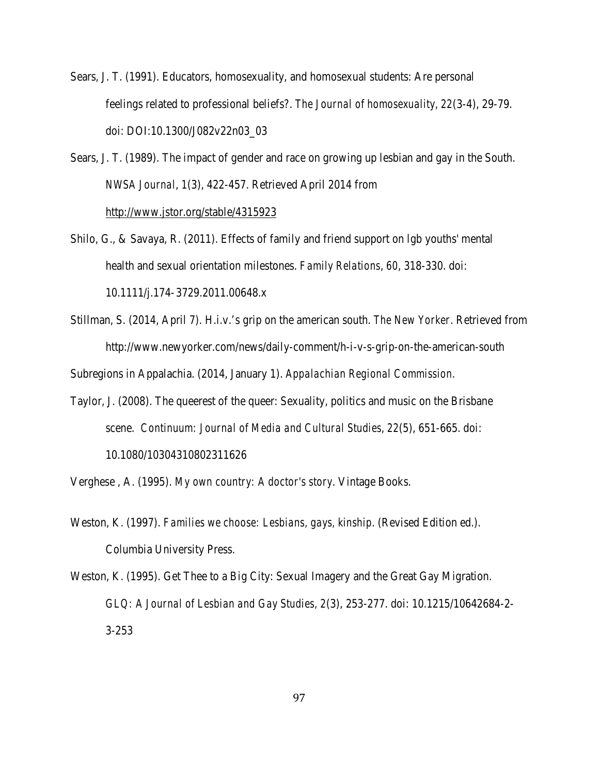Sears, J. T. (1991). Educators, homosexuality, and homosexual students: Are personal feelings related to professional beliefs?. *The Journal of homosexuality*, *22*(3-4), 29-79. doi: DOI:10.1300/J082v22n03\_03

Sears, J. T. (1989). The impact of gender and race on growing up lesbian and gay in the South. *NWSA Journal*, *1*(3), 422-457. Retrieved April 2014 from <http://www.jstor.org/stable/4315923>

- Shilo, G., & Savaya, R. (2011). Effects of family and friend support on lgb youths' mental health and sexual orientation milestones. *Family Relations*, *60*, 318-330. doi: 10.1111/j.174-3729.2011.00648.x
- Stillman, S. (2014, April 7). H.i.v.'s grip on the american south. *The New Yorker*. Retrieved from http://www.newyorker.com/news/daily-comment/h-i-v-s-grip-on-the-american-south

Subregions in Appalachia. (2014, January 1). *Appalachian Regional Commission*.

Taylor, J. (2008). The queerest of the queer: Sexuality, politics and music on the Brisbane scene. *Continuum: Journal of Media and Cultural Studies*, *22*(5), 651-665. doi: 10.1080/10304310802311626

Verghese , A. (1995). *My own country: A doctor's story*. Vintage Books.

- Weston, K. (1997). *Families we choose: Lesbians, gays, kinship*. (Revised Edition ed.). Columbia University Press.
- Weston, K. (1995). Get Thee to a Big City: Sexual Imagery and the Great Gay Migration. *GLQ: A Journal of Lesbian and Gay Studies, 2*(3), 253-277. doi: 10.1215/10642684-2- 3-253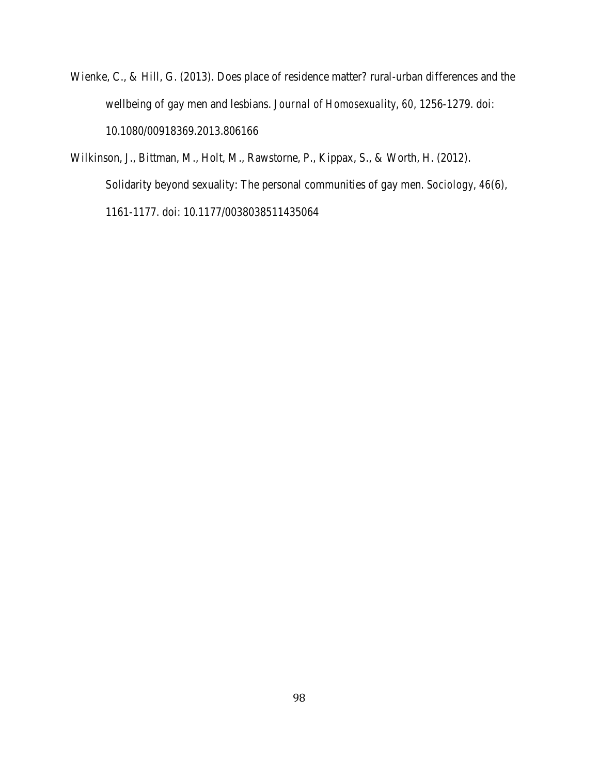- Wienke, C., & Hill, G. (2013). Does place of residence matter? rural-urban differences and the wellbeing of gay men and lesbians. *Journal of Homosexuality*, *60*, 1256-1279. doi: 10.1080/00918369.2013.806166
- Wilkinson, J., Bittman, M., Holt, M., Rawstorne, P., Kippax, S., & Worth, H. (2012). Solidarity beyond sexuality: The personal communities of gay men. *Sociology*, *46*(6), 1161-1177. doi: 10.1177/0038038511435064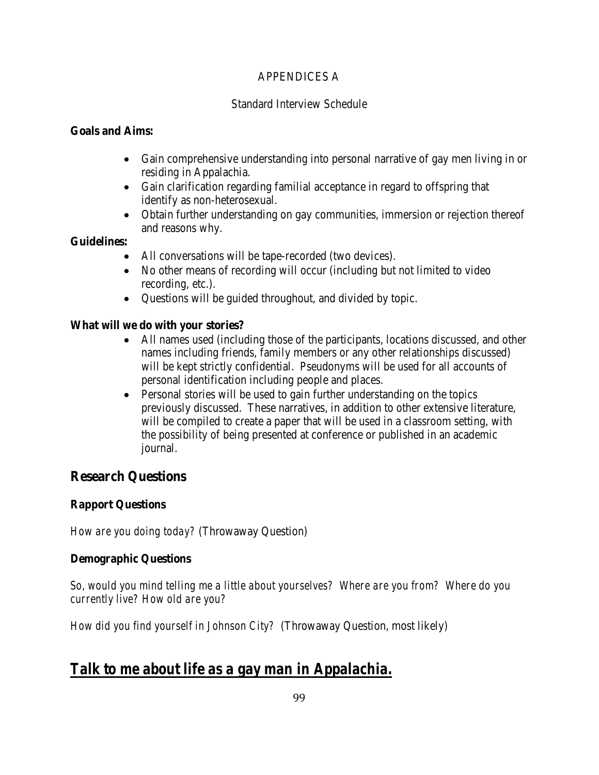### APPENDICES A

### Standard Interview Schedule

### **Goals and Aims:**

- Gain comprehensive understanding into personal narrative of gay men living in or residing in Appalachia.
- Gain clarification regarding familial acceptance in regard to offspring that identify as non-heterosexual.
- Obtain further understanding on gay communities, immersion or rejection thereof and reasons why.

### **Guidelines:**

- All conversations will be tape-recorded (two devices).
- No other means of recording will occur (including but not limited to video recording, etc.).
- Questions will be guided throughout, and divided by topic.

### **What will we do with your stories?**

- All names used (including those of the participants, locations discussed, and other names including friends, family members or any other relationships discussed) will be kept strictly confidential. Pseudonyms will be used for all accounts of personal identification including people and places.
- Personal stories will be used to gain further understanding on the topics previously discussed. These narratives, in addition to other extensive literature, will be compiled to create a paper that will be used in a classroom setting, with the possibility of being presented at conference or published in an academic journal.

## **Research Questions**

## **Rapport Questions**

*How are you doing today?* (Throwaway Question)

## **Demographic Questions**

*So, would you mind telling me a little about yourselves? Where are you from? Where do you currently live? How old are you?* 

*How did you find yourself in Johnson City?* (Throwaway Question, most likely)

## *Talk to me about life as a gay man in Appalachia.*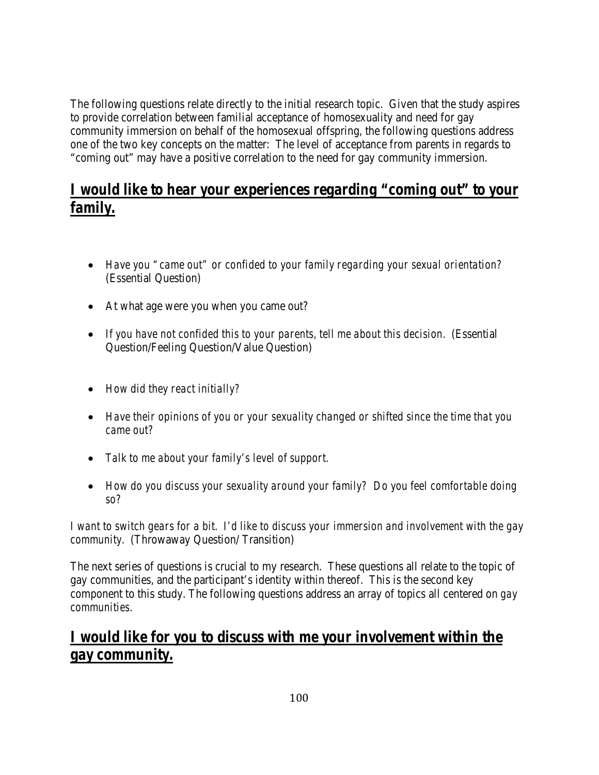The following questions relate directly to the initial research topic. Given that the study aspires to provide correlation between familial acceptance of homosexuality and need for gay community immersion on behalf of the homosexual offspring, the following questions address one of the two key concepts on the matter: The level of acceptance from parents in regards to "coming out" may have a positive correlation to the need for gay community immersion.

# *I would like to hear your experiences regarding "coming out" to your family.*

- *Have you "came out" or confided to your family regarding your sexual orientation?* (Essential Question)
- At what age were you when you came out?
- *If you have not confided this to your parents, tell me about this decision.* (Essential Question/Feeling Question/Value Question)
- *How did they react initially?*
- *Have their opinions of you or your sexuality changed or shifted since the time that you came out?*
- *Talk to me about your family's level of support.*
- *How do you discuss your sexuality around your family? Do you feel comfortable doing so?*

*I want to switch gears for a bit. I'd like to discuss your immersion and involvement with the gay community.* (Throwaway Question/ Transition)

The next series of questions is crucial to my research. These questions all relate to the topic of gay communities, and the participant's identity within thereof. This is the second key component to this study. The following questions address an array of topics all centered on *gay communities*.

# *I would like for you to discuss with me your involvement within the gay community.*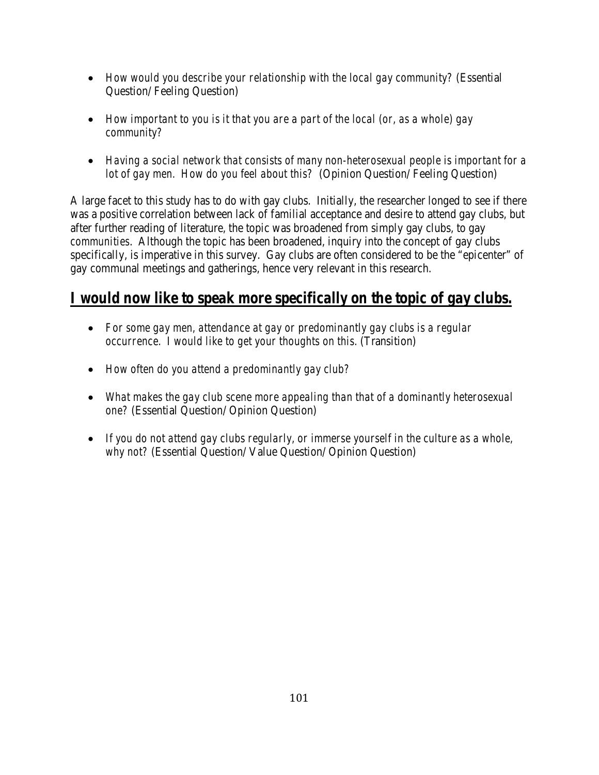- *How would you describe your relationship with the local gay community?* (Essential Question/ Feeling Question)
- *How important to you is it that you are a part of the local (or, as a whole) gay community?*
- *Having a social network that consists of many non-heterosexual people is important for a lot of gay men. How do you feel about this?* (Opinion Question/ Feeling Question)

A large facet to this study has to do with gay clubs. Initially, the researcher longed to see if there was a positive correlation between lack of familial acceptance and desire to attend gay clubs, but after further reading of literature, the topic was broadened from simply gay clubs, to gay *communities*. Although the topic has been broadened, inquiry into the concept of gay clubs specifically, is imperative in this survey. Gay clubs are often considered to be the "epicenter" of gay communal meetings and gatherings, hence very relevant in this research.

# *I would now like to speak more specifically on the topic of gay clubs.*

- *For some gay men, attendance at gay or predominantly gay clubs is a regular occurrence. I would like to get your thoughts on this.* (Transition)
- *How often do you attend a predominantly gay club?*
- *What makes the gay club scene more appealing than that of a dominantly heterosexual one?* (Essential Question/ Opinion Question)
- *If you do not attend gay clubs regularly, or immerse yourself in the culture as a whole, why not?* (Essential Question/ Value Question/ Opinion Question)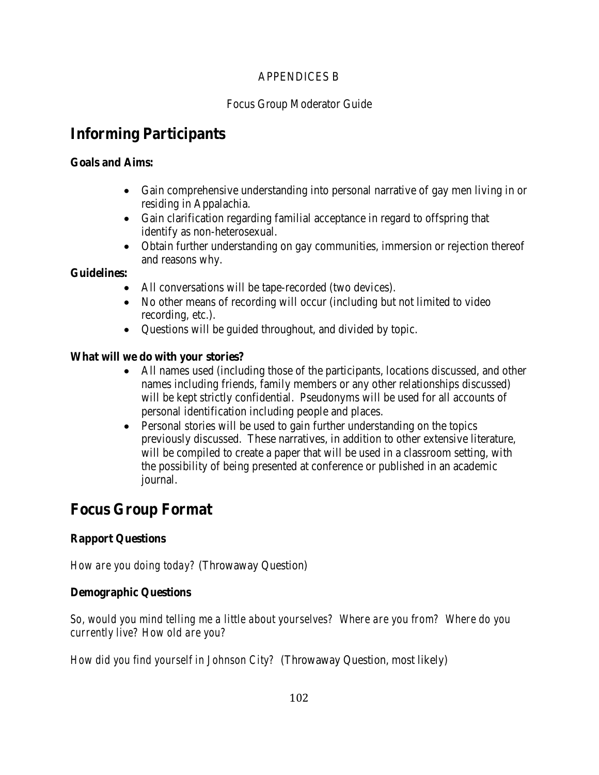### APPENDICES B

## Focus Group Moderator Guide

# **Informing Participants**

## **Goals and Aims:**

- Gain comprehensive understanding into personal narrative of gay men living in or residing in Appalachia.
- Gain clarification regarding familial acceptance in regard to offspring that identify as non-heterosexual.
- Obtain further understanding on gay communities, immersion or rejection thereof and reasons why.

## **Guidelines:**

- All conversations will be tape-recorded (two devices).
- No other means of recording will occur (including but not limited to video recording, etc.).
- Questions will be guided throughout, and divided by topic.

## **What will we do with your stories?**

- All names used (including those of the participants, locations discussed, and other names including friends, family members or any other relationships discussed) will be kept strictly confidential. Pseudonyms will be used for all accounts of personal identification including people and places.
- Personal stories will be used to gain further understanding on the topics previously discussed. These narratives, in addition to other extensive literature, will be compiled to create a paper that will be used in a classroom setting, with the possibility of being presented at conference or published in an academic journal.

# **Focus Group Format**

## **Rapport Questions**

*How are you doing today?* (Throwaway Question)

## **Demographic Questions**

*So, would you mind telling me a little about yourselves? Where are you from? Where do you currently live? How old are you?* 

*How did you find yourself in Johnson City?* (Throwaway Question, most likely)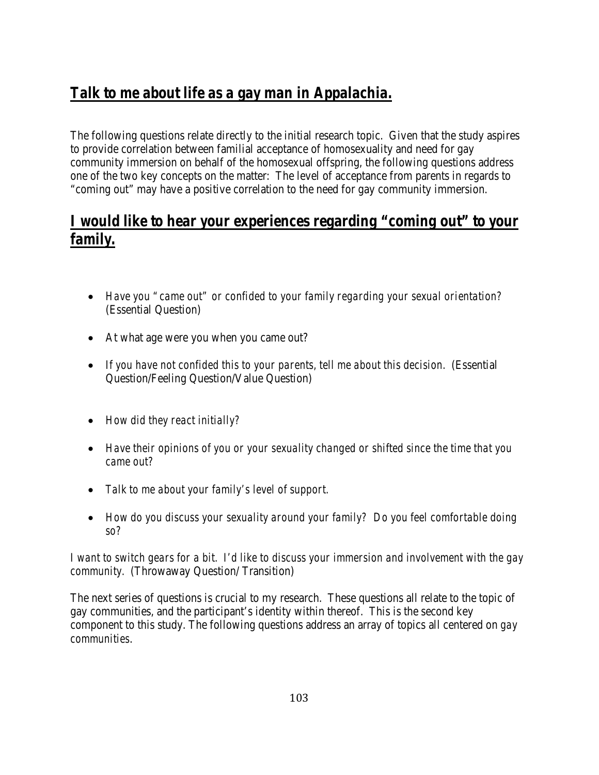# *Talk to me about life as a gay man in Appalachia.*

The following questions relate directly to the initial research topic. Given that the study aspires to provide correlation between familial acceptance of homosexuality and need for gay community immersion on behalf of the homosexual offspring, the following questions address one of the two key concepts on the matter: The level of acceptance from parents in regards to "coming out" may have a positive correlation to the need for gay community immersion.

# *I would like to hear your experiences regarding "coming out" to your family.*

- *Have you "came out" or confided to your family regarding your sexual orientation?* (Essential Question)
- At what age were you when you came out?
- *If you have not confided this to your parents, tell me about this decision.* (Essential Question/Feeling Question/Value Question)
- *How did they react initially?*
- *Have their opinions of you or your sexuality changed or shifted since the time that you came out?*
- *Talk to me about your family's level of support.*
- *How do you discuss your sexuality around your family? Do you feel comfortable doing so?*

*I want to switch gears for a bit. I'd like to discuss your immersion and involvement with the gay community.* (Throwaway Question/ Transition)

The next series of questions is crucial to my research. These questions all relate to the topic of gay communities, and the participant's identity within thereof. This is the second key component to this study. The following questions address an array of topics all centered on *gay communities*.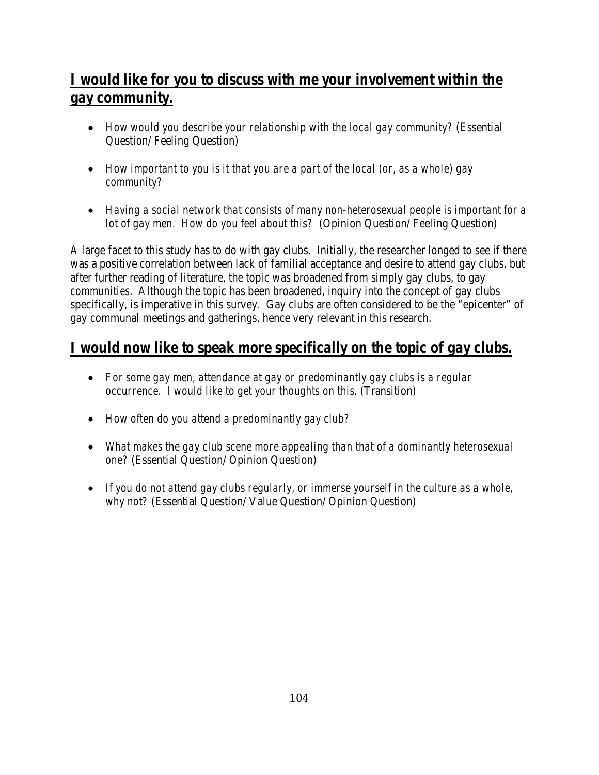# *I would like for you to discuss with me your involvement within the gay community.*

- *How would you describe your relationship with the local gay community?* (Essential Question/ Feeling Question)
- *How important to you is it that you are a part of the local (or, as a whole) gay community?*
- *Having a social network that consists of many non-heterosexual people is important for a lot of gay men. How do you feel about this?* (Opinion Question/ Feeling Question)

A large facet to this study has to do with gay clubs. Initially, the researcher longed to see if there was a positive correlation between lack of familial acceptance and desire to attend gay clubs, but after further reading of literature, the topic was broadened from simply gay clubs, to gay *communities*. Although the topic has been broadened, inquiry into the concept of gay clubs specifically, is imperative in this survey. Gay clubs are often considered to be the "epicenter" of gay communal meetings and gatherings, hence very relevant in this research.

# *I would now like to speak more specifically on the topic of gay clubs.*

- *For some gay men, attendance at gay or predominantly gay clubs is a regular occurrence. I would like to get your thoughts on this.* (Transition)
- *How often do you attend a predominantly gay club?*
- *What makes the gay club scene more appealing than that of a dominantly heterosexual one?* (Essential Question/ Opinion Question)
- If you do not attend gay clubs regularly, or immerse yourself in the culture as a whole, *why not?* (Essential Question/ Value Question/ Opinion Question)